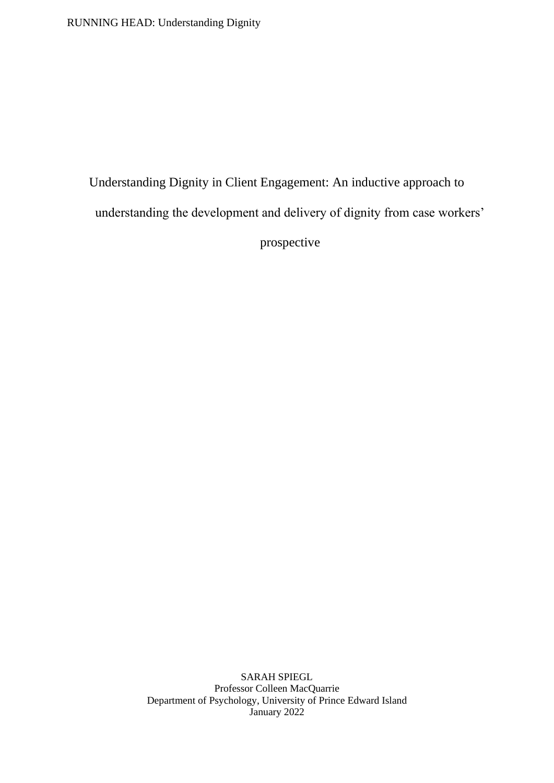RUNNING HEAD: Understanding Dignity

Understanding Dignity in Client Engagement: An inductive approach to understanding the development and delivery of dignity from case workers' prospective

> SARAH SPIEGL Professor Colleen MacQuarrie Department of Psychology, University of Prince Edward Island January 2022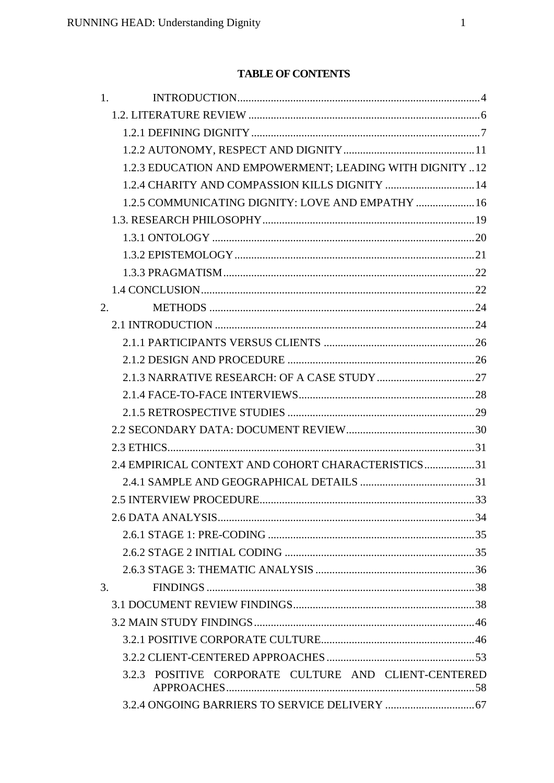# **TABLE OF CONTENTS**

| 1.                                                       |  |
|----------------------------------------------------------|--|
|                                                          |  |
|                                                          |  |
|                                                          |  |
| 1.2.3 EDUCATION AND EMPOWERMENT; LEADING WITH DIGNITY 12 |  |
| 1.2.4 CHARITY AND COMPASSION KILLS DIGNITY  14           |  |
| 1.2.5 COMMUNICATING DIGNITY: LOVE AND EMPATHY  16        |  |
|                                                          |  |
|                                                          |  |
|                                                          |  |
|                                                          |  |
|                                                          |  |
| 2.                                                       |  |
|                                                          |  |
|                                                          |  |
|                                                          |  |
|                                                          |  |
|                                                          |  |
|                                                          |  |
|                                                          |  |
|                                                          |  |
| 2.4 EMPIRICAL CONTEXT AND COHORT CHARACTERISTICS31       |  |
|                                                          |  |
|                                                          |  |
|                                                          |  |
|                                                          |  |
|                                                          |  |
|                                                          |  |
| 3.                                                       |  |
|                                                          |  |
|                                                          |  |
|                                                          |  |
|                                                          |  |
| 3.2.3 POSITIVE CORPORATE CULTURE AND CLIENT-CENTERED     |  |
|                                                          |  |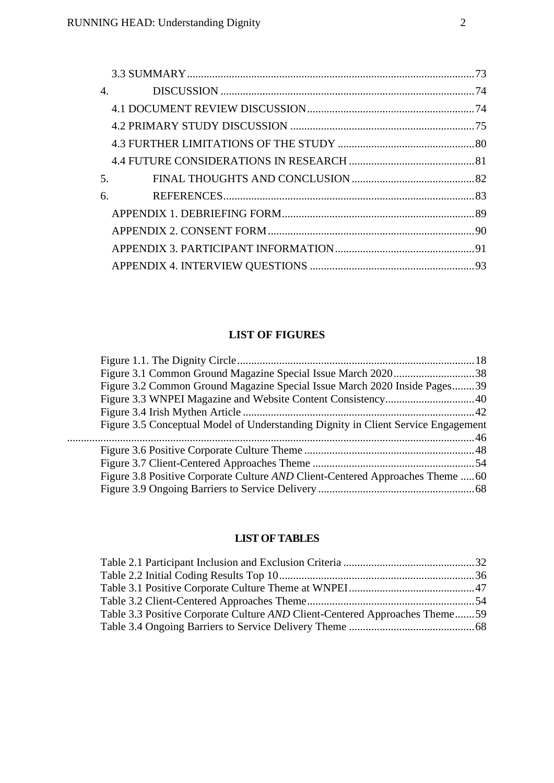| 4. |  |
|----|--|
|    |  |
|    |  |
|    |  |
|    |  |
| 5. |  |
| 6. |  |
|    |  |
|    |  |
|    |  |
|    |  |
|    |  |

# **LIST OF FIGURES**

| Figure 3.1 Common Ground Magazine Special Issue March 202038                      |  |
|-----------------------------------------------------------------------------------|--|
| Figure 3.2 Common Ground Magazine Special Issue March 2020 Inside Pages39         |  |
|                                                                                   |  |
|                                                                                   |  |
| Figure 3.5 Conceptual Model of Understanding Dignity in Client Service Engagement |  |
|                                                                                   |  |
|                                                                                   |  |
|                                                                                   |  |
| Figure 3.8 Positive Corporate Culture AND Client-Centered Approaches Theme 60     |  |
|                                                                                   |  |
|                                                                                   |  |

# **LIST OF TABLES**

| Table 3.3 Positive Corporate Culture AND Client-Centered Approaches Theme59 |  |
|-----------------------------------------------------------------------------|--|
|                                                                             |  |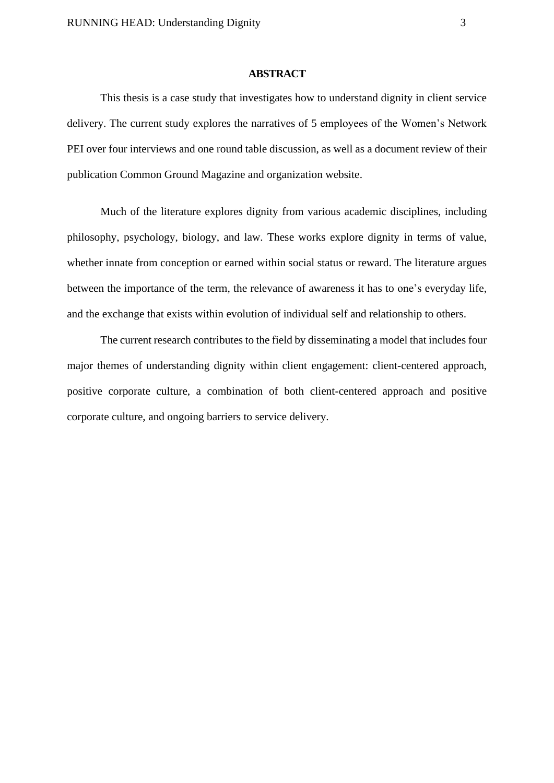#### **ABSTRACT**

This thesis is a case study that investigates how to understand dignity in client service delivery. The current study explores the narratives of 5 employees of the Women's Network PEI over four interviews and one round table discussion, as well as a document review of their publication Common Ground Magazine and organization website.

Much of the literature explores dignity from various academic disciplines, including philosophy, psychology, biology, and law. These works explore dignity in terms of value, whether innate from conception or earned within social status or reward. The literature argues between the importance of the term, the relevance of awareness it has to one's everyday life, and the exchange that exists within evolution of individual self and relationship to others.

The current research contributes to the field by disseminating a model that includes four major themes of understanding dignity within client engagement: client-centered approach, positive corporate culture, a combination of both client-centered approach and positive corporate culture, and ongoing barriers to service delivery.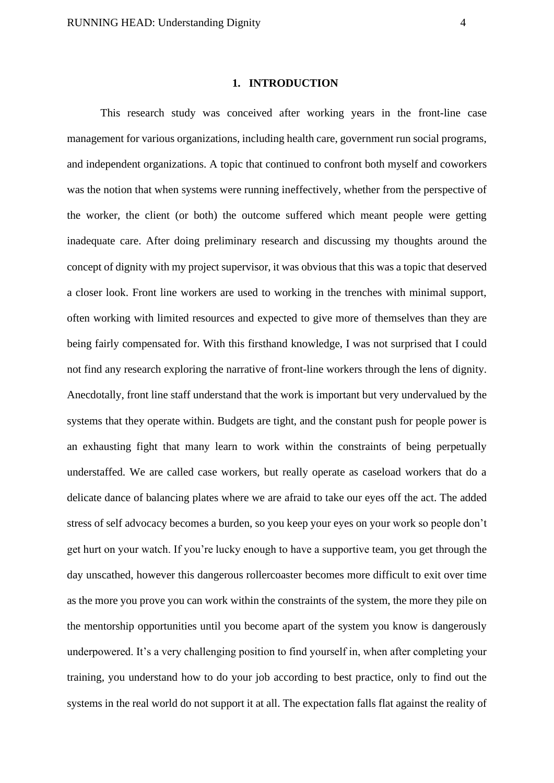#### **1. INTRODUCTION**

<span id="page-4-0"></span>This research study was conceived after working years in the front-line case management for various organizations, including health care, government run social programs, and independent organizations. A topic that continued to confront both myself and coworkers was the notion that when systems were running ineffectively, whether from the perspective of the worker, the client (or both) the outcome suffered which meant people were getting inadequate care. After doing preliminary research and discussing my thoughts around the concept of dignity with my project supervisor, it was obvious that this was a topic that deserved a closer look. Front line workers are used to working in the trenches with minimal support, often working with limited resources and expected to give more of themselves than they are being fairly compensated for. With this firsthand knowledge, I was not surprised that I could not find any research exploring the narrative of front-line workers through the lens of dignity. Anecdotally, front line staff understand that the work is important but very undervalued by the systems that they operate within. Budgets are tight, and the constant push for people power is an exhausting fight that many learn to work within the constraints of being perpetually understaffed. We are called case workers, but really operate as caseload workers that do a delicate dance of balancing plates where we are afraid to take our eyes off the act. The added stress of self advocacy becomes a burden, so you keep your eyes on your work so people don't get hurt on your watch. If you're lucky enough to have a supportive team, you get through the day unscathed, however this dangerous rollercoaster becomes more difficult to exit over time as the more you prove you can work within the constraints of the system, the more they pile on the mentorship opportunities until you become apart of the system you know is dangerously underpowered. It's a very challenging position to find yourself in, when after completing your training, you understand how to do your job according to best practice, only to find out the systems in the real world do not support it at all. The expectation falls flat against the reality of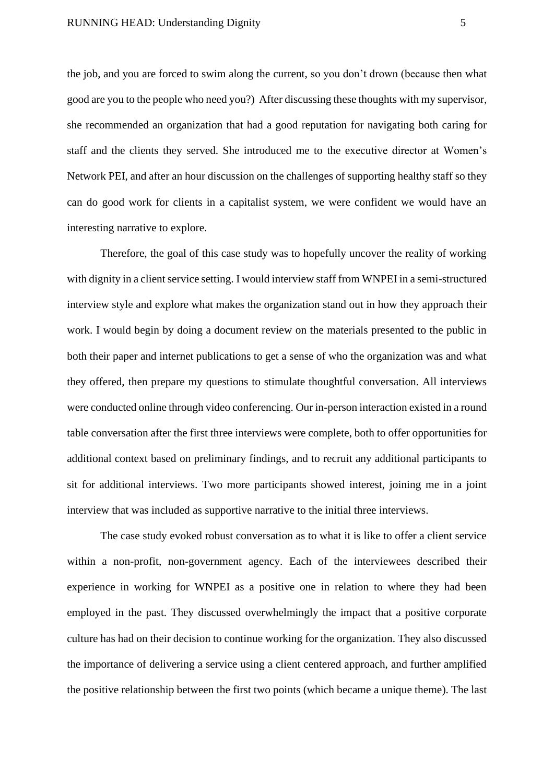the job, and you are forced to swim along the current, so you don't drown (because then what good are you to the people who need you?) After discussing these thoughts with my supervisor, she recommended an organization that had a good reputation for navigating both caring for staff and the clients they served. She introduced me to the executive director at Women's Network PEI, and after an hour discussion on the challenges of supporting healthy staff so they can do good work for clients in a capitalist system, we were confident we would have an interesting narrative to explore.

Therefore, the goal of this case study was to hopefully uncover the reality of working with dignity in a client service setting. I would interview staff from WNPEI in a semi-structured interview style and explore what makes the organization stand out in how they approach their work. I would begin by doing a document review on the materials presented to the public in both their paper and internet publications to get a sense of who the organization was and what they offered, then prepare my questions to stimulate thoughtful conversation. All interviews were conducted online through video conferencing. Our in-person interaction existed in a round table conversation after the first three interviews were complete, both to offer opportunities for additional context based on preliminary findings, and to recruit any additional participants to sit for additional interviews. Two more participants showed interest, joining me in a joint interview that was included as supportive narrative to the initial three interviews.

The case study evoked robust conversation as to what it is like to offer a client service within a non-profit, non-government agency. Each of the interviewees described their experience in working for WNPEI as a positive one in relation to where they had been employed in the past. They discussed overwhelmingly the impact that a positive corporate culture has had on their decision to continue working for the organization. They also discussed the importance of delivering a service using a client centered approach, and further amplified the positive relationship between the first two points (which became a unique theme). The last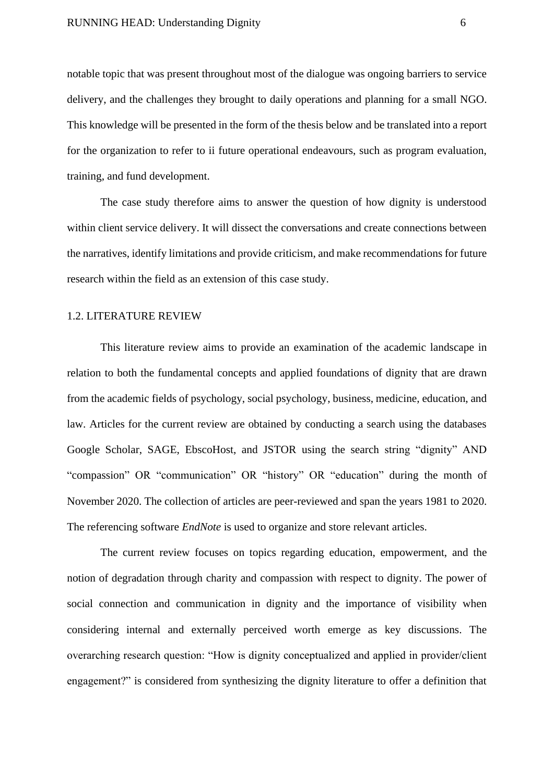notable topic that was present throughout most of the dialogue was ongoing barriers to service delivery, and the challenges they brought to daily operations and planning for a small NGO. This knowledge will be presented in the form of the thesis below and be translated into a report for the organization to refer to ii future operational endeavours, such as program evaluation, training, and fund development.

The case study therefore aims to answer the question of how dignity is understood within client service delivery. It will dissect the conversations and create connections between the narratives, identify limitations and provide criticism, and make recommendations for future research within the field as an extension of this case study.

#### <span id="page-6-0"></span>1.2. LITERATURE REVIEW

This literature review aims to provide an examination of the academic landscape in relation to both the fundamental concepts and applied foundations of dignity that are drawn from the academic fields of psychology, social psychology, business, medicine, education, and law. Articles for the current review are obtained by conducting a search using the databases Google Scholar, SAGE, EbscoHost, and JSTOR using the search string "dignity" AND "compassion" OR "communication" OR "history" OR "education" during the month of November 2020. The collection of articles are peer-reviewed and span the years 1981 to 2020. The referencing software *EndNote* is used to organize and store relevant articles.

The current review focuses on topics regarding education, empowerment, and the notion of degradation through charity and compassion with respect to dignity. The power of social connection and communication in dignity and the importance of visibility when considering internal and externally perceived worth emerge as key discussions. The overarching research question: "How is dignity conceptualized and applied in provider/client engagement?" is considered from synthesizing the dignity literature to offer a definition that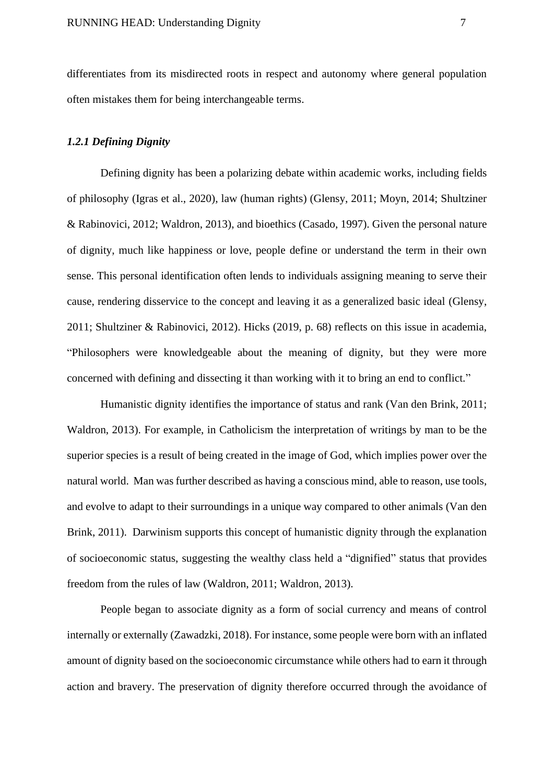differentiates from its misdirected roots in respect and autonomy where general population often mistakes them for being interchangeable terms.

## <span id="page-7-0"></span>*1.2.1 Defining Dignity*

Defining dignity has been a polarizing debate within academic works, including fields of philosophy (Igras et al., 2020), law (human rights) (Glensy, 2011; Moyn, 2014; Shultziner & Rabinovici, 2012; Waldron, 2013), and bioethics (Casado, 1997). Given the personal nature of dignity, much like happiness or love, people define or understand the term in their own sense. This personal identification often lends to individuals assigning meaning to serve their cause, rendering disservice to the concept and leaving it as a generalized basic ideal (Glensy, 2011; Shultziner & Rabinovici, 2012). Hicks (2019, p. 68) reflects on this issue in academia, "Philosophers were knowledgeable about the meaning of dignity, but they were more concerned with defining and dissecting it than working with it to bring an end to conflict."

Humanistic dignity identifies the importance of status and rank (Van den Brink, 2011; Waldron, 2013). For example, in Catholicism the interpretation of writings by man to be the superior species is a result of being created in the image of God, which implies power over the natural world. Man was further described as having a conscious mind, able to reason, use tools, and evolve to adapt to their surroundings in a unique way compared to other animals (Van den Brink, 2011). Darwinism supports this concept of humanistic dignity through the explanation of socioeconomic status, suggesting the wealthy class held a "dignified" status that provides freedom from the rules of law (Waldron, 2011; Waldron, 2013).

People began to associate dignity as a form of social currency and means of control internally or externally (Zawadzki, 2018). For instance, some people were born with an inflated amount of dignity based on the socioeconomic circumstance while others had to earn it through action and bravery. The preservation of dignity therefore occurred through the avoidance of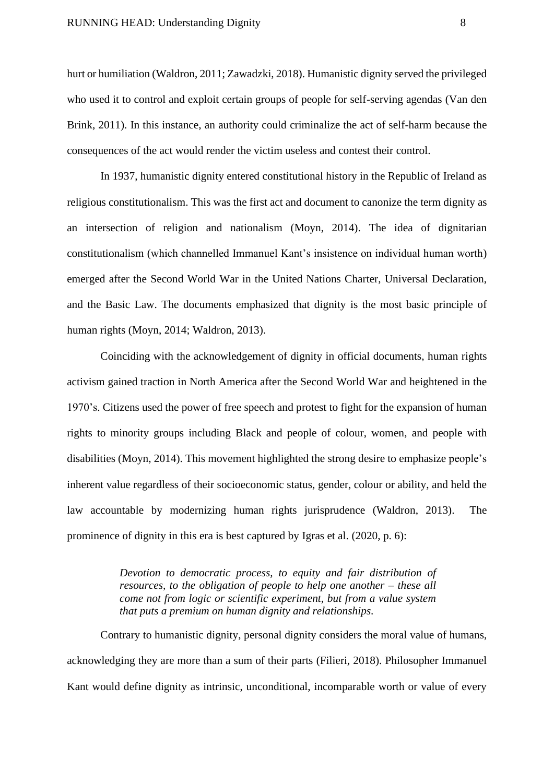hurt or humiliation (Waldron, 2011; Zawadzki, 2018). Humanistic dignity served the privileged who used it to control and exploit certain groups of people for self-serving agendas (Van den Brink, 2011). In this instance, an authority could criminalize the act of self-harm because the consequences of the act would render the victim useless and contest their control.

In 1937, humanistic dignity entered constitutional history in the Republic of Ireland as religious constitutionalism. This was the first act and document to canonize the term dignity as an intersection of religion and nationalism (Moyn, 2014). The idea of dignitarian constitutionalism (which channelled Immanuel Kant's insistence on individual human worth) emerged after the Second World War in the United Nations Charter, Universal Declaration, and the Basic Law. The documents emphasized that dignity is the most basic principle of human rights (Moyn, 2014; Waldron, 2013).

Coinciding with the acknowledgement of dignity in official documents, human rights activism gained traction in North America after the Second World War and heightened in the 1970's. Citizens used the power of free speech and protest to fight for the expansion of human rights to minority groups including Black and people of colour, women, and people with disabilities (Moyn, 2014). This movement highlighted the strong desire to emphasize people's inherent value regardless of their socioeconomic status, gender, colour or ability, and held the law accountable by modernizing human rights jurisprudence (Waldron, 2013). The prominence of dignity in this era is best captured by Igras et al. (2020, p. 6):

> *Devotion to democratic process, to equity and fair distribution of resources, to the obligation of people to help one another – these all come not from logic or scientific experiment, but from a value system that puts a premium on human dignity and relationships.*

Contrary to humanistic dignity, personal dignity considers the moral value of humans, acknowledging they are more than a sum of their parts (Filieri, 2018). Philosopher Immanuel Kant would define dignity as intrinsic, unconditional, incomparable worth or value of every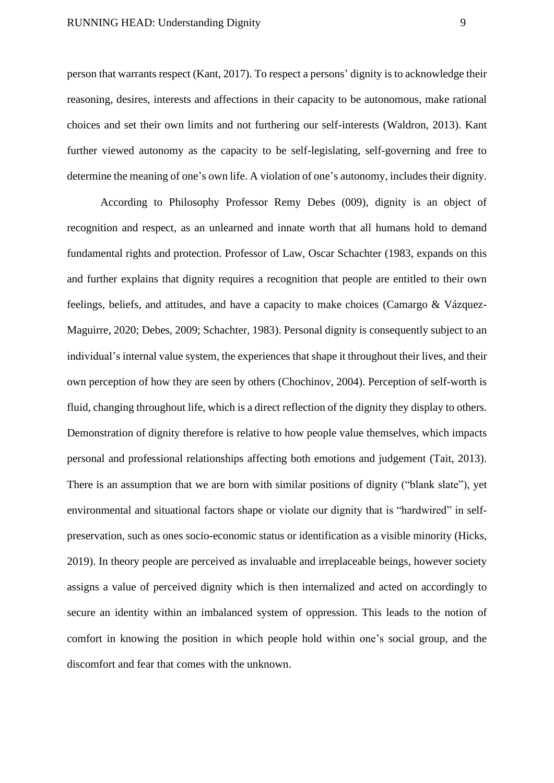person that warrants respect (Kant, 2017). To respect a persons' dignity is to acknowledge their reasoning, desires, interests and affections in their capacity to be autonomous, make rational choices and set their own limits and not furthering our self-interests (Waldron, 2013). Kant further viewed autonomy as the capacity to be self-legislating, self-governing and free to determine the meaning of one's own life. A violation of one's autonomy, includes their dignity.

According to Philosophy Professor Remy Debes (009), dignity is an object of recognition and respect, as an unlearned and innate worth that all humans hold to demand fundamental rights and protection. Professor of Law, Oscar Schachter (1983, expands on this and further explains that dignity requires a recognition that people are entitled to their own feelings, beliefs, and attitudes, and have a capacity to make choices (Camargo & Vázquez-Maguirre, 2020; Debes, 2009; Schachter, 1983). Personal dignity is consequently subject to an individual's internal value system, the experiences that shape it throughout their lives, and their own perception of how they are seen by others (Chochinov, 2004). Perception of self-worth is fluid, changing throughout life, which is a direct reflection of the dignity they display to others. Demonstration of dignity therefore is relative to how people value themselves, which impacts personal and professional relationships affecting both emotions and judgement (Tait, 2013). There is an assumption that we are born with similar positions of dignity ("blank slate"), yet environmental and situational factors shape or violate our dignity that is "hardwired" in selfpreservation, such as ones socio-economic status or identification as a visible minority (Hicks, 2019). In theory people are perceived as invaluable and irreplaceable beings, however society assigns a value of perceived dignity which is then internalized and acted on accordingly to secure an identity within an imbalanced system of oppression. This leads to the notion of comfort in knowing the position in which people hold within one's social group, and the discomfort and fear that comes with the unknown.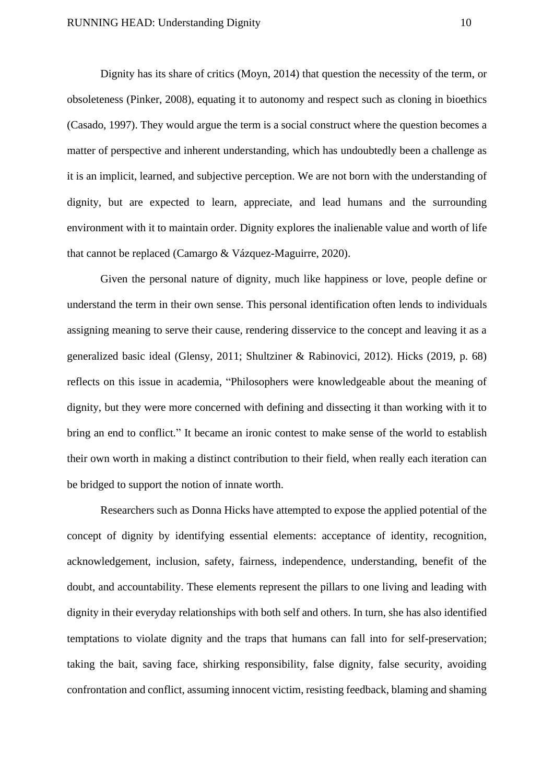Dignity has its share of critics (Moyn, 2014) that question the necessity of the term, or obsoleteness (Pinker, 2008), equating it to autonomy and respect such as cloning in bioethics (Casado, 1997). They would argue the term is a social construct where the question becomes a matter of perspective and inherent understanding, which has undoubtedly been a challenge as it is an implicit, learned, and subjective perception. We are not born with the understanding of dignity, but are expected to learn, appreciate, and lead humans and the surrounding environment with it to maintain order. Dignity explores the inalienable value and worth of life that cannot be replaced (Camargo & Vázquez-Maguirre, 2020).

Given the personal nature of dignity, much like happiness or love, people define or understand the term in their own sense. This personal identification often lends to individuals assigning meaning to serve their cause, rendering disservice to the concept and leaving it as a generalized basic ideal (Glensy, 2011; Shultziner & Rabinovici, 2012). Hicks (2019, p. 68) reflects on this issue in academia, "Philosophers were knowledgeable about the meaning of dignity, but they were more concerned with defining and dissecting it than working with it to bring an end to conflict." It became an ironic contest to make sense of the world to establish their own worth in making a distinct contribution to their field, when really each iteration can be bridged to support the notion of innate worth.

Researchers such as Donna Hicks have attempted to expose the applied potential of the concept of dignity by identifying essential elements: acceptance of identity, recognition, acknowledgement, inclusion, safety, fairness, independence, understanding, benefit of the doubt, and accountability. These elements represent the pillars to one living and leading with dignity in their everyday relationships with both self and others. In turn, she has also identified temptations to violate dignity and the traps that humans can fall into for self-preservation; taking the bait, saving face, shirking responsibility, false dignity, false security, avoiding confrontation and conflict, assuming innocent victim, resisting feedback, blaming and shaming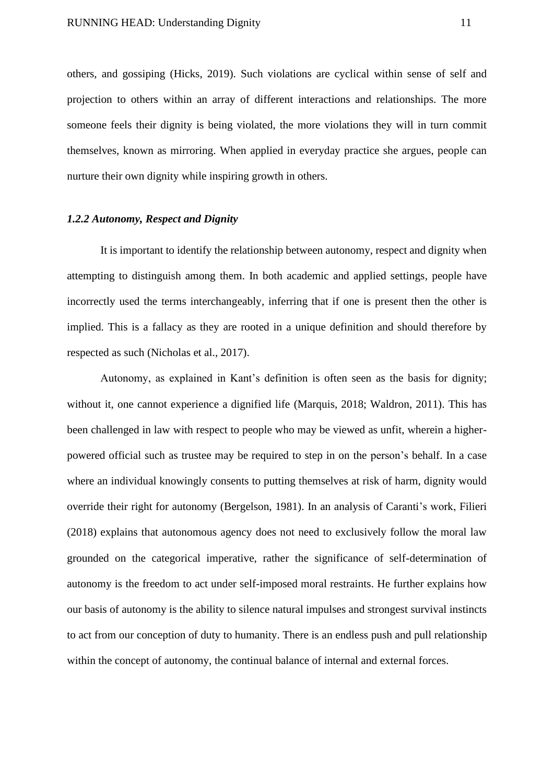others, and gossiping (Hicks, 2019). Such violations are cyclical within sense of self and projection to others within an array of different interactions and relationships. The more someone feels their dignity is being violated, the more violations they will in turn commit themselves, known as mirroring. When applied in everyday practice she argues, people can nurture their own dignity while inspiring growth in others.

## <span id="page-11-0"></span>*1.2.2 Autonomy, Respect and Dignity*

It is important to identify the relationship between autonomy, respect and dignity when attempting to distinguish among them. In both academic and applied settings, people have incorrectly used the terms interchangeably, inferring that if one is present then the other is implied. This is a fallacy as they are rooted in a unique definition and should therefore by respected as such (Nicholas et al., 2017).

Autonomy, as explained in Kant's definition is often seen as the basis for dignity; without it, one cannot experience a dignified life (Marquis, 2018; Waldron, 2011). This has been challenged in law with respect to people who may be viewed as unfit, wherein a higherpowered official such as trustee may be required to step in on the person's behalf. In a case where an individual knowingly consents to putting themselves at risk of harm, dignity would override their right for autonomy (Bergelson, 1981). In an analysis of Caranti's work, Filieri (2018) explains that autonomous agency does not need to exclusively follow the moral law grounded on the categorical imperative, rather the significance of self-determination of autonomy is the freedom to act under self-imposed moral restraints. He further explains how our basis of autonomy is the ability to silence natural impulses and strongest survival instincts to act from our conception of duty to humanity. There is an endless push and pull relationship within the concept of autonomy, the continual balance of internal and external forces.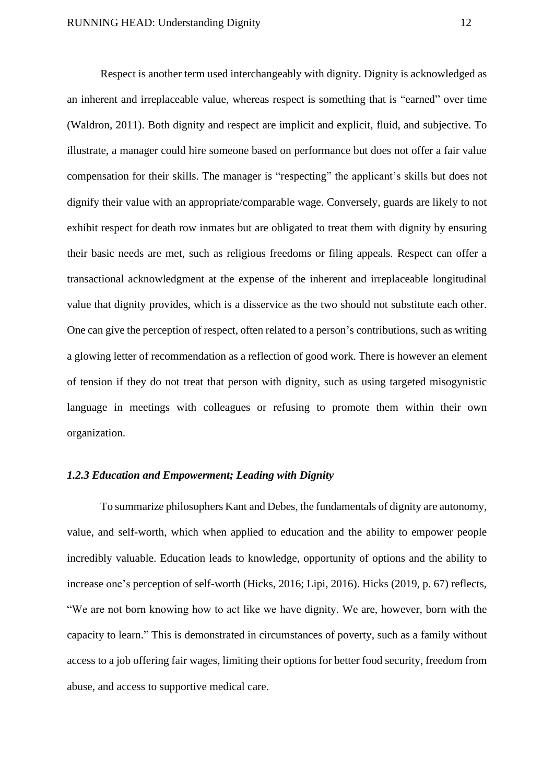Respect is another term used interchangeably with dignity. Dignity is acknowledged as an inherent and irreplaceable value, whereas respect is something that is "earned" over time (Waldron, 2011). Both dignity and respect are implicit and explicit, fluid, and subjective. To illustrate, a manager could hire someone based on performance but does not offer a fair value compensation for their skills. The manager is "respecting" the applicant's skills but does not dignify their value with an appropriate/comparable wage. Conversely, guards are likely to not exhibit respect for death row inmates but are obligated to treat them with dignity by ensuring their basic needs are met, such as religious freedoms or filing appeals. Respect can offer a transactional acknowledgment at the expense of the inherent and irreplaceable longitudinal value that dignity provides, which is a disservice as the two should not substitute each other. One can give the perception of respect, often related to a person's contributions, such as writing a glowing letter of recommendation as a reflection of good work. There is however an element of tension if they do not treat that person with dignity, such as using targeted misogynistic language in meetings with colleagues or refusing to promote them within their own organization.

## <span id="page-12-0"></span>*1.2.3 Education and Empowerment; Leading with Dignity*

To summarize philosophers Kant and Debes, the fundamentals of dignity are autonomy, value, and self-worth, which when applied to education and the ability to empower people incredibly valuable. Education leads to knowledge, opportunity of options and the ability to increase one's perception of self-worth (Hicks, 2016; Lipi, 2016). Hicks (2019, p. 67) reflects, "We are not born knowing how to act like we have dignity. We are, however, born with the capacity to learn." This is demonstrated in circumstances of poverty, such as a family without access to a job offering fair wages, limiting their options for better food security, freedom from abuse, and access to supportive medical care.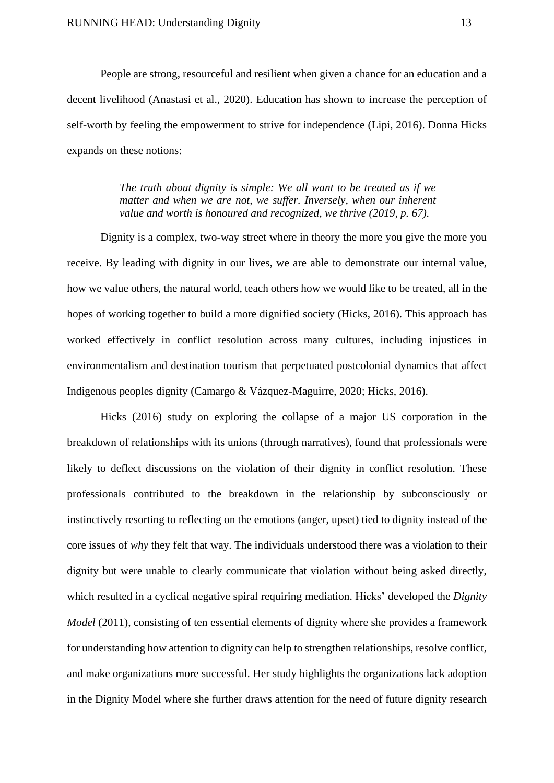People are strong, resourceful and resilient when given a chance for an education and a decent livelihood (Anastasi et al., 2020). Education has shown to increase the perception of self-worth by feeling the empowerment to strive for independence (Lipi, 2016). Donna Hicks expands on these notions:

> *The truth about dignity is simple: We all want to be treated as if we matter and when we are not, we suffer. Inversely, when our inherent value and worth is honoured and recognized, we thrive (2019, p. 67).*

Dignity is a complex, two-way street where in theory the more you give the more you receive. By leading with dignity in our lives, we are able to demonstrate our internal value, how we value others, the natural world, teach others how we would like to be treated, all in the hopes of working together to build a more dignified society (Hicks, 2016). This approach has worked effectively in conflict resolution across many cultures, including injustices in environmentalism and destination tourism that perpetuated postcolonial dynamics that affect Indigenous peoples dignity (Camargo & Vázquez-Maguirre, 2020; Hicks, 2016).

Hicks (2016) study on exploring the collapse of a major US corporation in the breakdown of relationships with its unions (through narratives), found that professionals were likely to deflect discussions on the violation of their dignity in conflict resolution. These professionals contributed to the breakdown in the relationship by subconsciously or instinctively resorting to reflecting on the emotions (anger, upset) tied to dignity instead of the core issues of *why* they felt that way. The individuals understood there was a violation to their dignity but were unable to clearly communicate that violation without being asked directly, which resulted in a cyclical negative spiral requiring mediation. Hicks' developed the *Dignity Model* (2011), consisting of ten essential elements of dignity where she provides a framework for understanding how attention to dignity can help to strengthen relationships, resolve conflict, and make organizations more successful. Her study highlights the organizations lack adoption in the Dignity Model where she further draws attention for the need of future dignity research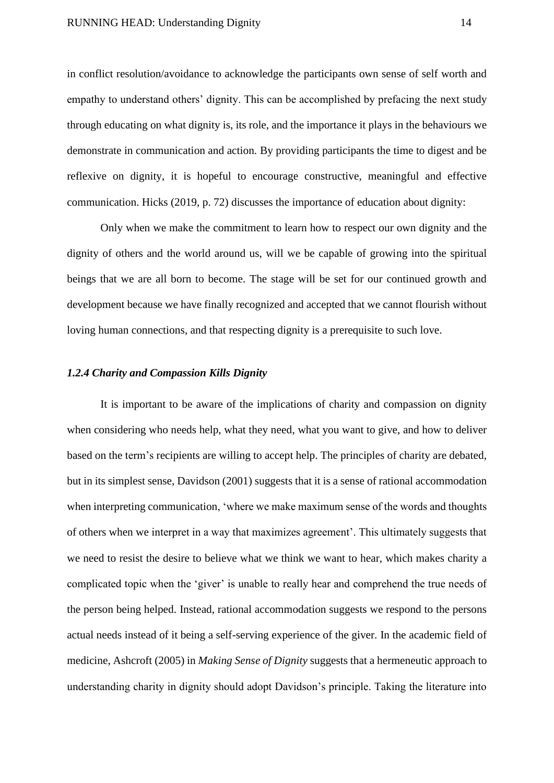in conflict resolution/avoidance to acknowledge the participants own sense of self worth and empathy to understand others' dignity. This can be accomplished by prefacing the next study through educating on what dignity is, its role, and the importance it plays in the behaviours we demonstrate in communication and action. By providing participants the time to digest and be reflexive on dignity, it is hopeful to encourage constructive, meaningful and effective communication. Hicks (2019, p. 72) discusses the importance of education about dignity:

Only when we make the commitment to learn how to respect our own dignity and the dignity of others and the world around us, will we be capable of growing into the spiritual beings that we are all born to become. The stage will be set for our continued growth and development because we have finally recognized and accepted that we cannot flourish without loving human connections, and that respecting dignity is a prerequisite to such love.

## <span id="page-14-0"></span>*1.2.4 Charity and Compassion Kills Dignity*

It is important to be aware of the implications of charity and compassion on dignity when considering who needs help, what they need, what you want to give, and how to deliver based on the term's recipients are willing to accept help. The principles of charity are debated, but in its simplest sense, Davidson (2001) suggests that it is a sense of rational accommodation when interpreting communication, 'where we make maximum sense of the words and thoughts of others when we interpret in a way that maximizes agreement'. This ultimately suggests that we need to resist the desire to believe what we think we want to hear, which makes charity a complicated topic when the 'giver' is unable to really hear and comprehend the true needs of the person being helped. Instead, rational accommodation suggests we respond to the persons actual needs instead of it being a self-serving experience of the giver. In the academic field of medicine, Ashcroft (2005) in *Making Sense of Dignity* suggests that a hermeneutic approach to understanding charity in dignity should adopt Davidson's principle. Taking the literature into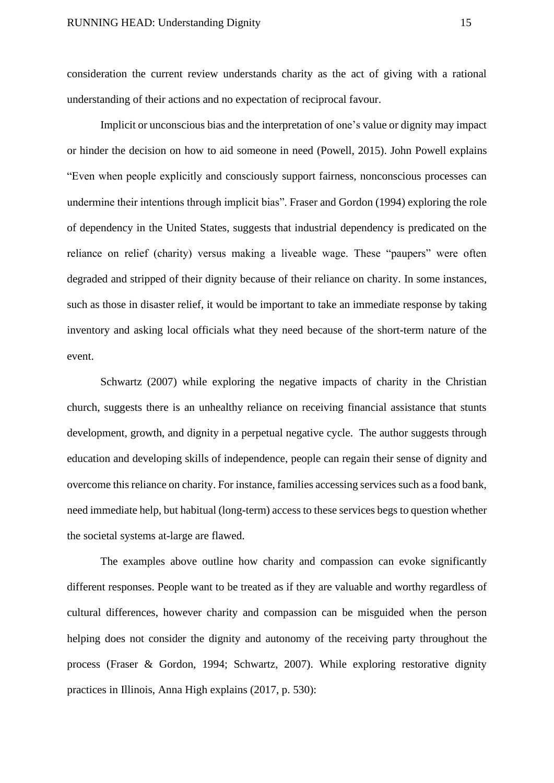consideration the current review understands charity as the act of giving with a rational understanding of their actions and no expectation of reciprocal favour.

Implicit or unconscious bias and the interpretation of one's value or dignity may impact or hinder the decision on how to aid someone in need (Powell, 2015). John Powell explains "Even when people explicitly and consciously support fairness, nonconscious processes can undermine their intentions through implicit bias". Fraser and Gordon (1994) exploring the role of dependency in the United States, suggests that industrial dependency is predicated on the reliance on relief (charity) versus making a liveable wage. These "paupers" were often degraded and stripped of their dignity because of their reliance on charity. In some instances, such as those in disaster relief, it would be important to take an immediate response by taking inventory and asking local officials what they need because of the short-term nature of the event.

Schwartz (2007) while exploring the negative impacts of charity in the Christian church, suggests there is an unhealthy reliance on receiving financial assistance that stunts development, growth, and dignity in a perpetual negative cycle. The author suggests through education and developing skills of independence, people can regain their sense of dignity and overcome this reliance on charity. For instance, families accessing services such as a food bank, need immediate help, but habitual (long-term) access to these services begs to question whether the societal systems at-large are flawed.

The examples above outline how charity and compassion can evoke significantly different responses. People want to be treated as if they are valuable and worthy regardless of cultural differences, however charity and compassion can be misguided when the person helping does not consider the dignity and autonomy of the receiving party throughout the process (Fraser & Gordon, 1994; Schwartz, 2007). While exploring restorative dignity practices in Illinois, Anna High explains (2017, p. 530):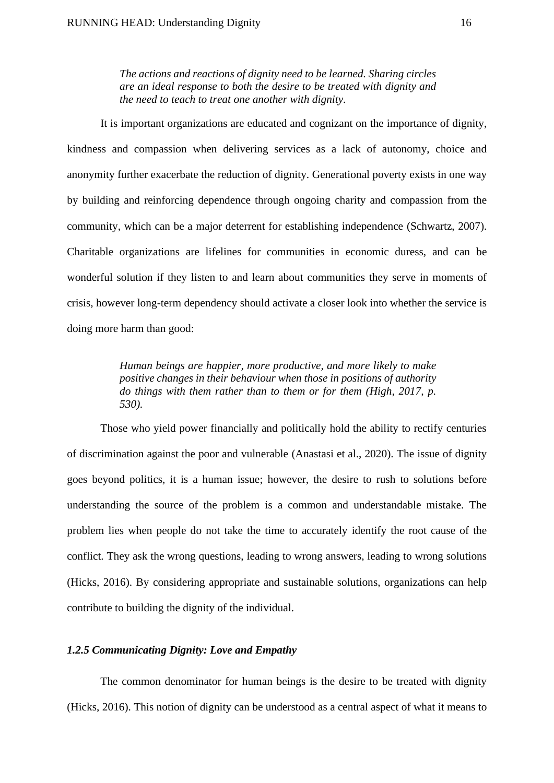*The actions and reactions of dignity need to be learned. Sharing circles are an ideal response to both the desire to be treated with dignity and the need to teach to treat one another with dignity.*

It is important organizations are educated and cognizant on the importance of dignity, kindness and compassion when delivering services as a lack of autonomy, choice and anonymity further exacerbate the reduction of dignity. Generational poverty exists in one way by building and reinforcing dependence through ongoing charity and compassion from the community, which can be a major deterrent for establishing independence (Schwartz, 2007). Charitable organizations are lifelines for communities in economic duress, and can be wonderful solution if they listen to and learn about communities they serve in moments of crisis, however long-term dependency should activate a closer look into whether the service is doing more harm than good:

> *Human beings are happier, more productive, and more likely to make positive changes in their behaviour when those in positions of authority do things with them rather than to them or for them (High, 2017, p. 530).*

Those who yield power financially and politically hold the ability to rectify centuries of discrimination against the poor and vulnerable (Anastasi et al., 2020). The issue of dignity goes beyond politics, it is a human issue; however, the desire to rush to solutions before understanding the source of the problem is a common and understandable mistake. The problem lies when people do not take the time to accurately identify the root cause of the conflict. They ask the wrong questions, leading to wrong answers, leading to wrong solutions (Hicks, 2016). By considering appropriate and sustainable solutions, organizations can help contribute to building the dignity of the individual.

## <span id="page-16-0"></span>*1.2.5 Communicating Dignity: Love and Empathy*

The common denominator for human beings is the desire to be treated with dignity (Hicks, 2016). This notion of dignity can be understood as a central aspect of what it means to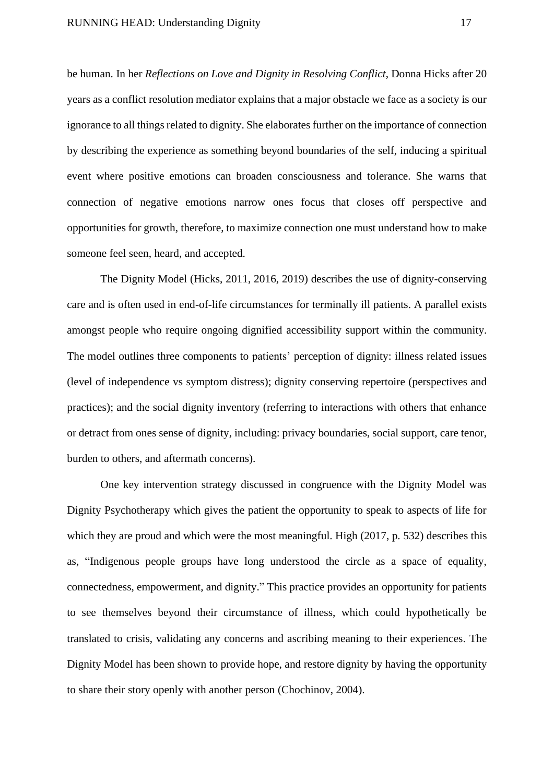be human. In her *Reflections on Love and Dignity in Resolving Conflict*, Donna Hicks after 20 years as a conflict resolution mediator explains that a major obstacle we face as a society is our ignorance to all things related to dignity. She elaborates further on the importance of connection by describing the experience as something beyond boundaries of the self, inducing a spiritual event where positive emotions can broaden consciousness and tolerance. She warns that connection of negative emotions narrow ones focus that closes off perspective and opportunities for growth, therefore, to maximize connection one must understand how to make someone feel seen, heard, and accepted.

The Dignity Model (Hicks, 2011, 2016, 2019) describes the use of dignity-conserving care and is often used in end-of-life circumstances for terminally ill patients. A parallel exists amongst people who require ongoing dignified accessibility support within the community. The model outlines three components to patients' perception of dignity: illness related issues (level of independence vs symptom distress); dignity conserving repertoire (perspectives and practices); and the social dignity inventory (referring to interactions with others that enhance or detract from ones sense of dignity, including: privacy boundaries, social support, care tenor, burden to others, and aftermath concerns).

One key intervention strategy discussed in congruence with the Dignity Model was Dignity Psychotherapy which gives the patient the opportunity to speak to aspects of life for which they are proud and which were the most meaningful. High (2017, p. 532) describes this as, "Indigenous people groups have long understood the circle as a space of equality, connectedness, empowerment, and dignity." This practice provides an opportunity for patients to see themselves beyond their circumstance of illness, which could hypothetically be translated to crisis, validating any concerns and ascribing meaning to their experiences. The Dignity Model has been shown to provide hope, and restore dignity by having the opportunity to share their story openly with another person (Chochinov, 2004).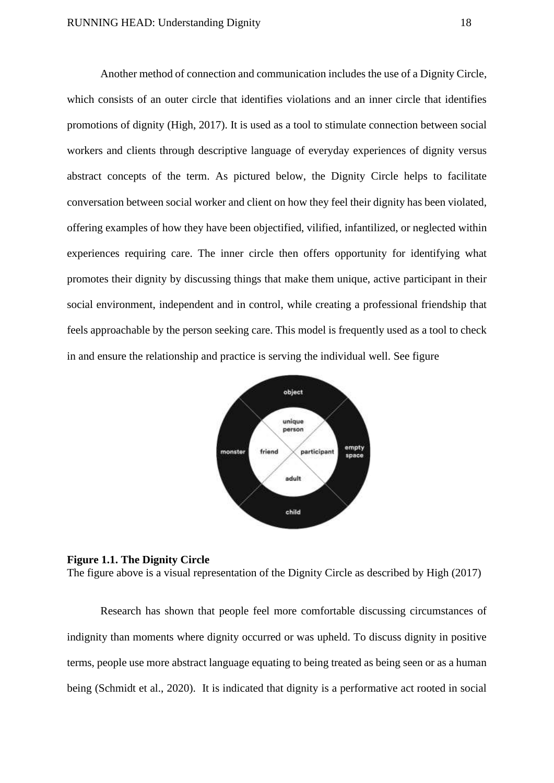Another method of connection and communication includes the use of a Dignity Circle, which consists of an outer circle that identifies violations and an inner circle that identifies promotions of dignity (High, 2017). It is used as a tool to stimulate connection between social workers and clients through descriptive language of everyday experiences of dignity versus abstract concepts of the term. As pictured below, the Dignity Circle helps to facilitate conversation between social worker and client on how they feel their dignity has been violated, offering examples of how they have been objectified, vilified, infantilized, or neglected within experiences requiring care. The inner circle then offers opportunity for identifying what promotes their dignity by discussing things that make them unique, active participant in their social environment, independent and in control, while creating a professional friendship that feels approachable by the person seeking care. This model is frequently used as a tool to check in and ensure the relationship and practice is serving the individual well. See figure



### <span id="page-18-0"></span>**Figure 1.1. The Dignity Circle**

The figure above is a visual representation of the Dignity Circle as described by High (2017)

Research has shown that people feel more comfortable discussing circumstances of indignity than moments where dignity occurred or was upheld. To discuss dignity in positive terms, people use more abstract language equating to being treated as being seen or as a human being (Schmidt et al., 2020). It is indicated that dignity is a performative act rooted in social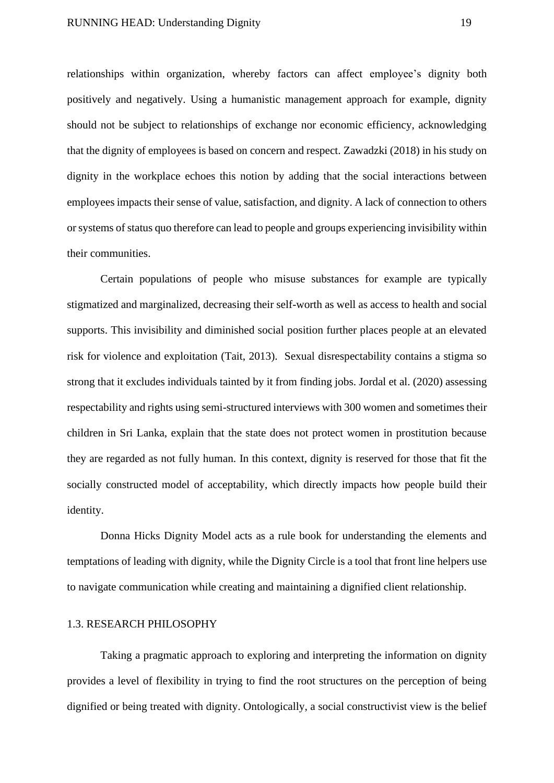relationships within organization, whereby factors can affect employee's dignity both positively and negatively. Using a humanistic management approach for example, dignity should not be subject to relationships of exchange nor economic efficiency, acknowledging that the dignity of employees is based on concern and respect. Zawadzki (2018) in his study on dignity in the workplace echoes this notion by adding that the social interactions between employees impacts their sense of value, satisfaction, and dignity. A lack of connection to others or systems of status quo therefore can lead to people and groups experiencing invisibility within their communities.

Certain populations of people who misuse substances for example are typically stigmatized and marginalized, decreasing their self-worth as well as access to health and social supports. This invisibility and diminished social position further places people at an elevated risk for violence and exploitation (Tait, 2013). Sexual disrespectability contains a stigma so strong that it excludes individuals tainted by it from finding jobs. Jordal et al. (2020) assessing respectability and rights using semi-structured interviews with 300 women and sometimes their children in Sri Lanka, explain that the state does not protect women in prostitution because they are regarded as not fully human. In this context, dignity is reserved for those that fit the socially constructed model of acceptability, which directly impacts how people build their identity.

Donna Hicks Dignity Model acts as a rule book for understanding the elements and temptations of leading with dignity, while the Dignity Circle is a tool that front line helpers use to navigate communication while creating and maintaining a dignified client relationship.

#### <span id="page-19-0"></span>1.3. RESEARCH PHILOSOPHY

Taking a pragmatic approach to exploring and interpreting the information on dignity provides a level of flexibility in trying to find the root structures on the perception of being dignified or being treated with dignity. Ontologically, a social constructivist view is the belief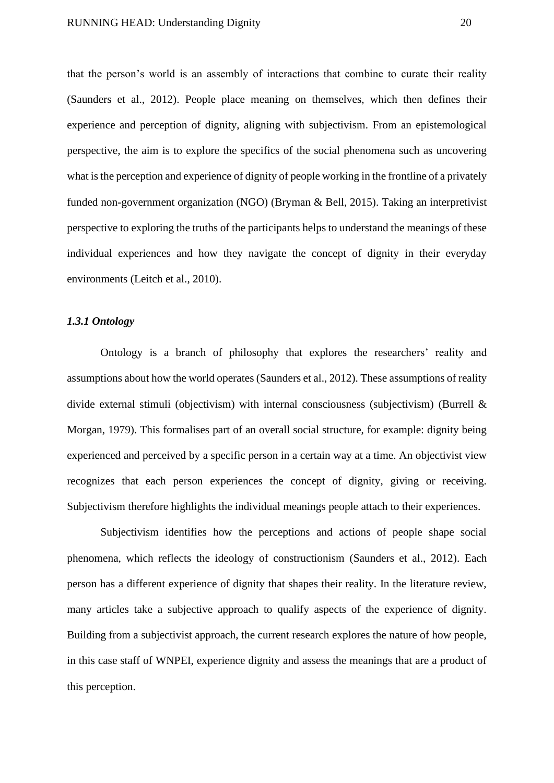that the person's world is an assembly of interactions that combine to curate their reality (Saunders et al., 2012). People place meaning on themselves, which then defines their experience and perception of dignity, aligning with subjectivism. From an epistemological perspective, the aim is to explore the specifics of the social phenomena such as uncovering what is the perception and experience of dignity of people working in the frontline of a privately funded non-government organization (NGO) (Bryman & Bell, 2015). Taking an interpretivist perspective to exploring the truths of the participants helps to understand the meanings of these individual experiences and how they navigate the concept of dignity in their everyday environments (Leitch et al., 2010).

## <span id="page-20-0"></span>*1.3.1 Ontology*

Ontology is a branch of philosophy that explores the researchers' reality and assumptions about how the world operates (Saunders et al., 2012). These assumptions of reality divide external stimuli (objectivism) with internal consciousness (subjectivism) (Burrell & Morgan, 1979). This formalises part of an overall social structure, for example: dignity being experienced and perceived by a specific person in a certain way at a time. An objectivist view recognizes that each person experiences the concept of dignity, giving or receiving. Subjectivism therefore highlights the individual meanings people attach to their experiences.

Subjectivism identifies how the perceptions and actions of people shape social phenomena, which reflects the ideology of constructionism (Saunders et al., 2012). Each person has a different experience of dignity that shapes their reality. In the literature review, many articles take a subjective approach to qualify aspects of the experience of dignity. Building from a subjectivist approach, the current research explores the nature of how people, in this case staff of WNPEI, experience dignity and assess the meanings that are a product of this perception.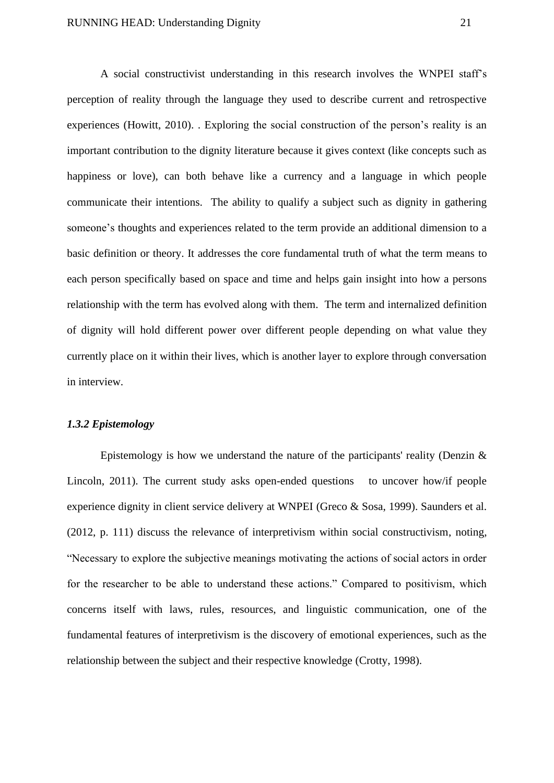A social constructivist understanding in this research involves the WNPEI staff's perception of reality through the language they used to describe current and retrospective experiences (Howitt, 2010). . Exploring the social construction of the person's reality is an important contribution to the dignity literature because it gives context (like concepts such as happiness or love), can both behave like a currency and a language in which people communicate their intentions. The ability to qualify a subject such as dignity in gathering someone's thoughts and experiences related to the term provide an additional dimension to a basic definition or theory. It addresses the core fundamental truth of what the term means to each person specifically based on space and time and helps gain insight into how a persons relationship with the term has evolved along with them. The term and internalized definition of dignity will hold different power over different people depending on what value they currently place on it within their lives, which is another layer to explore through conversation in interview.

## <span id="page-21-0"></span>*1.3.2 Epistemology*

Epistemology is how we understand the nature of the participants' reality (Denzin  $\&$ Lincoln, 2011). The current study asks open-ended questions to uncover how/if people experience dignity in client service delivery at WNPEI (Greco & Sosa, 1999). Saunders et al. (2012, p. 111) discuss the relevance of interpretivism within social constructivism, noting, "Necessary to explore the subjective meanings motivating the actions of social actors in order for the researcher to be able to understand these actions." Compared to positivism, which concerns itself with laws, rules, resources, and linguistic communication, one of the fundamental features of interpretivism is the discovery of emotional experiences, such as the relationship between the subject and their respective knowledge (Crotty, 1998).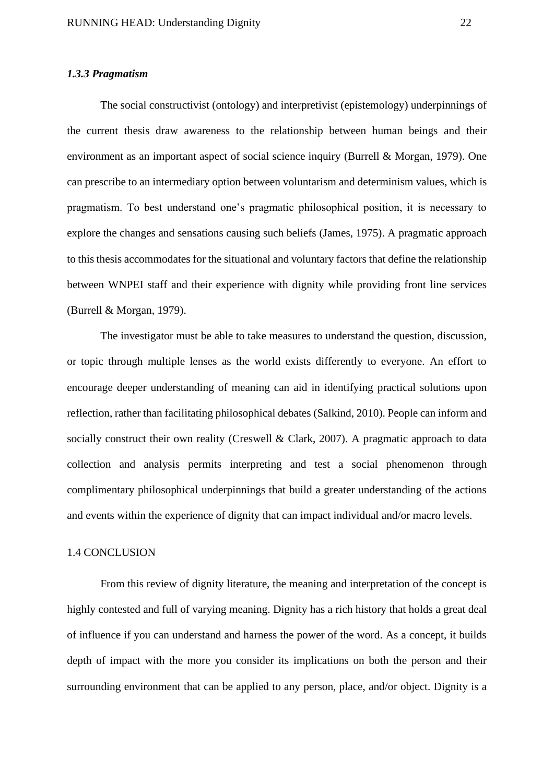## <span id="page-22-0"></span>*1.3.3 Pragmatism*

The social constructivist (ontology) and interpretivist (epistemology) underpinnings of the current thesis draw awareness to the relationship between human beings and their environment as an important aspect of social science inquiry (Burrell & Morgan, 1979). One can prescribe to an intermediary option between voluntarism and determinism values, which is pragmatism. To best understand one's pragmatic philosophical position, it is necessary to explore the changes and sensations causing such beliefs (James, 1975). A pragmatic approach to this thesis accommodates for the situational and voluntary factors that define the relationship between WNPEI staff and their experience with dignity while providing front line services (Burrell & Morgan, 1979).

The investigator must be able to take measures to understand the question, discussion, or topic through multiple lenses as the world exists differently to everyone. An effort to encourage deeper understanding of meaning can aid in identifying practical solutions upon reflection, rather than facilitating philosophical debates (Salkind, 2010). People can inform and socially construct their own reality (Creswell & Clark, 2007). A pragmatic approach to data collection and analysis permits interpreting and test a social phenomenon through complimentary philosophical underpinnings that build a greater understanding of the actions and events within the experience of dignity that can impact individual and/or macro levels.

#### <span id="page-22-1"></span>1.4 CONCLUSION

From this review of dignity literature, the meaning and interpretation of the concept is highly contested and full of varying meaning. Dignity has a rich history that holds a great deal of influence if you can understand and harness the power of the word. As a concept, it builds depth of impact with the more you consider its implications on both the person and their surrounding environment that can be applied to any person, place, and/or object. Dignity is a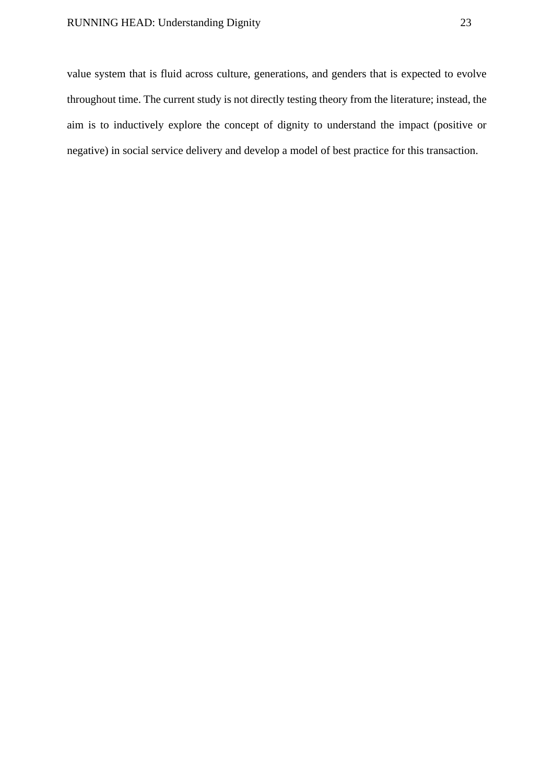# RUNNING HEAD: Understanding Dignity 23

value system that is fluid across culture, generations, and genders that is expected to evolve throughout time. The current study is not directly testing theory from the literature; instead, the aim is to inductively explore the concept of dignity to understand the impact (positive or negative) in social service delivery and develop a model of best practice for this transaction.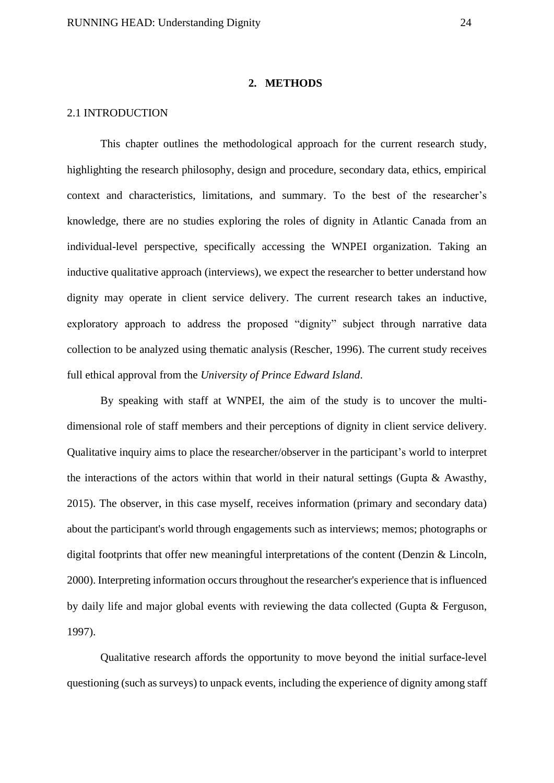#### **2. METHODS**

#### <span id="page-24-1"></span><span id="page-24-0"></span>2.1 INTRODUCTION

This chapter outlines the methodological approach for the current research study, highlighting the research philosophy, design and procedure, secondary data, ethics, empirical context and characteristics, limitations, and summary. To the best of the researcher's knowledge, there are no studies exploring the roles of dignity in Atlantic Canada from an individual-level perspective, specifically accessing the WNPEI organization. Taking an inductive qualitative approach (interviews), we expect the researcher to better understand how dignity may operate in client service delivery. The current research takes an inductive, exploratory approach to address the proposed "dignity" subject through narrative data collection to be analyzed using thematic analysis (Rescher, 1996). The current study receives full ethical approval from the *University of Prince Edward Island*.

By speaking with staff at WNPEI, the aim of the study is to uncover the multidimensional role of staff members and their perceptions of dignity in client service delivery. Qualitative inquiry aims to place the researcher/observer in the participant's world to interpret the interactions of the actors within that world in their natural settings (Gupta & Awasthy, 2015). The observer, in this case myself, receives information (primary and secondary data) about the participant's world through engagements such as interviews; memos; photographs or digital footprints that offer new meaningful interpretations of the content (Denzin & Lincoln, 2000). Interpreting information occurs throughout the researcher's experience that is influenced by daily life and major global events with reviewing the data collected (Gupta & Ferguson, 1997).

Qualitative research affords the opportunity to move beyond the initial surface-level questioning (such as surveys) to unpack events, including the experience of dignity among staff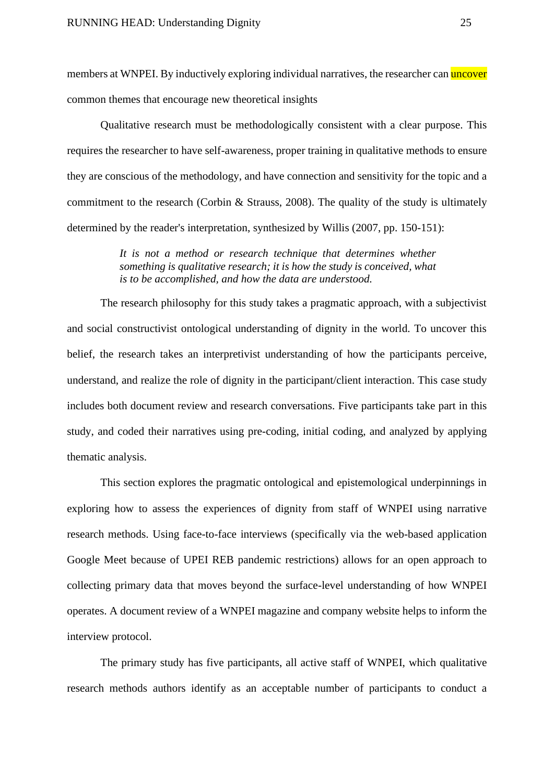members at WNPEI. By inductively exploring individual narratives, the researcher can uncover common themes that encourage new theoretical insights

Qualitative research must be methodologically consistent with a clear purpose. This requires the researcher to have self-awareness, proper training in qualitative methods to ensure they are conscious of the methodology, and have connection and sensitivity for the topic and a commitment to the research (Corbin & Strauss, 2008). The quality of the study is ultimately determined by the reader's interpretation, synthesized by Willis (2007, pp. 150-151):

> *It is not a method or research technique that determines whether something is qualitative research; it is how the study is conceived, what is to be accomplished, and how the data are understood.*

The research philosophy for this study takes a pragmatic approach, with a subjectivist and social constructivist ontological understanding of dignity in the world. To uncover this belief, the research takes an interpretivist understanding of how the participants perceive, understand, and realize the role of dignity in the participant/client interaction. This case study includes both document review and research conversations. Five participants take part in this study, and coded their narratives using pre-coding, initial coding, and analyzed by applying thematic analysis.

This section explores the pragmatic ontological and epistemological underpinnings in exploring how to assess the experiences of dignity from staff of WNPEI using narrative research methods. Using face-to-face interviews (specifically via the web-based application Google Meet because of UPEI REB pandemic restrictions) allows for an open approach to collecting primary data that moves beyond the surface-level understanding of how WNPEI operates. A document review of a WNPEI magazine and company website helps to inform the interview protocol.

The primary study has five participants, all active staff of WNPEI, which qualitative research methods authors identify as an acceptable number of participants to conduct a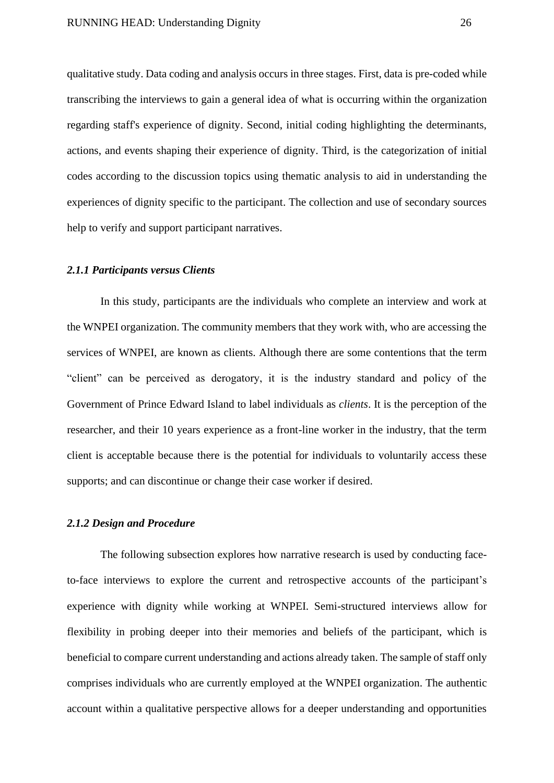qualitative study. Data coding and analysis occurs in three stages. First, data is pre-coded while transcribing the interviews to gain a general idea of what is occurring within the organization regarding staff's experience of dignity. Second, initial coding highlighting the determinants, actions, and events shaping their experience of dignity. Third, is the categorization of initial codes according to the discussion topics using thematic analysis to aid in understanding the experiences of dignity specific to the participant. The collection and use of secondary sources help to verify and support participant narratives.

#### <span id="page-26-0"></span>*2.1.1 Participants versus Clients*

In this study, participants are the individuals who complete an interview and work at the WNPEI organization. The community members that they work with, who are accessing the services of WNPEI, are known as clients. Although there are some contentions that the term "client" can be perceived as derogatory, it is the industry standard and policy of the Government of Prince Edward Island to label individuals as *clients*. It is the perception of the researcher, and their 10 years experience as a front-line worker in the industry, that the term client is acceptable because there is the potential for individuals to voluntarily access these supports; and can discontinue or change their case worker if desired.

## <span id="page-26-1"></span>*2.1.2 Design and Procedure*

The following subsection explores how narrative research is used by conducting faceto-face interviews to explore the current and retrospective accounts of the participant's experience with dignity while working at WNPEI. Semi-structured interviews allow for flexibility in probing deeper into their memories and beliefs of the participant, which is beneficial to compare current understanding and actions already taken. The sample of staff only comprises individuals who are currently employed at the WNPEI organization. The authentic account within a qualitative perspective allows for a deeper understanding and opportunities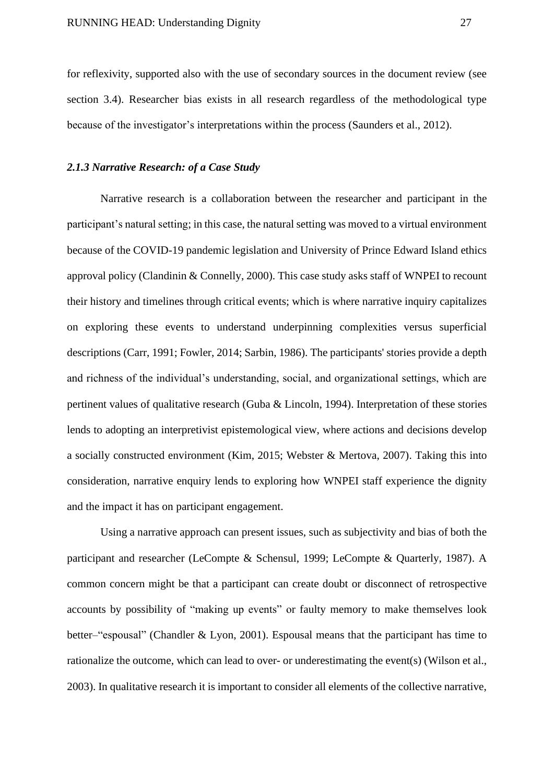for reflexivity, supported also with the use of secondary sources in the document review (see section 3.4). Researcher bias exists in all research regardless of the methodological type because of the investigator's interpretations within the process (Saunders et al., 2012).

## <span id="page-27-0"></span>*2.1.3 Narrative Research: of a Case Study*

Narrative research is a collaboration between the researcher and participant in the participant's natural setting; in this case, the natural setting was moved to a virtual environment because of the COVID-19 pandemic legislation and University of Prince Edward Island ethics approval policy (Clandinin & Connelly, 2000). This case study asks staff of WNPEI to recount their history and timelines through critical events; which is where narrative inquiry capitalizes on exploring these events to understand underpinning complexities versus superficial descriptions (Carr, 1991; Fowler, 2014; Sarbin, 1986). The participants' stories provide a depth and richness of the individual's understanding, social, and organizational settings, which are pertinent values of qualitative research (Guba & Lincoln, 1994). Interpretation of these stories lends to adopting an interpretivist epistemological view, where actions and decisions develop a socially constructed environment (Kim, 2015; Webster & Mertova, 2007). Taking this into consideration, narrative enquiry lends to exploring how WNPEI staff experience the dignity and the impact it has on participant engagement.

Using a narrative approach can present issues, such as subjectivity and bias of both the participant and researcher (LeCompte & Schensul, 1999; LeCompte & Quarterly, 1987). A common concern might be that a participant can create doubt or disconnect of retrospective accounts by possibility of "making up events" or faulty memory to make themselves look better–"espousal" (Chandler & Lyon, 2001). Espousal means that the participant has time to rationalize the outcome, which can lead to over- or underestimating the event(s) (Wilson et al., 2003). In qualitative research it is important to consider all elements of the collective narrative,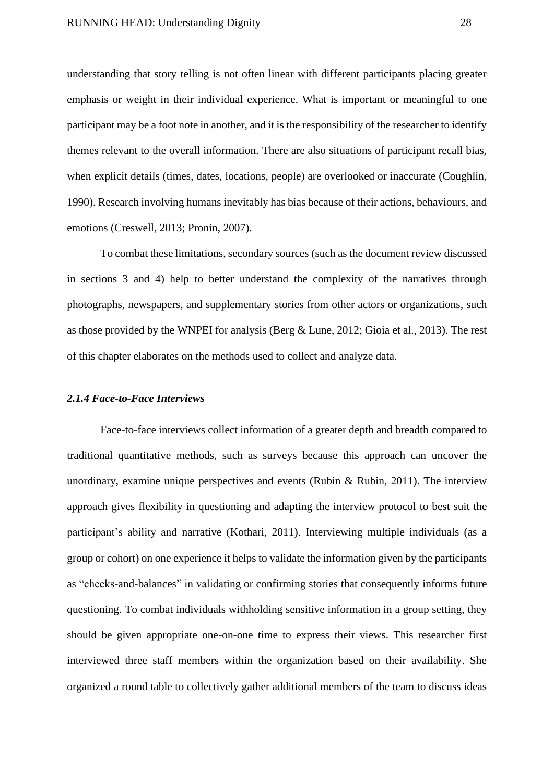understanding that story telling is not often linear with different participants placing greater emphasis or weight in their individual experience. What is important or meaningful to one participant may be a foot note in another, and it is the responsibility of the researcher to identify themes relevant to the overall information. There are also situations of participant recall bias, when explicit details (times, dates, locations, people) are overlooked or inaccurate (Coughlin, 1990). Research involving humans inevitably has bias because of their actions, behaviours, and emotions (Creswell, 2013; Pronin, 2007).

To combat these limitations, secondary sources (such as the document review discussed in sections 3 and 4) help to better understand the complexity of the narratives through photographs, newspapers, and supplementary stories from other actors or organizations, such as those provided by the WNPEI for analysis (Berg & Lune, 2012; Gioia et al., 2013). The rest of this chapter elaborates on the methods used to collect and analyze data.

#### <span id="page-28-0"></span>*2.1.4 Face-to-Face Interviews*

Face-to-face interviews collect information of a greater depth and breadth compared to traditional quantitative methods, such as surveys because this approach can uncover the unordinary, examine unique perspectives and events (Rubin & Rubin, 2011). The interview approach gives flexibility in questioning and adapting the interview protocol to best suit the participant's ability and narrative (Kothari, 2011). Interviewing multiple individuals (as a group or cohort) on one experience it helps to validate the information given by the participants as "checks-and-balances" in validating or confirming stories that consequently informs future questioning. To combat individuals withholding sensitive information in a group setting, they should be given appropriate one-on-one time to express their views. This researcher first interviewed three staff members within the organization based on their availability. She organized a round table to collectively gather additional members of the team to discuss ideas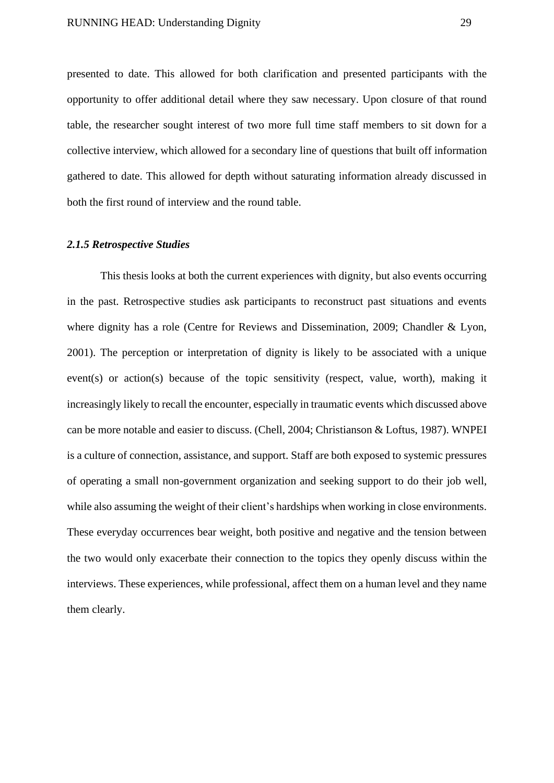presented to date. This allowed for both clarification and presented participants with the opportunity to offer additional detail where they saw necessary. Upon closure of that round table, the researcher sought interest of two more full time staff members to sit down for a collective interview, which allowed for a secondary line of questions that built off information gathered to date. This allowed for depth without saturating information already discussed in both the first round of interview and the round table.

## <span id="page-29-0"></span>*2.1.5 Retrospective Studies*

This thesis looks at both the current experiences with dignity, but also events occurring in the past. Retrospective studies ask participants to reconstruct past situations and events where dignity has a role (Centre for Reviews and Dissemination, 2009; Chandler & Lyon, 2001). The perception or interpretation of dignity is likely to be associated with a unique event(s) or action(s) because of the topic sensitivity (respect, value, worth), making it increasingly likely to recall the encounter, especially in traumatic events which discussed above can be more notable and easier to discuss. (Chell, 2004; Christianson & Loftus, 1987). WNPEI is a culture of connection, assistance, and support. Staff are both exposed to systemic pressures of operating a small non-government organization and seeking support to do their job well, while also assuming the weight of their client's hardships when working in close environments. These everyday occurrences bear weight, both positive and negative and the tension between the two would only exacerbate their connection to the topics they openly discuss within the interviews. These experiences, while professional, affect them on a human level and they name them clearly.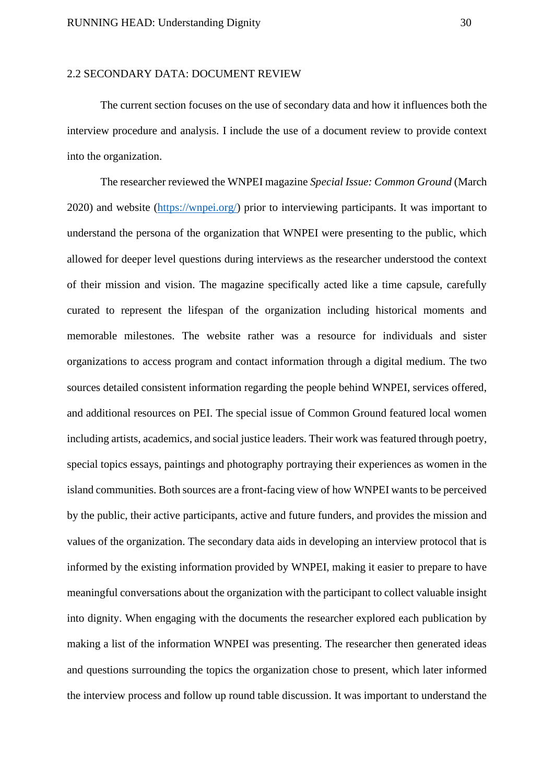## <span id="page-30-0"></span>2.2 SECONDARY DATA: DOCUMENT REVIEW

The current section focuses on the use of secondary data and how it influences both the interview procedure and analysis. I include the use of a document review to provide context into the organization.

The researcher reviewed the WNPEI magazine *Special Issue: Common Ground* (March 2020) and website [\(https://wnpei.org/\)](https://wnpei.org/) prior to interviewing participants. It was important to understand the persona of the organization that WNPEI were presenting to the public, which allowed for deeper level questions during interviews as the researcher understood the context of their mission and vision. The magazine specifically acted like a time capsule, carefully curated to represent the lifespan of the organization including historical moments and memorable milestones. The website rather was a resource for individuals and sister organizations to access program and contact information through a digital medium. The two sources detailed consistent information regarding the people behind WNPEI, services offered, and additional resources on PEI. The special issue of Common Ground featured local women including artists, academics, and social justice leaders. Their work was featured through poetry, special topics essays, paintings and photography portraying their experiences as women in the island communities. Both sources are a front-facing view of how WNPEI wants to be perceived by the public, their active participants, active and future funders, and provides the mission and values of the organization. The secondary data aids in developing an interview protocol that is informed by the existing information provided by WNPEI, making it easier to prepare to have meaningful conversations about the organization with the participant to collect valuable insight into dignity. When engaging with the documents the researcher explored each publication by making a list of the information WNPEI was presenting. The researcher then generated ideas and questions surrounding the topics the organization chose to present, which later informed the interview process and follow up round table discussion. It was important to understand the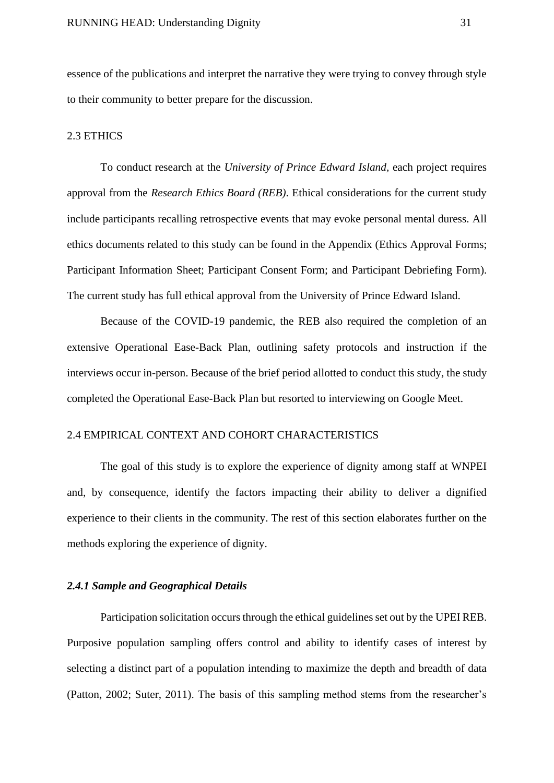essence of the publications and interpret the narrative they were trying to convey through style to their community to better prepare for the discussion.

## <span id="page-31-0"></span>2.3 ETHICS

To conduct research at the *University of Prince Edward Island,* each project requires approval from the *Research Ethics Board (REB)*. Ethical considerations for the current study include participants recalling retrospective events that may evoke personal mental duress. All ethics documents related to this study can be found in the Appendix (Ethics Approval Forms; Participant Information Sheet; Participant Consent Form; and Participant Debriefing Form). The current study has full ethical approval from the University of Prince Edward Island.

Because of the COVID-19 pandemic, the REB also required the completion of an extensive Operational Ease-Back Plan, outlining safety protocols and instruction if the interviews occur in-person. Because of the brief period allotted to conduct this study, the study completed the Operational Ease-Back Plan but resorted to interviewing on Google Meet.

## <span id="page-31-1"></span>2.4 EMPIRICAL CONTEXT AND COHORT CHARACTERISTICS

The goal of this study is to explore the experience of dignity among staff at WNPEI and, by consequence, identify the factors impacting their ability to deliver a dignified experience to their clients in the community. The rest of this section elaborates further on the methods exploring the experience of dignity.

## <span id="page-31-2"></span>*2.4.1 Sample and Geographical Details*

Participation solicitation occurs through the ethical guidelines set out by the UPEI REB. Purposive population sampling offers control and ability to identify cases of interest by selecting a distinct part of a population intending to maximize the depth and breadth of data (Patton, 2002; Suter, 2011). The basis of this sampling method stems from the researcher's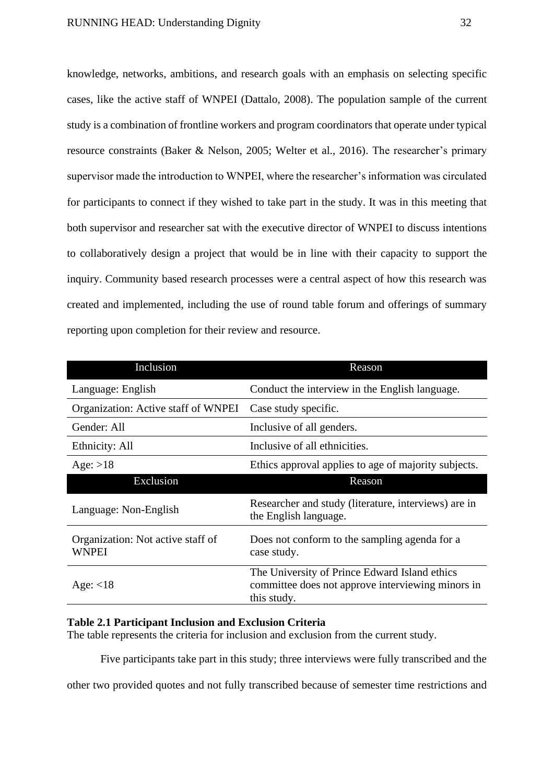knowledge, networks, ambitions, and research goals with an emphasis on selecting specific cases, like the active staff of WNPEI (Dattalo, 2008). The population sample of the current study is a combination of frontline workers and program coordinators that operate under typical resource constraints (Baker & Nelson, 2005; Welter et al., 2016). The researcher's primary supervisor made the introduction to WNPEI, where the researcher's information was circulated for participants to connect if they wished to take part in the study. It was in this meeting that both supervisor and researcher sat with the executive director of WNPEI to discuss intentions to collaboratively design a project that would be in line with their capacity to support the inquiry. Community based research processes were a central aspect of how this research was created and implemented, including the use of round table forum and offerings of summary reporting upon completion for their review and resource.

| Inclusion                                         | Reason                                                                                                            |
|---------------------------------------------------|-------------------------------------------------------------------------------------------------------------------|
| Language: English                                 | Conduct the interview in the English language.                                                                    |
| Organization: Active staff of WNPEI               | Case study specific.                                                                                              |
| Gender: All                                       | Inclusive of all genders.                                                                                         |
| Ethnicity: All                                    | Inclusive of all ethnicities.                                                                                     |
| Age: $>18$                                        | Ethics approval applies to age of majority subjects.                                                              |
| Exclusion                                         | Reason                                                                                                            |
| Language: Non-English                             | Researcher and study (literature, interviews) are in<br>the English language.                                     |
| Organization: Not active staff of<br><b>WNPEI</b> | Does not conform to the sampling agenda for a<br>case study.                                                      |
| Age: $<$ 18                                       | The University of Prince Edward Island ethics<br>committee does not approve interviewing minors in<br>this study. |

## <span id="page-32-0"></span>**Table 2.1 Participant Inclusion and Exclusion Criteria**

The table represents the criteria for inclusion and exclusion from the current study.

Five participants take part in this study; three interviews were fully transcribed and the

other two provided quotes and not fully transcribed because of semester time restrictions and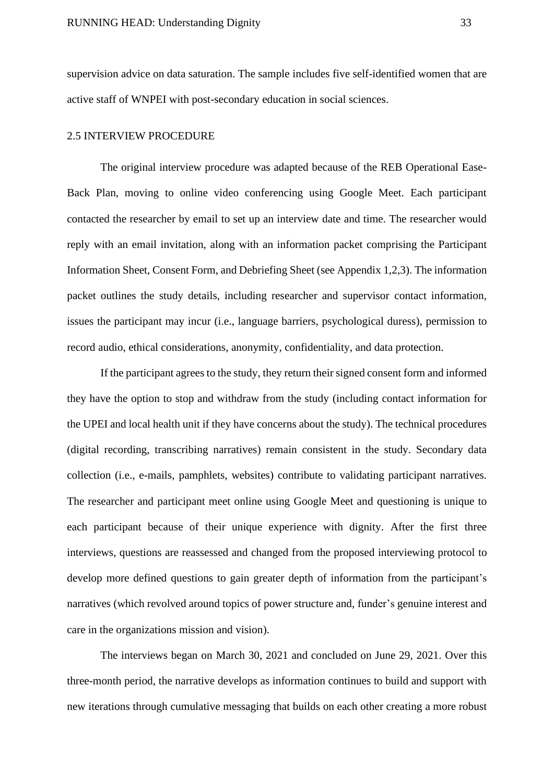supervision advice on data saturation. The sample includes five self-identified women that are active staff of WNPEI with post-secondary education in social sciences.

#### <span id="page-33-0"></span>2.5 INTERVIEW PROCEDURE

The original interview procedure was adapted because of the REB Operational Ease-Back Plan, moving to online video conferencing using Google Meet. Each participant contacted the researcher by email to set up an interview date and time. The researcher would reply with an email invitation, along with an information packet comprising the Participant Information Sheet, Consent Form, and Debriefing Sheet (see Appendix 1,2,3). The information packet outlines the study details, including researcher and supervisor contact information, issues the participant may incur (i.e., language barriers, psychological duress), permission to record audio, ethical considerations, anonymity, confidentiality, and data protection.

If the participant agrees to the study, they return their signed consent form and informed they have the option to stop and withdraw from the study (including contact information for the UPEI and local health unit if they have concerns about the study). The technical procedures (digital recording, transcribing narratives) remain consistent in the study. Secondary data collection (i.e., e-mails, pamphlets, websites) contribute to validating participant narratives. The researcher and participant meet online using Google Meet and questioning is unique to each participant because of their unique experience with dignity. After the first three interviews, questions are reassessed and changed from the proposed interviewing protocol to develop more defined questions to gain greater depth of information from the participant's narratives (which revolved around topics of power structure and, funder's genuine interest and care in the organizations mission and vision).

The interviews began on March 30, 2021 and concluded on June 29, 2021. Over this three-month period, the narrative develops as information continues to build and support with new iterations through cumulative messaging that builds on each other creating a more robust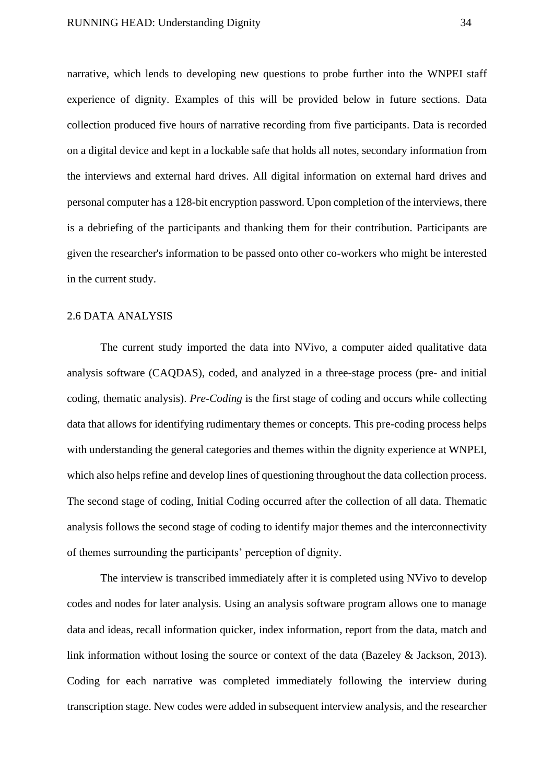narrative, which lends to developing new questions to probe further into the WNPEI staff experience of dignity. Examples of this will be provided below in future sections. Data collection produced five hours of narrative recording from five participants. Data is recorded on a digital device and kept in a lockable safe that holds all notes, secondary information from the interviews and external hard drives. All digital information on external hard drives and personal computer has a 128-bit encryption password. Upon completion of the interviews, there is a debriefing of the participants and thanking them for their contribution. Participants are given the researcher's information to be passed onto other co-workers who might be interested in the current study.

#### <span id="page-34-0"></span>2.6 DATA ANALYSIS

The current study imported the data into NVivo, a computer aided qualitative data analysis software (CAQDAS), coded, and analyzed in a three-stage process (pre- and initial coding, thematic analysis). *Pre-Coding* is the first stage of coding and occurs while collecting data that allows for identifying rudimentary themes or concepts. This pre-coding process helps with understanding the general categories and themes within the dignity experience at WNPEI, which also helps refine and develop lines of questioning throughout the data collection process. The second stage of coding, Initial Coding occurred after the collection of all data. Thematic analysis follows the second stage of coding to identify major themes and the interconnectivity of themes surrounding the participants' perception of dignity.

The interview is transcribed immediately after it is completed using NVivo to develop codes and nodes for later analysis. Using an analysis software program allows one to manage data and ideas, recall information quicker, index information, report from the data, match and link information without losing the source or context of the data (Bazeley & Jackson, 2013). Coding for each narrative was completed immediately following the interview during transcription stage. New codes were added in subsequent interview analysis, and the researcher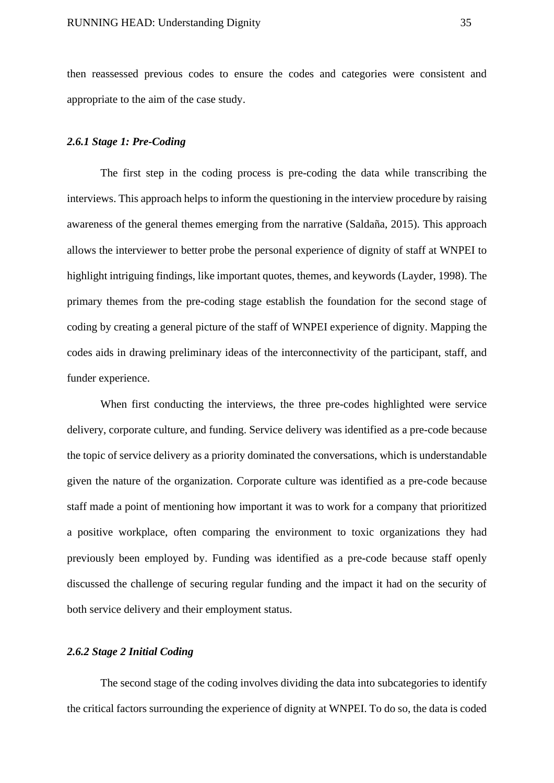then reassessed previous codes to ensure the codes and categories were consistent and appropriate to the aim of the case study.

#### <span id="page-35-0"></span>*2.6.1 Stage 1: Pre-Coding*

The first step in the coding process is pre-coding the data while transcribing the interviews. This approach helps to inform the questioning in the interview procedure by raising awareness of the general themes emerging from the narrative (Saldaña, 2015). This approach allows the interviewer to better probe the personal experience of dignity of staff at WNPEI to highlight intriguing findings, like important quotes, themes, and keywords (Layder, 1998). The primary themes from the pre-coding stage establish the foundation for the second stage of coding by creating a general picture of the staff of WNPEI experience of dignity. Mapping the codes aids in drawing preliminary ideas of the interconnectivity of the participant, staff, and funder experience.

When first conducting the interviews, the three pre-codes highlighted were service delivery, corporate culture, and funding. Service delivery was identified as a pre-code because the topic of service delivery as a priority dominated the conversations, which is understandable given the nature of the organization. Corporate culture was identified as a pre-code because staff made a point of mentioning how important it was to work for a company that prioritized a positive workplace, often comparing the environment to toxic organizations they had previously been employed by. Funding was identified as a pre-code because staff openly discussed the challenge of securing regular funding and the impact it had on the security of both service delivery and their employment status.

## <span id="page-35-1"></span>*2.6.2 Stage 2 Initial Coding*

The second stage of the coding involves dividing the data into subcategories to identify the critical factors surrounding the experience of dignity at WNPEI. To do so, the data is coded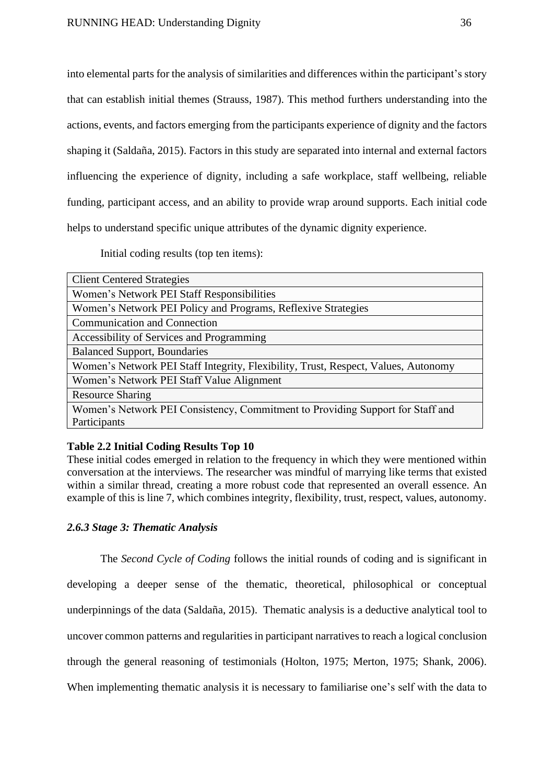into elemental parts for the analysis of similarities and differences within the participant's story that can establish initial themes (Strauss, 1987). This method furthers understanding into the actions, events, and factors emerging from the participants experience of dignity and the factors shaping it (Saldaña, 2015). Factors in this study are separated into internal and external factors influencing the experience of dignity, including a safe workplace, staff wellbeing, reliable funding, participant access, and an ability to provide wrap around supports. Each initial code helps to understand specific unique attributes of the dynamic dignity experience.

Initial coding results (top ten items):

| <b>Client Centered Strategies</b>                                                  |
|------------------------------------------------------------------------------------|
| Women's Network PEI Staff Responsibilities                                         |
| Women's Network PEI Policy and Programs, Reflexive Strategies                      |
| <b>Communication and Connection</b>                                                |
| Accessibility of Services and Programming                                          |
| <b>Balanced Support, Boundaries</b>                                                |
| Women's Network PEI Staff Integrity, Flexibility, Trust, Respect, Values, Autonomy |
| Women's Network PEI Staff Value Alignment                                          |
| <b>Resource Sharing</b>                                                            |
| Women's Network PEI Consistency, Commitment to Providing Support for Staff and     |
| Participants                                                                       |

#### **Table 2.2 Initial Coding Results Top 10**

These initial codes emerged in relation to the frequency in which they were mentioned within conversation at the interviews. The researcher was mindful of marrying like terms that existed within a similar thread, creating a more robust code that represented an overall essence. An example of this is line 7, which combines integrity, flexibility, trust, respect, values, autonomy.

### *2.6.3 Stage 3: Thematic Analysis*

The *Second Cycle of Coding* follows the initial rounds of coding and is significant in developing a deeper sense of the thematic, theoretical, philosophical or conceptual underpinnings of the data (Saldaña, 2015). Thematic analysis is a deductive analytical tool to uncover common patterns and regularities in participant narratives to reach a logical conclusion through the general reasoning of testimonials (Holton, 1975; Merton, 1975; Shank, 2006). When implementing thematic analysis it is necessary to familiarise one's self with the data to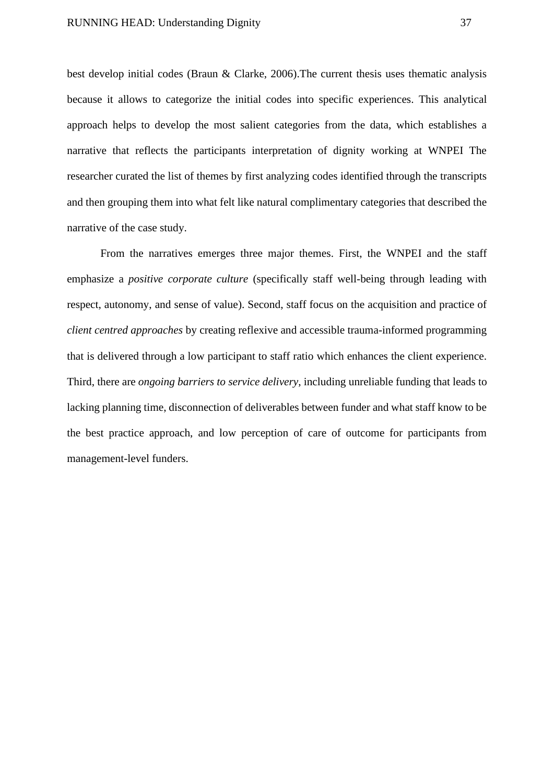best develop initial codes (Braun & Clarke, 2006).The current thesis uses thematic analysis because it allows to categorize the initial codes into specific experiences. This analytical approach helps to develop the most salient categories from the data, which establishes a narrative that reflects the participants interpretation of dignity working at WNPEI The researcher curated the list of themes by first analyzing codes identified through the transcripts and then grouping them into what felt like natural complimentary categories that described the narrative of the case study.

From the narratives emerges three major themes. First, the WNPEI and the staff emphasize a *positive corporate culture* (specifically staff well-being through leading with respect, autonomy, and sense of value). Second, staff focus on the acquisition and practice of *client centred approaches* by creating reflexive and accessible trauma-informed programming that is delivered through a low participant to staff ratio which enhances the client experience. Third, there are *ongoing barriers to service delivery*, including unreliable funding that leads to lacking planning time, disconnection of deliverables between funder and what staff know to be the best practice approach, and low perception of care of outcome for participants from management-level funders.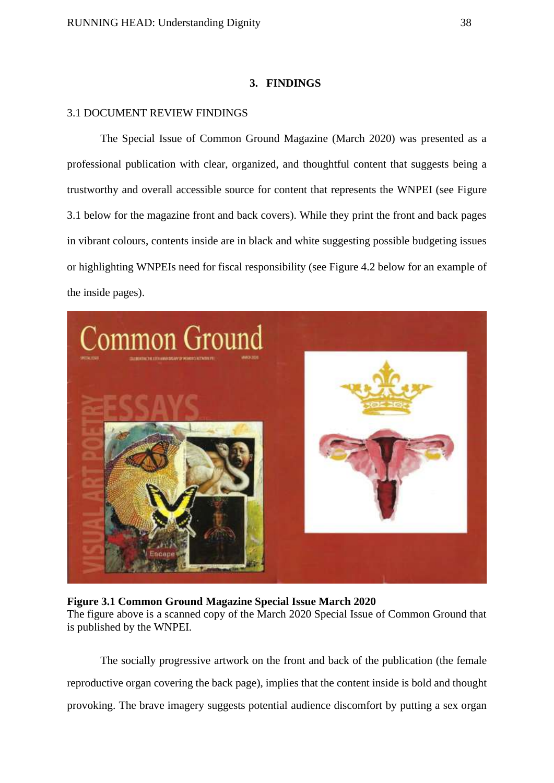### **3. FINDINGS**

## 3.1 DOCUMENT REVIEW FINDINGS

The Special Issue of Common Ground Magazine (March 2020) was presented as a professional publication with clear, organized, and thoughtful content that suggests being a trustworthy and overall accessible source for content that represents the WNPEI (see Figure 3.1 below for the magazine front and back covers). While they print the front and back pages in vibrant colours, contents inside are in black and white suggesting possible budgeting issues or highlighting WNPEIs need for fiscal responsibility (see Figure 4.2 below for an example of the inside pages).



#### **Figure 3.1 Common Ground Magazine Special Issue March 2020**

The figure above is a scanned copy of the March 2020 Special Issue of Common Ground that is published by the WNPEI.

The socially progressive artwork on the front and back of the publication (the female reproductive organ covering the back page), implies that the content inside is bold and thought provoking. The brave imagery suggests potential audience discomfort by putting a sex organ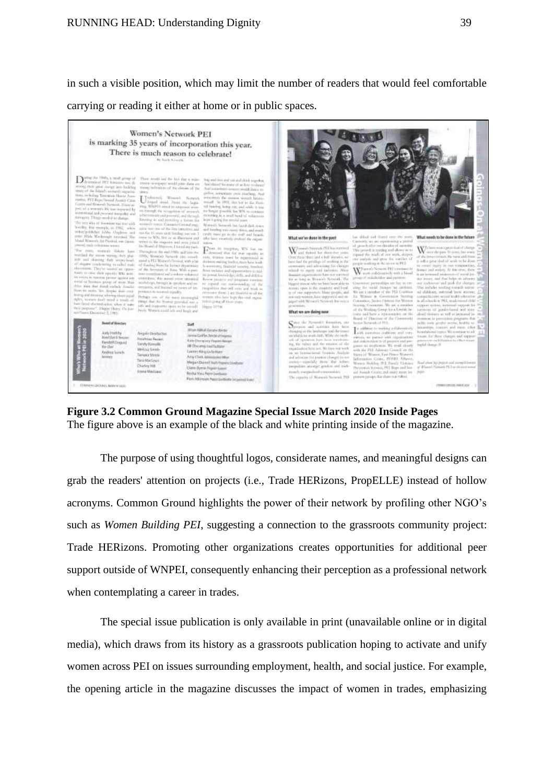in such a visible position, which may limit the number of readers that would feel comfortable carrying or reading it either at home or in public spaces.



**Figure 3.2 Common Ground Magazine Special Issue March 2020 Inside Pages** The figure above is an example of the black and white printing inside of the magazine.

The purpose of using thoughtful logos, considerate names, and meaningful designs can grab the readers' attention on projects (i.e., Trade HERizons, PropELLE) instead of hollow acronyms. Common Ground highlights the power of their network by profiling other NGO's such as *Women Building PEI*, suggesting a connection to the grassroots community project: Trade HERizons. Promoting other organizations creates opportunities for additional peer support outside of WNPEI, consequently enhancing their perception as a professional network when contemplating a career in trades.

The special issue publication is only available in print (unavailable online or in digital media), which draws from its history as a grassroots publication hoping to activate and unify women across PEI on issues surrounding employment, health, and social justice. For example, the opening article in the magazine discusses the impact of women in trades, emphasizing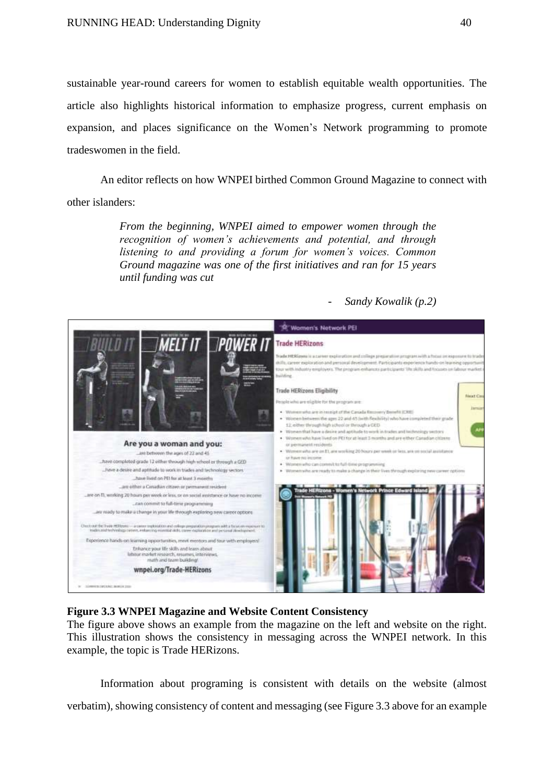sustainable year-round careers for women to establish equitable wealth opportunities. The article also highlights historical information to emphasize progress, current emphasis on expansion, and places significance on the Women's Network programming to promote tradeswomen in the field.

An editor reflects on how WNPEI birthed Common Ground Magazine to connect with other islanders:

> *From the beginning, WNPEI aimed to empower women through the recognition of women's achievements and potential, and through listening to and providing a forum for women's voices. Common Ground magazine was one of the first initiatives and ran for 15 years until funding was cut*

> > - *Sandy Kowalik (p.2)*



## **Figure 3.3 WNPEI Magazine and Website Content Consistency**

The figure above shows an example from the magazine on the left and website on the right. This illustration shows the consistency in messaging across the WNPEI network. In this example, the topic is Trade HERizons.

Information about programing is consistent with details on the website (almost verbatim), showing consistency of content and messaging (see Figure 3.3 above for an example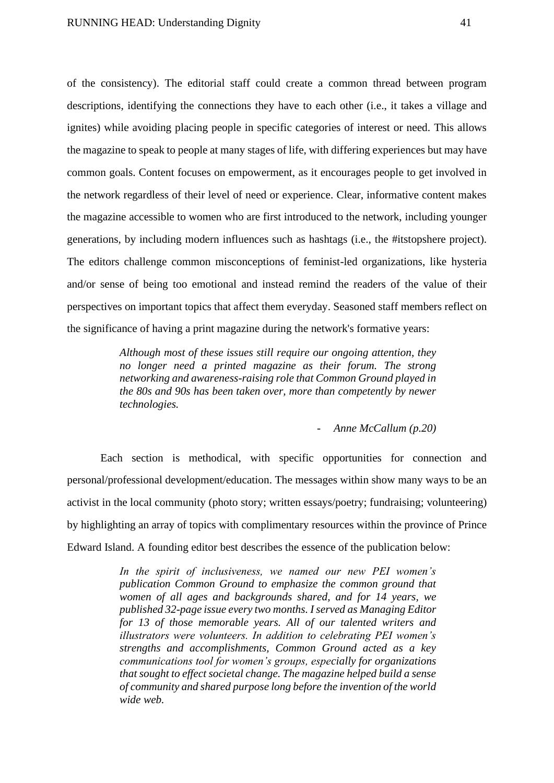of the consistency). The editorial staff could create a common thread between program descriptions, identifying the connections they have to each other (i.e., it takes a village and ignites) while avoiding placing people in specific categories of interest or need. This allows the magazine to speak to people at many stages of life, with differing experiences but may have common goals. Content focuses on empowerment, as it encourages people to get involved in the network regardless of their level of need or experience. Clear, informative content makes the magazine accessible to women who are first introduced to the network, including younger generations, by including modern influences such as hashtags (i.e., the #itstopshere project). The editors challenge common misconceptions of feminist-led organizations, like hysteria and/or sense of being too emotional and instead remind the readers of the value of their perspectives on important topics that affect them everyday. Seasoned staff members reflect on the significance of having a print magazine during the network's formative years:

> *Although most of these issues still require our ongoing attention, they no longer need a printed magazine as their forum. The strong networking and awareness-raising role that Common Ground played in the 80s and 90s has been taken over, more than competently by newer technologies.*

> > - *Anne McCallum (p.20)*

Each section is methodical, with specific opportunities for connection and personal/professional development/education. The messages within show many ways to be an activist in the local community (photo story; written essays/poetry; fundraising; volunteering) by highlighting an array of topics with complimentary resources within the province of Prince Edward Island. A founding editor best describes the essence of the publication below:

> *In the spirit of inclusiveness, we named our new PEI women's publication Common Ground to emphasize the common ground that women of all ages and backgrounds shared, and for 14 years, we published 32-page issue every two months. I served as Managing Editor for 13 of those memorable years. All of our talented writers and illustrators were volunteers. In addition to celebrating PEI women's strengths and accomplishments, Common Ground acted as a key communications tool for women's groups, especially for organizations that sought to effect societal change. The magazine helped build a sense of community and shared purpose long before the invention of the world wide web.*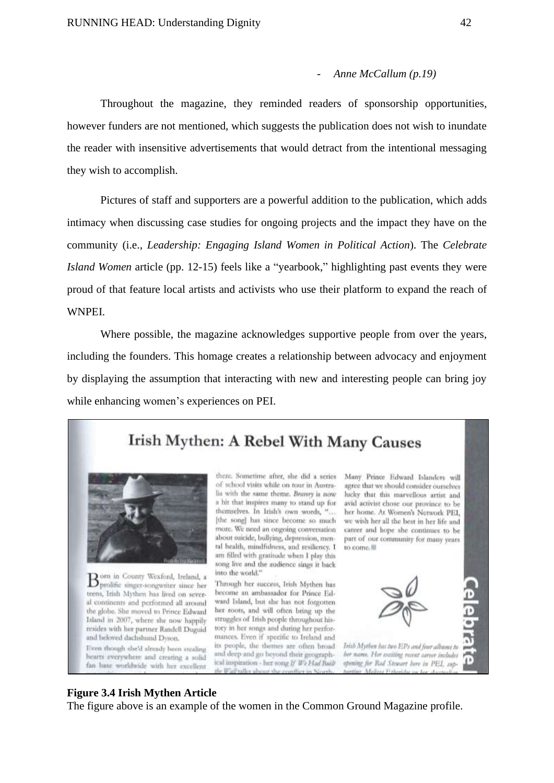#### - *Anne McCallum (p.19)*

Throughout the magazine, they reminded readers of sponsorship opportunities, however funders are not mentioned, which suggests the publication does not wish to inundate the reader with insensitive advertisements that would detract from the intentional messaging they wish to accomplish.

Pictures of staff and supporters are a powerful addition to the publication, which adds intimacy when discussing case studies for ongoing projects and the impact they have on the community (i.e., *Leadership: Engaging Island Women in Political Action*). The *Celebrate Island Women* article (pp. 12-15) feels like a "yearbook," highlighting past events they were proud of that feature local artists and activists who use their platform to expand the reach of WNPEI.

Where possible, the magazine acknowledges supportive people from over the years, including the founders. This homage creates a relationship between advocacy and enjoyment by displaying the assumption that interacting with new and interesting people can bring joy while enhancing women's experiences on PEI.

# Irish Mythen: A Rebel With Many Causes



Born in County Wexford, Ireland, a<br>Bprolific singer-songwriter since her teens, Irish Mythen has lived on several continents and performed all around the globe. She moved to Prince Edward Island in 2007, where she now happily resides with her partner Randell Duguid and beloved dachshund Dyson. Even though she'd already been stealing

hearts everywhere and creating a solid fan base worldwide with her excellent

there. Sometime after, she did a series of school visits while on tour in Australia with the same theme. Bravery is now a hit that inspires many to stand up for themselves. In Irish's own words, "... [the song] has since become so much more. We need an ongoing conversation about suicide, bullying, depression, menral health, mindfulness, and resiliency. I am filled with gratitude when I play this song live and the audience sings it back into the world."

Through her success, Irish Mythen has become an ambassador for Prince Edward Island, but she has not forgotten. her roots, and will often bring up the struggles of Irish people throughout history in her songs and during her performances. Even if specific to Ireland and its people, the themes are often broad and deep and go beyond their geographical inspiration - her song If We Had Built





Irish Mythen has two EPs and four albums to ber name. Her weiting recent career includes opening for Rod Stewart here in PEL, sup-

#### **Figure 3.4 Irish Mythen Article**

The figure above is an example of the women in the Common Ground Magazine profile.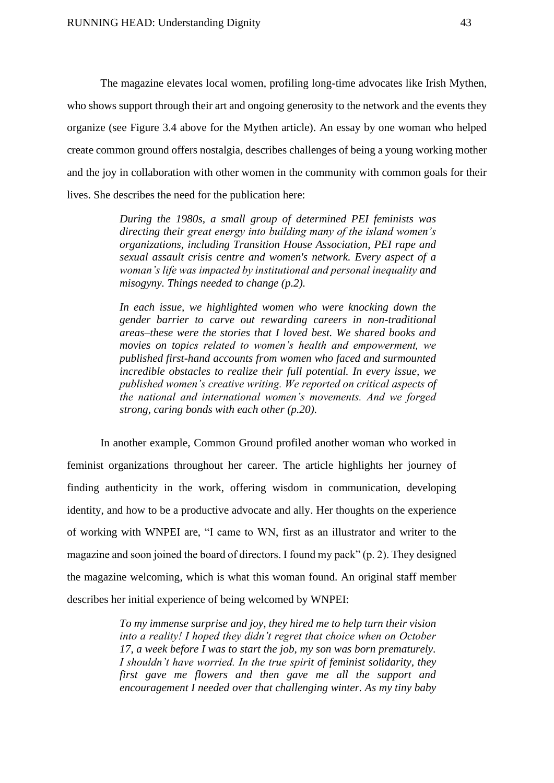The magazine elevates local women, profiling long-time advocates like Irish Mythen, who shows support through their art and ongoing generosity to the network and the events they organize (see Figure 3.4 above for the Mythen article). An essay by one woman who helped create common ground offers nostalgia, describes challenges of being a young working mother and the joy in collaboration with other women in the community with common goals for their lives. She describes the need for the publication here:

> *During the 1980s, a small group of determined PEI feminists was directing their great energy into building many of the island women's organizations, including Transition House Association, PEI rape and sexual assault crisis centre and women's network. Every aspect of a woman's life was impacted by institutional and personal inequality and misogyny. Things needed to change (p.2).*

> *In each issue, we highlighted women who were knocking down the gender barrier to carve out rewarding careers in non-traditional areas–these were the stories that I loved best. We shared books and movies on topics related to women's health and empowerment, we published first-hand accounts from women who faced and surmounted incredible obstacles to realize their full potential. In every issue, we published women's creative writing. We reported on critical aspects of the national and international women's movements. And we forged strong, caring bonds with each other (p.20).*

In another example, Common Ground profiled another woman who worked in feminist organizations throughout her career. The article highlights her journey of finding authenticity in the work, offering wisdom in communication, developing identity, and how to be a productive advocate and ally. Her thoughts on the experience of working with WNPEI are, "I came to WN, first as an illustrator and writer to the magazine and soon joined the board of directors. I found my pack" (p. 2). They designed the magazine welcoming, which is what this woman found. An original staff member describes her initial experience of being welcomed by WNPEI:

> *To my immense surprise and joy, they hired me to help turn their vision into a reality! I hoped they didn't regret that choice when on October 17, a week before I was to start the job, my son was born prematurely. I shouldn't have worried. In the true spirit of feminist solidarity, they first gave me flowers and then gave me all the support and encouragement I needed over that challenging winter. As my tiny baby*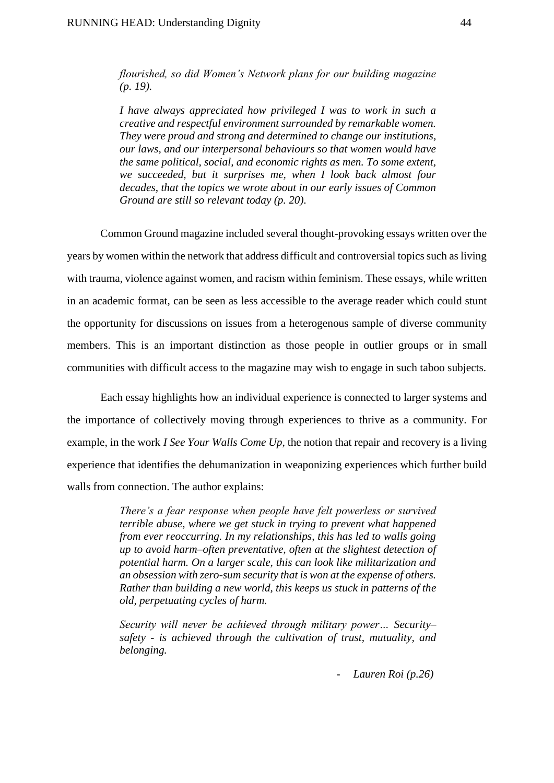*flourished, so did Women's Network plans for our building magazine (p. 19).*

*I have always appreciated how privileged I was to work in such a creative and respectful environment surrounded by remarkable women. They were proud and strong and determined to change our institutions, our laws, and our interpersonal behaviours so that women would have the same political, social, and economic rights as men. To some extent, we succeeded, but it surprises me, when I look back almost four decades, that the topics we wrote about in our early issues of Common Ground are still so relevant today (p. 20).*

Common Ground magazine included several thought-provoking essays written over the years by women within the network that address difficult and controversial topics such as living with trauma, violence against women, and racism within feminism. These essays, while written in an academic format, can be seen as less accessible to the average reader which could stunt the opportunity for discussions on issues from a heterogenous sample of diverse community members. This is an important distinction as those people in outlier groups or in small communities with difficult access to the magazine may wish to engage in such taboo subjects.

Each essay highlights how an individual experience is connected to larger systems and the importance of collectively moving through experiences to thrive as a community. For example, in the work *I See Your Walls Come Up*, the notion that repair and recovery is a living experience that identifies the dehumanization in weaponizing experiences which further build walls from connection. The author explains:

> *There's a fear response when people have felt powerless or survived terrible abuse, where we get stuck in trying to prevent what happened from ever reoccurring. In my relationships, this has led to walls going up to avoid harm–often preventative, often at the slightest detection of potential harm. On a larger scale, this can look like militarization and an obsession with zero-sum security that is won at the expense of others. Rather than building a new world, this keeps us stuck in patterns of the old, perpetuating cycles of harm.*

> *Security will never be achieved through military power… Security– safety - is achieved through the cultivation of trust, mutuality, and belonging.*

> > *- Lauren Roi (p.26)*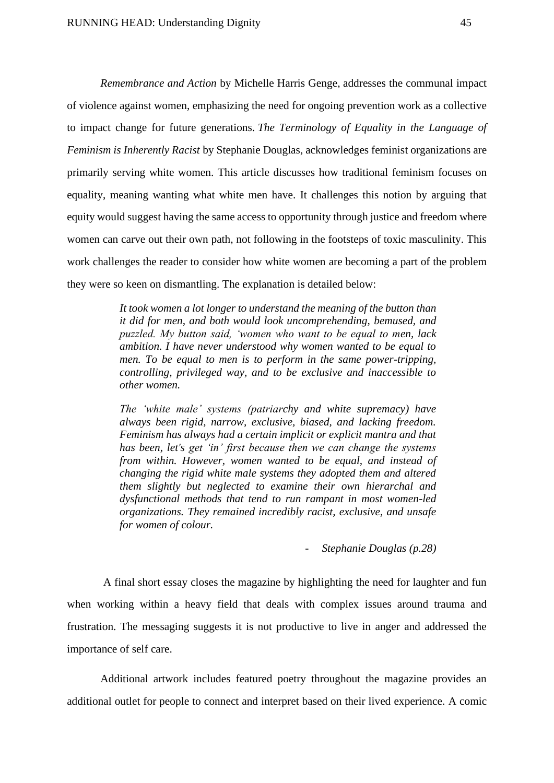*Remembrance and Action* by Michelle Harris Genge, addresses the communal impact of violence against women, emphasizing the need for ongoing prevention work as a collective to impact change for future generations. *The Terminology of Equality in the Language of Feminism is Inherently Racist* by Stephanie Douglas, acknowledges feminist organizations are primarily serving white women. This article discusses how traditional feminism focuses on equality, meaning wanting what white men have. It challenges this notion by arguing that equity would suggest having the same access to opportunity through justice and freedom where women can carve out their own path, not following in the footsteps of toxic masculinity. This work challenges the reader to consider how white women are becoming a part of the problem they were so keen on dismantling. The explanation is detailed below:

> *It took women a lot longer to understand the meaning of the button than it did for men, and both would look uncomprehending, bemused, and puzzled. My button said, 'women who want to be equal to men, lack ambition. I have never understood why women wanted to be equal to men. To be equal to men is to perform in the same power-tripping, controlling, privileged way, and to be exclusive and inaccessible to other women.*

> *The 'white male' systems (patriarchy and white supremacy) have always been rigid, narrow, exclusive, biased, and lacking freedom. Feminism has always had a certain implicit or explicit mantra and that has been, let's get 'in' first because then we can change the systems from within. However, women wanted to be equal, and instead of changing the rigid white male systems they adopted them and altered them slightly but neglected to examine their own hierarchal and dysfunctional methods that tend to run rampant in most women-led organizations. They remained incredibly racist, exclusive, and unsafe for women of colour.*

> > *- Stephanie Douglas (p.28)*

A final short essay closes the magazine by highlighting the need for laughter and fun when working within a heavy field that deals with complex issues around trauma and frustration. The messaging suggests it is not productive to live in anger and addressed the importance of self care.

Additional artwork includes featured poetry throughout the magazine provides an additional outlet for people to connect and interpret based on their lived experience. A comic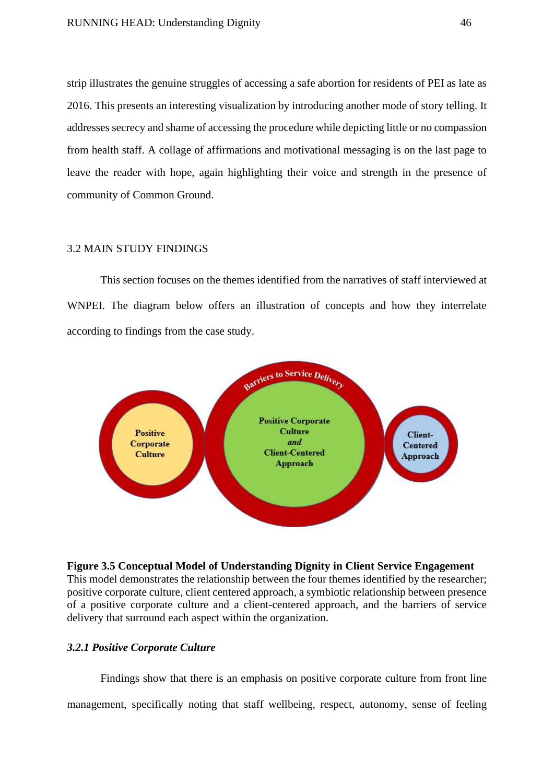strip illustrates the genuine struggles of accessing a safe abortion for residents of PEI as late as 2016. This presents an interesting visualization by introducing another mode of story telling. It addresses secrecy and shame of accessing the procedure while depicting little or no compassion from health staff. A collage of affirmations and motivational messaging is on the last page to leave the reader with hope, again highlighting their voice and strength in the presence of community of Common Ground.

#### 3.2 MAIN STUDY FINDINGS

This section focuses on the themes identified from the narratives of staff interviewed at WNPEI. The diagram below offers an illustration of concepts and how they interrelate according to findings from the case study.



## **Figure 3.5 Conceptual Model of Understanding Dignity in Client Service Engagement** This model demonstrates the relationship between the four themes identified by the researcher; positive corporate culture, client centered approach, a symbiotic relationship between presence of a positive corporate culture and a client-centered approach, and the barriers of service delivery that surround each aspect within the organization.

#### *3.2.1 Positive Corporate Culture*

Findings show that there is an emphasis on positive corporate culture from front line management, specifically noting that staff wellbeing, respect, autonomy, sense of feeling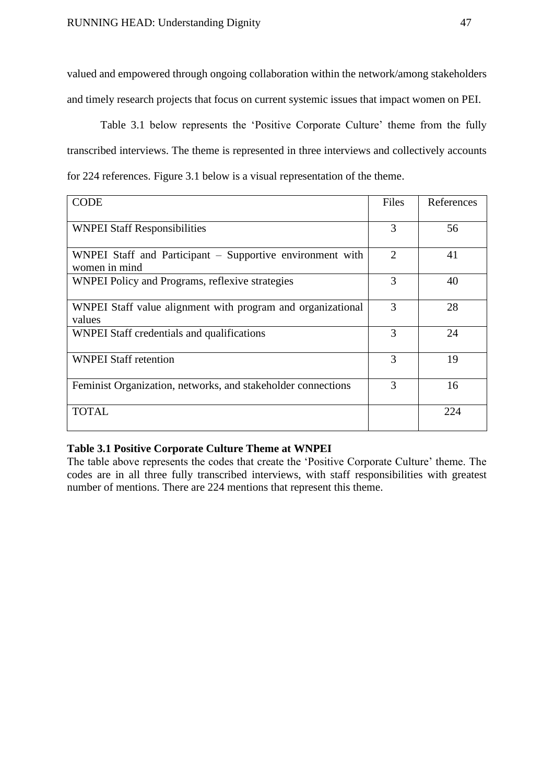valued and empowered through ongoing collaboration within the network/among stakeholders and timely research projects that focus on current systemic issues that impact women on PEI.

Table 3.1 below represents the 'Positive Corporate Culture' theme from the fully transcribed interviews. The theme is represented in three interviews and collectively accounts for 224 references. Figure 3.1 below is a visual representation of the theme.

| <b>CODE</b>                                                                | Files          | References |
|----------------------------------------------------------------------------|----------------|------------|
| <b>WNPEI Staff Responsibilities</b>                                        | 3              | 56         |
| WNPEI Staff and Participant - Supportive environment with<br>women in mind | $\overline{2}$ | 41         |
| WNPEI Policy and Programs, reflexive strategies                            | 3              | 40         |
| WNPEI Staff value alignment with program and organizational<br>values      | 3              | 28         |
| WNPEI Staff credentials and qualifications                                 | 3              | 24         |
| <b>WNPEI Staff retention</b>                                               | 3              | 19         |
| Feminist Organization, networks, and stakeholder connections               | 3              | 16         |
| <b>TOTAL</b>                                                               |                | 224        |

## **Table 3.1 Positive Corporate Culture Theme at WNPEI**

The table above represents the codes that create the 'Positive Corporate Culture' theme. The codes are in all three fully transcribed interviews, with staff responsibilities with greatest number of mentions. There are 224 mentions that represent this theme.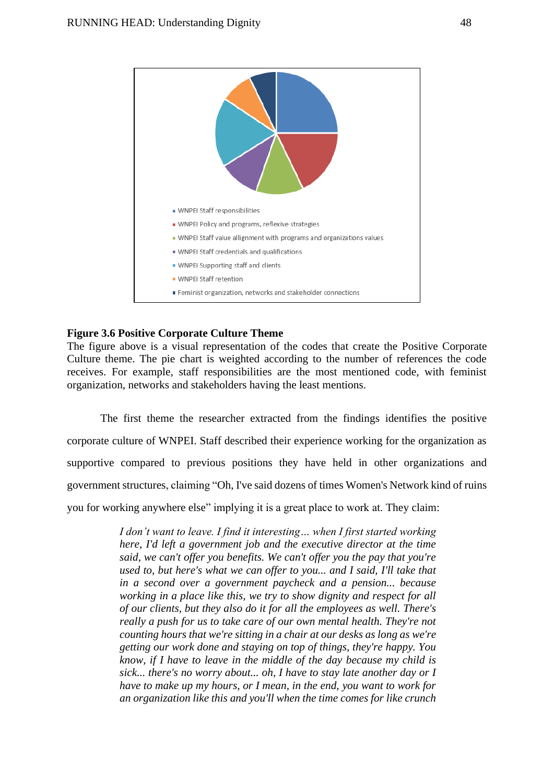

#### **Figure 3.6 Positive Corporate Culture Theme**

The figure above is a visual representation of the codes that create the Positive Corporate Culture theme. The pie chart is weighted according to the number of references the code receives. For example, staff responsibilities are the most mentioned code, with feminist organization, networks and stakeholders having the least mentions.

The first theme the researcher extracted from the findings identifies the positive corporate culture of WNPEI. Staff described their experience working for the organization as supportive compared to previous positions they have held in other organizations and government structures, claiming "Oh, I've said dozens of times Women's Network kind of ruins you for working anywhere else" implying it is a great place to work at. They claim:

> *I don't want to leave. I find it interesting… when I first started working here, I'd left a government job and the executive director at the time said, we can't offer you benefits. We can't offer you the pay that you're used to, but here's what we can offer to you... and I said, I'll take that in a second over a government paycheck and a pension... because working in a place like this, we try to show dignity and respect for all of our clients, but they also do it for all the employees as well. There's really a push for us to take care of our own mental health. They're not counting hours that we're sitting in a chair at our desks as long as we're getting our work done and staying on top of things, they're happy. You know, if I have to leave in the middle of the day because my child is sick... there's no worry about... oh, I have to stay late another day or I have to make up my hours, or I mean, in the end, you want to work for an organization like this and you'll when the time comes for like crunch*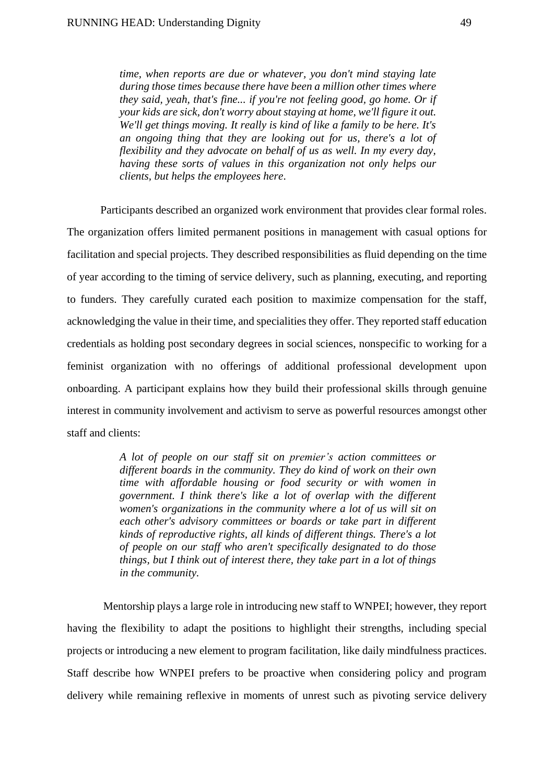*time, when reports are due or whatever, you don't mind staying late during those times because there have been a million other times where they said, yeah, that's fine... if you're not feeling good, go home. Or if your kids are sick, don't worry about staying at home, we'll figure it out. We'll get things moving. It really is kind of like a family to be here. It's an ongoing thing that they are looking out for us, there's a lot of flexibility and they advocate on behalf of us as well. In my every day, having these sorts of values in this organization not only helps our clients, but helps the employees here*.

Participants described an organized work environment that provides clear formal roles. The organization offers limited permanent positions in management with casual options for facilitation and special projects. They described responsibilities as fluid depending on the time of year according to the timing of service delivery, such as planning, executing, and reporting to funders. They carefully curated each position to maximize compensation for the staff, acknowledging the value in their time, and specialities they offer. They reported staff education credentials as holding post secondary degrees in social sciences, nonspecific to working for a feminist organization with no offerings of additional professional development upon onboarding. A participant explains how they build their professional skills through genuine interest in community involvement and activism to serve as powerful resources amongst other staff and clients:

> *A lot of people on our staff sit on premier's action committees or different boards in the community. They do kind of work on their own time with affordable housing or food security or with women in government. I think there's like a lot of overlap with the different women's organizations in the community where a lot of us will sit on each other's advisory committees or boards or take part in different kinds of reproductive rights, all kinds of different things. There's a lot of people on our staff who aren't specifically designated to do those things, but I think out of interest there, they take part in a lot of things in the community.*

Mentorship plays a large role in introducing new staff to WNPEI; however, they report having the flexibility to adapt the positions to highlight their strengths, including special projects or introducing a new element to program facilitation, like daily mindfulness practices. Staff describe how WNPEI prefers to be proactive when considering policy and program delivery while remaining reflexive in moments of unrest such as pivoting service delivery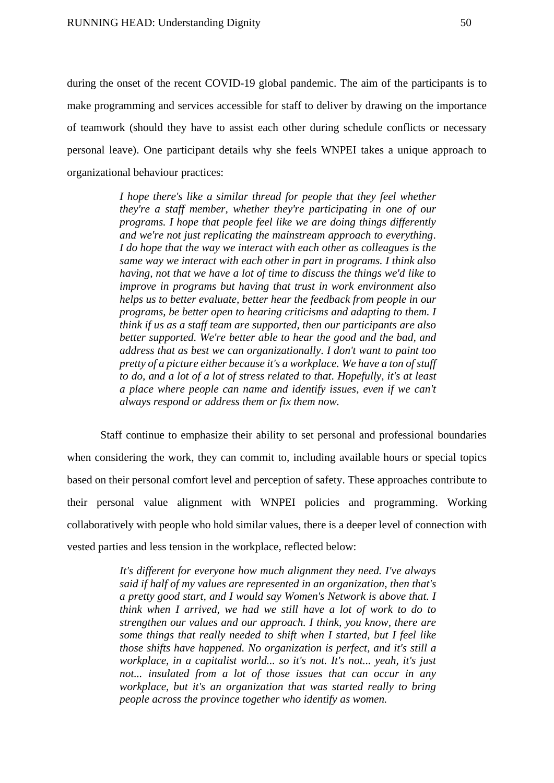during the onset of the recent COVID-19 global pandemic. The aim of the participants is to make programming and services accessible for staff to deliver by drawing on the importance of teamwork (should they have to assist each other during schedule conflicts or necessary personal leave). One participant details why she feels WNPEI takes a unique approach to organizational behaviour practices:

> *I hope there's like a similar thread for people that they feel whether they're a staff member, whether they're participating in one of our programs. I hope that people feel like we are doing things differently and we're not just replicating the mainstream approach to everything. I do hope that the way we interact with each other as colleagues is the same way we interact with each other in part in programs. I think also having, not that we have a lot of time to discuss the things we'd like to improve in programs but having that trust in work environment also helps us to better evaluate, better hear the feedback from people in our programs, be better open to hearing criticisms and adapting to them. I think if us as a staff team are supported, then our participants are also better supported. We're better able to hear the good and the bad, and address that as best we can organizationally. I don't want to paint too pretty of a picture either because it's a workplace. We have a ton of stuff to do, and a lot of a lot of stress related to that. Hopefully, it's at least a place where people can name and identify issues, even if we can't always respond or address them or fix them now.*

Staff continue to emphasize their ability to set personal and professional boundaries when considering the work, they can commit to, including available hours or special topics based on their personal comfort level and perception of safety. These approaches contribute to their personal value alignment with WNPEI policies and programming. Working collaboratively with people who hold similar values, there is a deeper level of connection with vested parties and less tension in the workplace, reflected below:

> *It's different for everyone how much alignment they need. I've always said if half of my values are represented in an organization, then that's a pretty good start, and I would say Women's Network is above that. I think when I arrived, we had we still have a lot of work to do to strengthen our values and our approach. I think, you know, there are some things that really needed to shift when I started, but I feel like those shifts have happened. No organization is perfect, and it's still a workplace, in a capitalist world... so it's not. It's not... yeah, it's just not... insulated from a lot of those issues that can occur in any workplace, but it's an organization that was started really to bring people across the province together who identify as women.*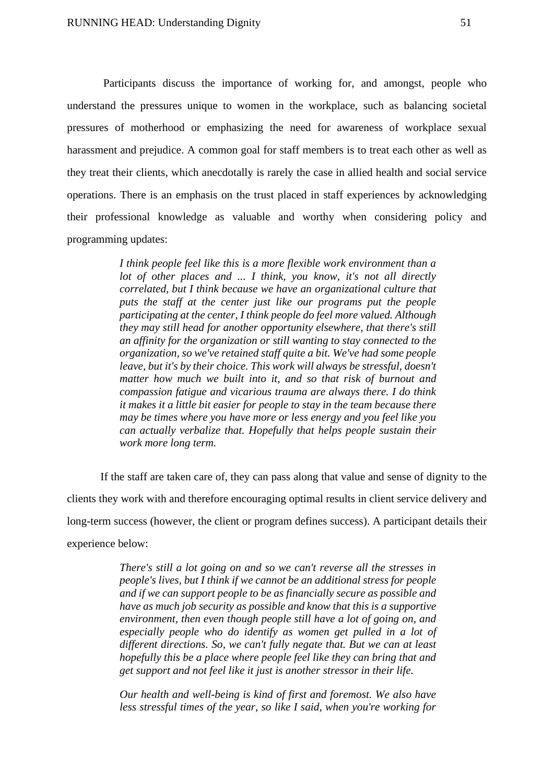Participants discuss the importance of working for, and amongst, people who understand the pressures unique to women in the workplace, such as balancing societal pressures of motherhood or emphasizing the need for awareness of workplace sexual harassment and prejudice. A common goal for staff members is to treat each other as well as they treat their clients, which anecdotally is rarely the case in allied health and social service operations. There is an emphasis on the trust placed in staff experiences by acknowledging their professional knowledge as valuable and worthy when considering policy and programming updates:

> *I think people feel like this is a more flexible work environment than a lot of other places and ... I think, you know, it's not all directly correlated, but I think because we have an organizational culture that puts the staff at the center just like our programs put the people participating at the center, I think people do feel more valued. Although they may still head for another opportunity elsewhere, that there's still an affinity for the organization or still wanting to stay connected to the organization, so we've retained staff quite a bit. We've had some people leave, but it's by their choice. This work will always be stressful, doesn't matter how much we built into it, and so that risk of burnout and compassion fatigue and vicarious trauma are always there. I do think it makes it a little bit easier for people to stay in the team because there may be times where you have more or less energy and you feel like you can actually verbalize that. Hopefully that helps people sustain their work more long term.*

If the staff are taken care of, they can pass along that value and sense of dignity to the clients they work with and therefore encouraging optimal results in client service delivery and long-term success (however, the client or program defines success). A participant details their experience below:

> *There's still a lot going on and so we can't reverse all the stresses in people's lives, but I think if we cannot be an additional stress for people and if we can support people to be as financially secure as possible and have as much job security as possible and know that this is a supportive environment, then even though people still have a lot of going on, and especially people who do identify as women get pulled in a lot of different directions. So, we can't fully negate that. But we can at least hopefully this be a place where people feel like they can bring that and get support and not feel like it just is another stressor in their life.*

> *Our health and well-being is kind of first and foremost. We also have less stressful times of the year, so like I said, when you're working for*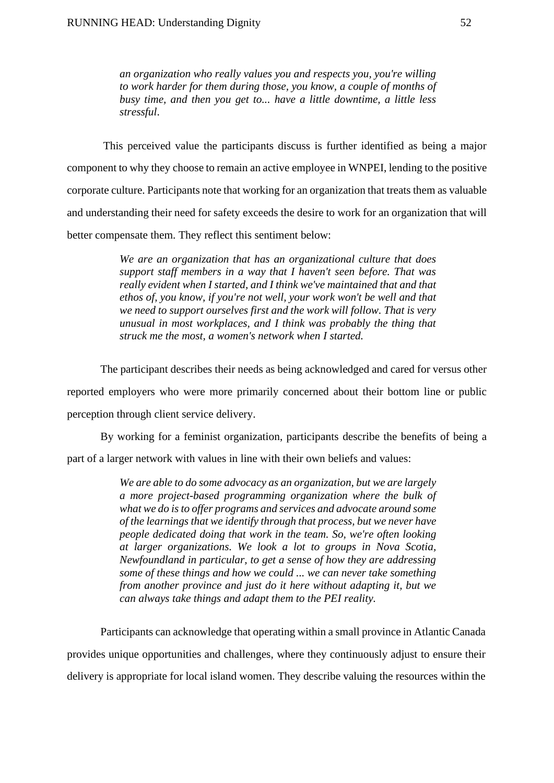*an organization who really values you and respects you, you're willing to work harder for them during those, you know, a couple of months of busy time, and then you get to... have a little downtime, a little less stressful*.

This perceived value the participants discuss is further identified as being a major component to why they choose to remain an active employee in WNPEI, lending to the positive corporate culture. Participants note that working for an organization that treats them as valuable and understanding their need for safety exceeds the desire to work for an organization that will better compensate them. They reflect this sentiment below:

> *We are an organization that has an organizational culture that does support staff members in a way that I haven't seen before. That was really evident when I started, and I think we've maintained that and that ethos of, you know, if you're not well, your work won't be well and that we need to support ourselves first and the work will follow. That is very unusual in most workplaces, and I think was probably the thing that struck me the most, a women's network when I started.*

The participant describes their needs as being acknowledged and cared for versus other reported employers who were more primarily concerned about their bottom line or public perception through client service delivery.

By working for a feminist organization, participants describe the benefits of being a part of a larger network with values in line with their own beliefs and values:

> *We are able to do some advocacy as an organization, but we are largely a more project-based programming organization where the bulk of what we do is to offer programs and services and advocate around some of the learnings that we identify through that process, but we never have people dedicated doing that work in the team. So, we're often looking at larger organizations. We look a lot to groups in Nova Scotia, Newfoundland in particular, to get a sense of how they are addressing some of these things and how we could ... we can never take something from another province and just do it here without adapting it, but we can always take things and adapt them to the PEI reality.*

Participants can acknowledge that operating within a small province in Atlantic Canada provides unique opportunities and challenges, where they continuously adjust to ensure their delivery is appropriate for local island women. They describe valuing the resources within the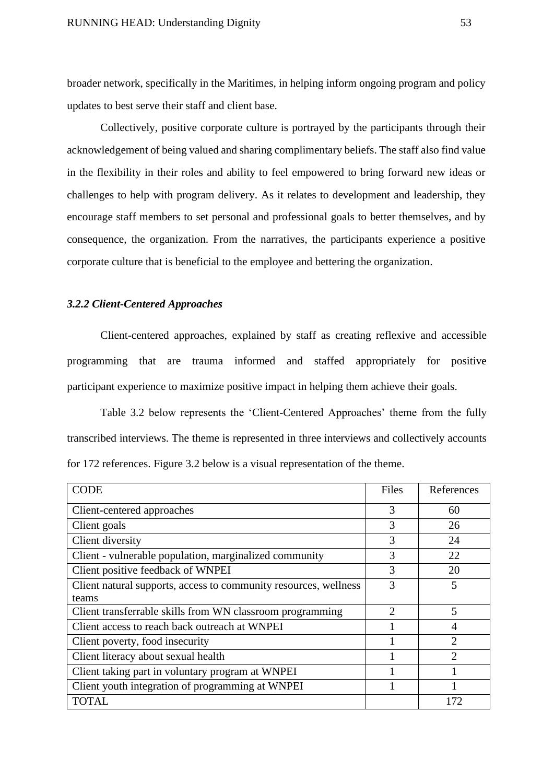broader network, specifically in the Maritimes, in helping inform ongoing program and policy updates to best serve their staff and client base.

Collectively, positive corporate culture is portrayed by the participants through their acknowledgement of being valued and sharing complimentary beliefs. The staff also find value in the flexibility in their roles and ability to feel empowered to bring forward new ideas or challenges to help with program delivery. As it relates to development and leadership, they encourage staff members to set personal and professional goals to better themselves, and by consequence, the organization. From the narratives, the participants experience a positive corporate culture that is beneficial to the employee and bettering the organization.

## *3.2.2 Client-Centered Approaches*

Client-centered approaches, explained by staff as creating reflexive and accessible programming that are trauma informed and staffed appropriately for positive participant experience to maximize positive impact in helping them achieve their goals.

Table 3.2 below represents the 'Client-Centered Approaches' theme from the fully transcribed interviews. The theme is represented in three interviews and collectively accounts for 172 references. Figure 3.2 below is a visual representation of the theme.

| <b>CODE</b>                                                      | Files          | References     |
|------------------------------------------------------------------|----------------|----------------|
| Client-centered approaches                                       | 3              | 60             |
| Client goals                                                     | 3              | 26             |
| Client diversity                                                 | 3              | 24             |
| Client - vulnerable population, marginalized community           | 3              | 22             |
| Client positive feedback of WNPEI                                | 3              | 20             |
| Client natural supports, access to community resources, wellness | 3              | 5              |
| teams                                                            |                |                |
| Client transferrable skills from WN classroom programming        | $\overline{2}$ | 5              |
| Client access to reach back outreach at WNPEI                    |                | 4              |
| Client poverty, food insecurity                                  |                | $\overline{2}$ |
| Client literacy about sexual health                              |                | $\overline{2}$ |
| Client taking part in voluntary program at WNPEI                 |                |                |
| Client youth integration of programming at WNPEI                 |                |                |
| <b>TOTAL</b>                                                     |                | 172            |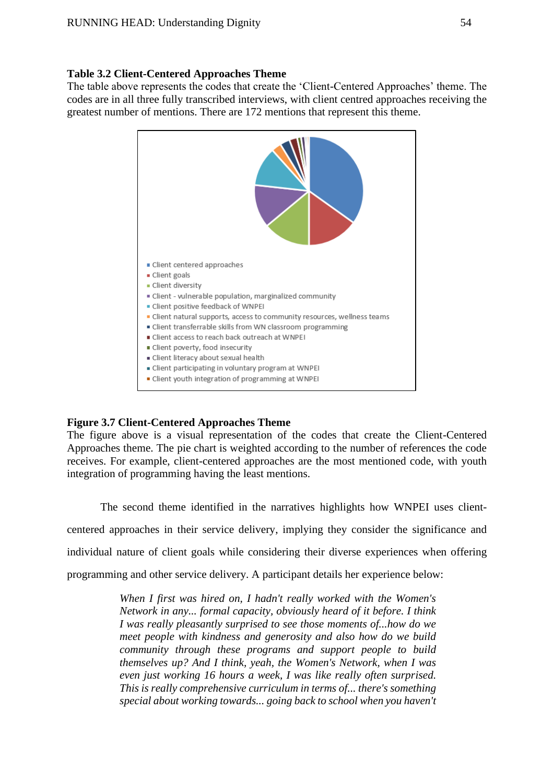## **Table 3.2 Client-Centered Approaches Theme**

The table above represents the codes that create the 'Client-Centered Approaches' theme. The codes are in all three fully transcribed interviews, with client centred approaches receiving the greatest number of mentions. There are 172 mentions that represent this theme.



# **Figure 3.7 Client-Centered Approaches Theme**

The figure above is a visual representation of the codes that create the Client-Centered Approaches theme. The pie chart is weighted according to the number of references the code receives. For example, client-centered approaches are the most mentioned code, with youth integration of programming having the least mentions.

The second theme identified in the narratives highlights how WNPEI uses clientcentered approaches in their service delivery, implying they consider the significance and individual nature of client goals while considering their diverse experiences when offering programming and other service delivery. A participant details her experience below:

> *When I first was hired on, I hadn't really worked with the Women's Network in any... formal capacity, obviously heard of it before. I think I was really pleasantly surprised to see those moments of...how do we meet people with kindness and generosity and also how do we build community through these programs and support people to build themselves up? And I think, yeah, the Women's Network, when I was even just working 16 hours a week, I was like really often surprised. This is really comprehensive curriculum in terms of... there's something special about working towards... going back to school when you haven't*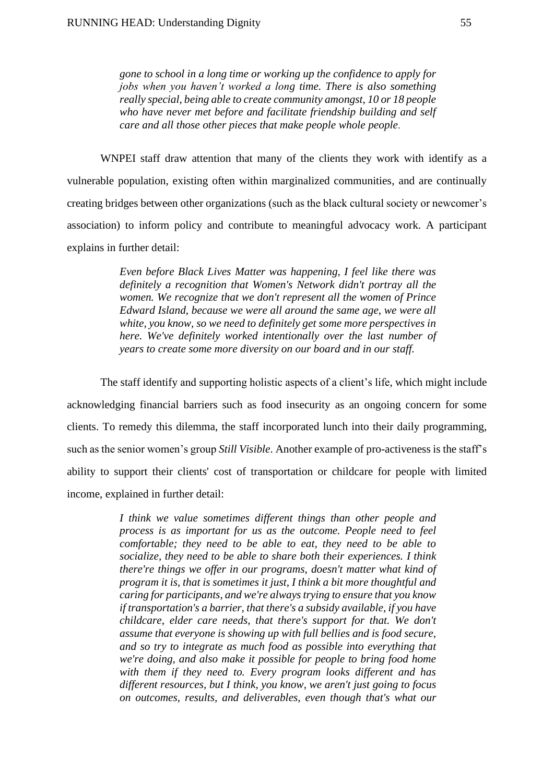*gone to school in a long time or working up the confidence to apply for jobs when you haven't worked a long time. There is also something really special, being able to create community amongst, 10 or 18 people who have never met before and facilitate friendship building and self care and all those other pieces that make people whole people*.

WNPEI staff draw attention that many of the clients they work with identify as a vulnerable population, existing often within marginalized communities, and are continually creating bridges between other organizations (such as the black cultural society or newcomer's association) to inform policy and contribute to meaningful advocacy work. A participant explains in further detail:

> *Even before Black Lives Matter was happening, I feel like there was definitely a recognition that Women's Network didn't portray all the women. We recognize that we don't represent all the women of Prince Edward Island, because we were all around the same age, we were all white, you know, so we need to definitely get some more perspectives in here. We've definitely worked intentionally over the last number of years to create some more diversity on our board and in our staff.*

The staff identify and supporting holistic aspects of a client's life, which might include acknowledging financial barriers such as food insecurity as an ongoing concern for some clients. To remedy this dilemma, the staff incorporated lunch into their daily programming, such as the senior women's group *Still Visible*. Another example of pro-activeness is the staff's ability to support their clients' cost of transportation or childcare for people with limited income, explained in further detail:

> *I think we value sometimes different things than other people and process is as important for us as the outcome. People need to feel comfortable; they need to be able to eat, they need to be able to socialize, they need to be able to share both their experiences. I think there're things we offer in our programs, doesn't matter what kind of program it is, that is sometimes it just, I think a bit more thoughtful and caring for participants, and we're always trying to ensure that you know if transportation's a barrier, that there's a subsidy available, if you have childcare, elder care needs, that there's support for that. We don't assume that everyone is showing up with full bellies and is food secure, and so try to integrate as much food as possible into everything that we're doing, and also make it possible for people to bring food home with them if they need to. Every program looks different and has different resources, but I think, you know, we aren't just going to focus on outcomes, results, and deliverables, even though that's what our*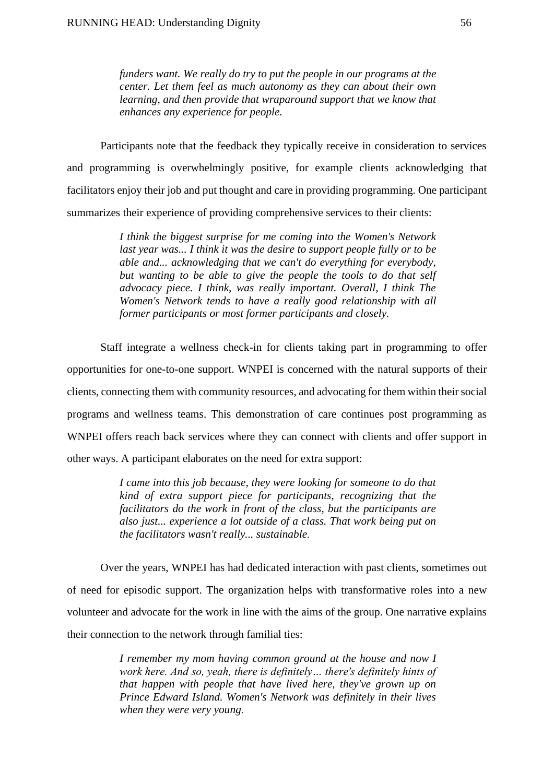*funders want. We really do try to put the people in our programs at the center. Let them feel as much autonomy as they can about their own learning, and then provide that wraparound support that we know that enhances any experience for people.*

Participants note that the feedback they typically receive in consideration to services and programming is overwhelmingly positive, for example clients acknowledging that facilitators enjoy their job and put thought and care in providing programming. One participant summarizes their experience of providing comprehensive services to their clients:

> *I think the biggest surprise for me coming into the Women's Network last year was... I think it was the desire to support people fully or to be able and... acknowledging that we can't do everything for everybody, but wanting to be able to give the people the tools to do that self advocacy piece. I think, was really important. Overall, I think The Women's Network tends to have a really good relationship with all former participants or most former participants and closely.*

Staff integrate a wellness check-in for clients taking part in programming to offer opportunities for one-to-one support. WNPEI is concerned with the natural supports of their clients, connecting them with community resources, and advocating for them within their social programs and wellness teams. This demonstration of care continues post programming as WNPEI offers reach back services where they can connect with clients and offer support in other ways. A participant elaborates on the need for extra support:

> *I came into this job because, they were looking for someone to do that kind of extra support piece for participants, recognizing that the facilitators do the work in front of the class, but the participants are also just... experience a lot outside of a class. That work being put on the facilitators wasn't really... sustainable*.

Over the years, WNPEI has had dedicated interaction with past clients, sometimes out of need for episodic support. The organization helps with transformative roles into a new volunteer and advocate for the work in line with the aims of the group. One narrative explains their connection to the network through familial ties:

> *I remember my mom having common ground at the house and now I work here. And so, yeah, there is definitely… there's definitely hints of that happen with people that have lived here, they've grown up on Prince Edward Island. Women's Network was definitely in their lives when they were very young*.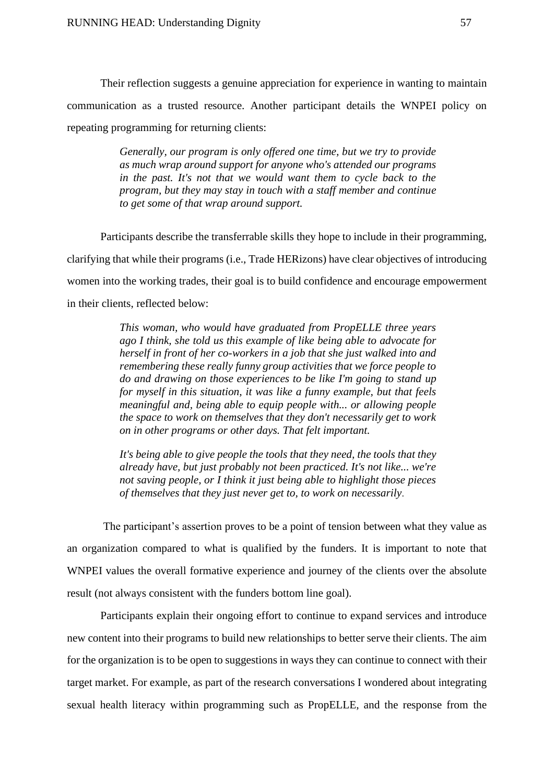Their reflection suggests a genuine appreciation for experience in wanting to maintain communication as a trusted resource. Another participant details the WNPEI policy on repeating programming for returning clients:

> *Generally, our program is only offered one time, but we try to provide as much wrap around support for anyone who's attended our programs*  in the past. It's not that we would want them to cycle back to the *program, but they may stay in touch with a staff member and continue to get some of that wrap around support.*

Participants describe the transferrable skills they hope to include in their programming, clarifying that while their programs (i.e., Trade HERizons) have clear objectives of introducing women into the working trades, their goal is to build confidence and encourage empowerment in their clients, reflected below:

> *This woman, who would have graduated from PropELLE three years ago I think, she told us this example of like being able to advocate for herself in front of her co-workers in a job that she just walked into and remembering these really funny group activities that we force people to do and drawing on those experiences to be like I'm going to stand up for myself in this situation, it was like a funny example, but that feels meaningful and, being able to equip people with... or allowing people the space to work on themselves that they don't necessarily get to work on in other programs or other days. That felt important.*

> *It's being able to give people the tools that they need, the tools that they already have, but just probably not been practiced. It's not like... we're not saving people, or I think it just being able to highlight those pieces of themselves that they just never get to, to work on necessarily*.

The participant's assertion proves to be a point of tension between what they value as an organization compared to what is qualified by the funders. It is important to note that WNPEI values the overall formative experience and journey of the clients over the absolute result (not always consistent with the funders bottom line goal).

Participants explain their ongoing effort to continue to expand services and introduce new content into their programs to build new relationships to better serve their clients. The aim for the organization is to be open to suggestions in ways they can continue to connect with their target market. For example, as part of the research conversations I wondered about integrating sexual health literacy within programming such as PropELLE, and the response from the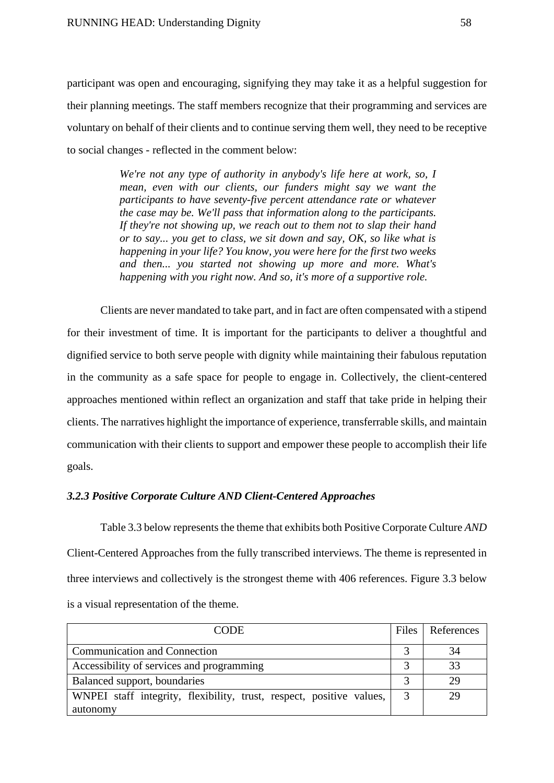participant was open and encouraging, signifying they may take it as a helpful suggestion for their planning meetings. The staff members recognize that their programming and services are voluntary on behalf of their clients and to continue serving them well, they need to be receptive to social changes - reflected in the comment below:

> *We're not any type of authority in anybody's life here at work, so, I mean, even with our clients, our funders might say we want the participants to have seventy-five percent attendance rate or whatever the case may be. We'll pass that information along to the participants. If they're not showing up, we reach out to them not to slap their hand or to say... you get to class, we sit down and say, OK, so like what is happening in your life? You know, you were here for the first two weeks and then... you started not showing up more and more. What's happening with you right now. And so, it's more of a supportive role.*

Clients are never mandated to take part, and in fact are often compensated with a stipend for their investment of time. It is important for the participants to deliver a thoughtful and dignified service to both serve people with dignity while maintaining their fabulous reputation in the community as a safe space for people to engage in. Collectively, the client-centered approaches mentioned within reflect an organization and staff that take pride in helping their clients. The narratives highlight the importance of experience, transferrable skills, and maintain communication with their clients to support and empower these people to accomplish their life goals.

## *3.2.3 Positive Corporate Culture AND Client-Centered Approaches*

Table 3.3 below represents the theme that exhibits both Positive Corporate Culture *AND*  Client-Centered Approaches from the fully transcribed interviews. The theme is represented in three interviews and collectively is the strongest theme with 406 references. Figure 3.3 below is a visual representation of the theme.

| CODE                                                                 | Files | References |
|----------------------------------------------------------------------|-------|------------|
| <b>Communication and Connection</b>                                  |       |            |
| Accessibility of services and programming                            |       |            |
| Balanced support, boundaries                                         |       |            |
| WNPEI staff integrity, flexibility, trust, respect, positive values, |       |            |
| autonomy                                                             |       |            |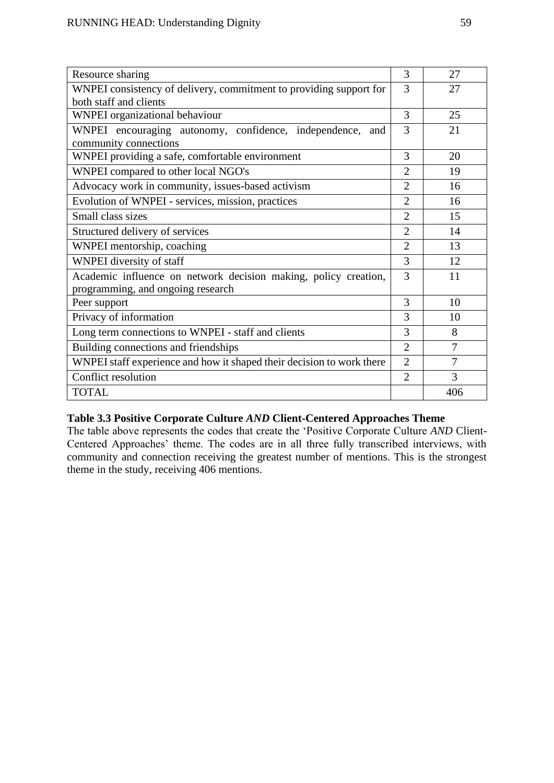| Resource sharing                                                      | 3              | 27             |
|-----------------------------------------------------------------------|----------------|----------------|
| WNPEI consistency of delivery, commitment to providing support for    | 3              | 27             |
| both staff and clients                                                |                |                |
| <b>WNPEI</b> organizational behaviour                                 | 3              | 25             |
| WNPEI encouraging autonomy, confidence, independence, and             | 3              | 21             |
| community connections                                                 |                |                |
| WNPEI providing a safe, comfortable environment                       | 3              | 20             |
| WNPEI compared to other local NGO's                                   | $\overline{2}$ | 19             |
| Advocacy work in community, issues-based activism                     | $\overline{2}$ | 16             |
| Evolution of WNPEI - services, mission, practices                     | $\overline{2}$ | 16             |
| Small class sizes                                                     | $\overline{2}$ | 15             |
| Structured delivery of services                                       | $\overline{2}$ | 14             |
| WNPEI mentorship, coaching                                            | $\overline{2}$ | 13             |
| WNPEI diversity of staff                                              | 3              | 12             |
| Academic influence on network decision making, policy creation,       | 3              | 11             |
| programming, and ongoing research                                     |                |                |
| Peer support                                                          | 3              | 10             |
| Privacy of information                                                | 3              | 10             |
| Long term connections to WNPEI - staff and clients                    | 3              | 8              |
| Building connections and friendships                                  | $\overline{2}$ | $\overline{7}$ |
| WNPEI staff experience and how it shaped their decision to work there | $\overline{2}$ | 7              |
| Conflict resolution                                                   | $\overline{2}$ | 3              |
| <b>TOTAL</b>                                                          |                | 406            |

# **Table 3.3 Positive Corporate Culture** *AND* **Client-Centered Approaches Theme**

The table above represents the codes that create the 'Positive Corporate Culture *AND* Client-Centered Approaches' theme. The codes are in all three fully transcribed interviews, with community and connection receiving the greatest number of mentions. This is the strongest theme in the study, receiving 406 mentions.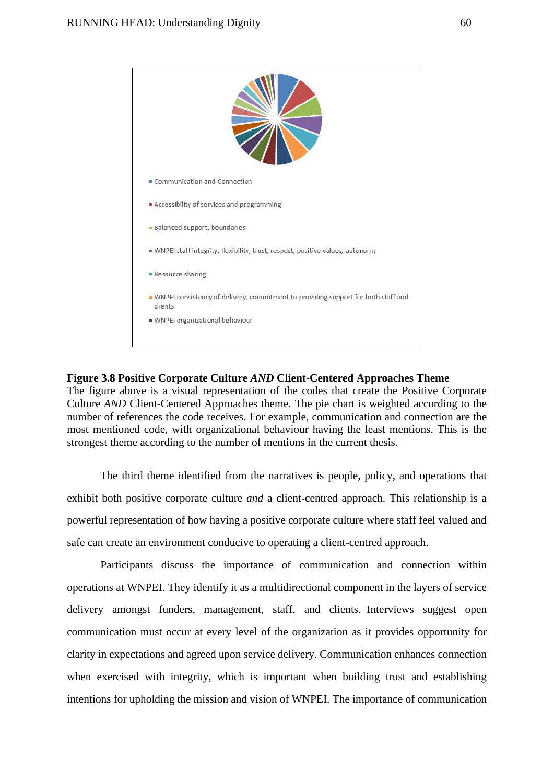

#### **Figure 3.8 Positive Corporate Culture** *AND* **Client-Centered Approaches Theme**

The figure above is a visual representation of the codes that create the Positive Corporate Culture *AND* Client-Centered Approaches theme. The pie chart is weighted according to the number of references the code receives. For example, communication and connection are the most mentioned code, with organizational behaviour having the least mentions. This is the strongest theme according to the number of mentions in the current thesis.

The third theme identified from the narratives is people, policy, and operations that exhibit both positive corporate culture *and* a client-centred approach. This relationship is a powerful representation of how having a positive corporate culture where staff feel valued and safe can create an environment conducive to operating a client-centred approach.

Participants discuss the importance of communication and connection within operations at WNPEI. They identify it as a multidirectional component in the layers of service delivery amongst funders, management, staff, and clients. Interviews suggest open communication must occur at every level of the organization as it provides opportunity for clarity in expectations and agreed upon service delivery. Communication enhances connection when exercised with integrity, which is important when building trust and establishing intentions for upholding the mission and vision of WNPEI. The importance of communication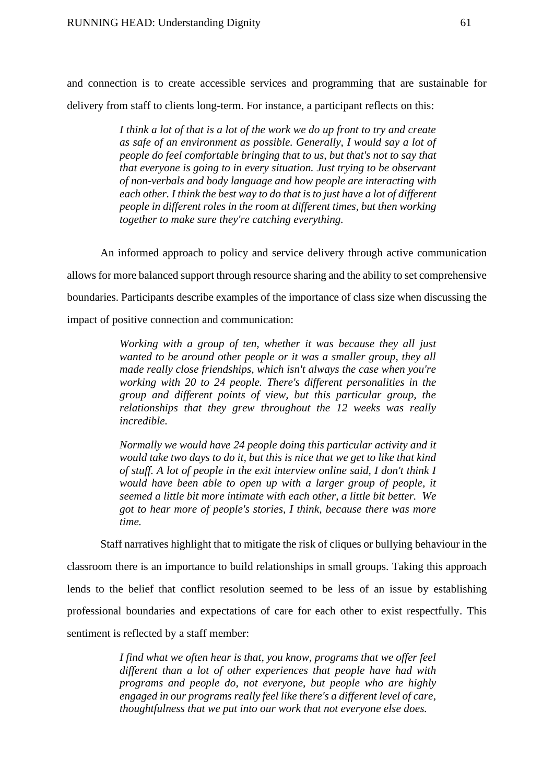and connection is to create accessible services and programming that are sustainable for delivery from staff to clients long-term. For instance, a participant reflects on this:

> *I think a lot of that is a lot of the work we do up front to try and create as safe of an environment as possible. Generally, I would say a lot of people do feel comfortable bringing that to us, but that's not to say that that everyone is going to in every situation. Just trying to be observant of non-verbals and body language and how people are interacting with each other. I think the best way to do that is to just have a lot of different people in different roles in the room at different times, but then working together to make sure they're catching everything.*

An informed approach to policy and service delivery through active communication allows for more balanced support through resource sharing and the ability to set comprehensive boundaries. Participants describe examples of the importance of class size when discussing the impact of positive connection and communication:

> *Working with a group of ten, whether it was because they all just wanted to be around other people or it was a smaller group, they all made really close friendships, which isn't always the case when you're working with 20 to 24 people. There's different personalities in the group and different points of view, but this particular group, the relationships that they grew throughout the 12 weeks was really incredible.*

> *Normally we would have 24 people doing this particular activity and it would take two days to do it, but this is nice that we get to like that kind of stuff. A lot of people in the exit interview online said, I don't think I would have been able to open up with a larger group of people, it seemed a little bit more intimate with each other, a little bit better. We got to hear more of people's stories, I think, because there was more time.*

Staff narratives highlight that to mitigate the risk of cliques or bullying behaviour in the classroom there is an importance to build relationships in small groups. Taking this approach lends to the belief that conflict resolution seemed to be less of an issue by establishing professional boundaries and expectations of care for each other to exist respectfully. This sentiment is reflected by a staff member:

> *I find what we often hear is that, you know, programs that we offer feel different than a lot of other experiences that people have had with programs and people do, not everyone, but people who are highly engaged in our programs really feel like there's a different level of care, thoughtfulness that we put into our work that not everyone else does.*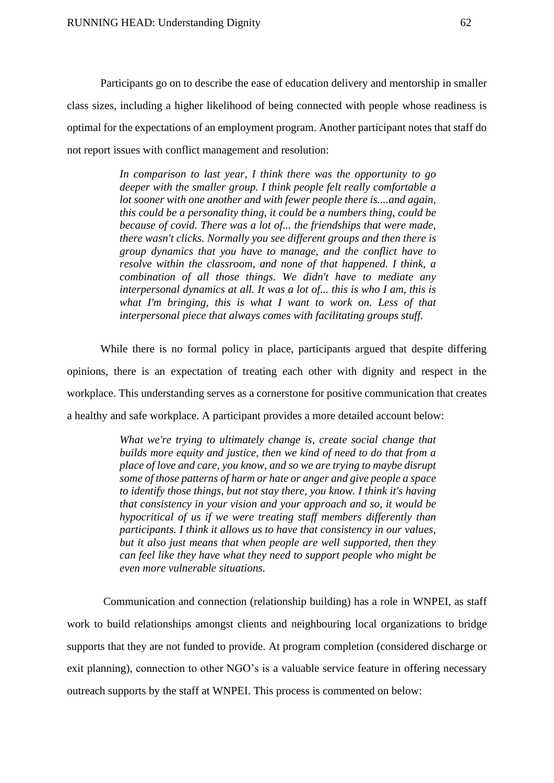Participants go on to describe the ease of education delivery and mentorship in smaller class sizes, including a higher likelihood of being connected with people whose readiness is optimal for the expectations of an employment program. Another participant notes that staff do not report issues with conflict management and resolution:

> *In comparison to last year, I think there was the opportunity to go deeper with the smaller group. I think people felt really comfortable a lot sooner with one another and with fewer people there is....and again, this could be a personality thing, it could be a numbers thing, could be because of covid. There was a lot of... the friendships that were made, there wasn't clicks. Normally you see different groups and then there is group dynamics that you have to manage, and the conflict have to resolve within the classroom, and none of that happened. I think, a combination of all those things. We didn't have to mediate any interpersonal dynamics at all. It was a lot of... this is who I am, this is what I'm bringing, this is what I want to work on. Less of that interpersonal piece that always comes with facilitating groups stuff.*

While there is no formal policy in place, participants argued that despite differing opinions, there is an expectation of treating each other with dignity and respect in the workplace. This understanding serves as a cornerstone for positive communication that creates a healthy and safe workplace. A participant provides a more detailed account below:

> *What we're trying to ultimately change is, create social change that builds more equity and justice, then we kind of need to do that from a place of love and care, you know, and so we are trying to maybe disrupt some of those patterns of harm or hate or anger and give people a space to identify those things, but not stay there, you know. I think it's having that consistency in your vision and your approach and so, it would be hypocritical of us if we were treating staff members differently than participants. I think it allows us to have that consistency in our values, but it also just means that when people are well supported, then they can feel like they have what they need to support people who might be even more vulnerable situations.*

Communication and connection (relationship building) has a role in WNPEI, as staff work to build relationships amongst clients and neighbouring local organizations to bridge supports that they are not funded to provide. At program completion (considered discharge or exit planning), connection to other NGO's is a valuable service feature in offering necessary outreach supports by the staff at WNPEI. This process is commented on below: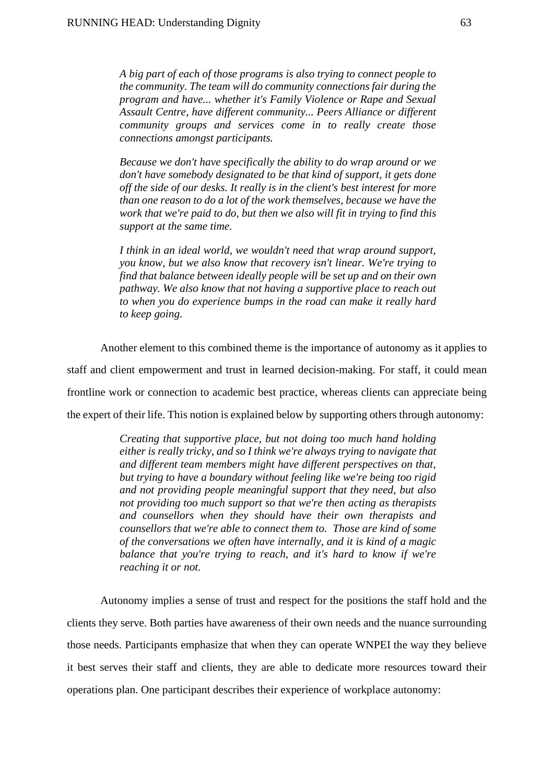*A big part of each of those programs is also trying to connect people to the community. The team will do community connections fair during the program and have... whether it's Family Violence or Rape and Sexual Assault Centre, have different community... Peers Alliance or different community groups and services come in to really create those connections amongst participants.*

*Because we don't have specifically the ability to do wrap around or we don't have somebody designated to be that kind of support, it gets done off the side of our desks. It really is in the client's best interest for more than one reason to do a lot of the work themselves, because we have the work that we're paid to do, but then we also will fit in trying to find this support at the same time.*

*I think in an ideal world, we wouldn't need that wrap around support, you know, but we also know that recovery isn't linear. We're trying to find that balance between ideally people will be set up and on their own pathway. We also know that not having a supportive place to reach out to when you do experience bumps in the road can make it really hard to keep going.*

Another element to this combined theme is the importance of autonomy as it applies to staff and client empowerment and trust in learned decision-making. For staff, it could mean frontline work or connection to academic best practice, whereas clients can appreciate being the expert of their life. This notion is explained below by supporting others through autonomy:

> *Creating that supportive place, but not doing too much hand holding either is really tricky, and so I think we're always trying to navigate that and different team members might have different perspectives on that, but trying to have a boundary without feeling like we're being too rigid and not providing people meaningful support that they need, but also not providing too much support so that we're then acting as therapists and counsellors when they should have their own therapists and counsellors that we're able to connect them to. Those are kind of some of the conversations we often have internally, and it is kind of a magic balance that you're trying to reach, and it's hard to know if we're reaching it or not.*

Autonomy implies a sense of trust and respect for the positions the staff hold and the clients they serve. Both parties have awareness of their own needs and the nuance surrounding those needs. Participants emphasize that when they can operate WNPEI the way they believe it best serves their staff and clients, they are able to dedicate more resources toward their operations plan. One participant describes their experience of workplace autonomy: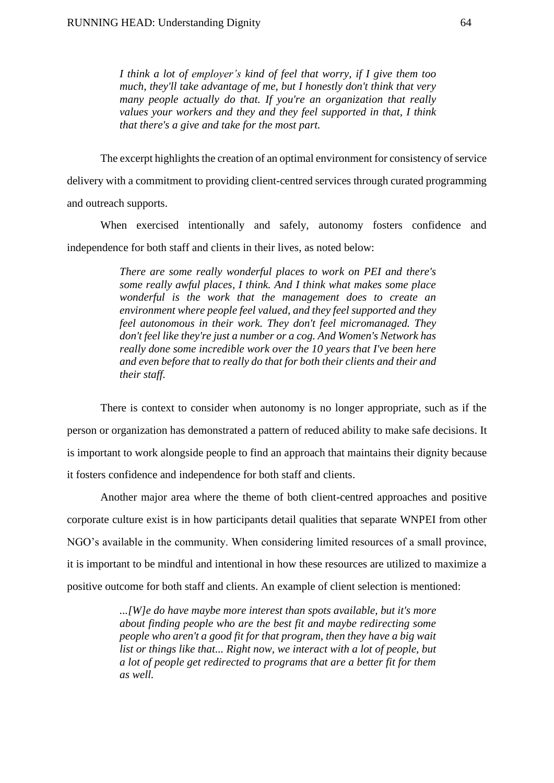*I think a lot of employer's kind of feel that worry, if I give them too much, they'll take advantage of me, but I honestly don't think that very many people actually do that. If you're an organization that really values your workers and they and they feel supported in that, I think that there's a give and take for the most part.*

The excerpt highlights the creation of an optimal environment for consistency of service delivery with a commitment to providing client-centred services through curated programming and outreach supports.

When exercised intentionally and safely, autonomy fosters confidence and independence for both staff and clients in their lives, as noted below:

> *There are some really wonderful places to work on PEI and there's some really awful places, I think. And I think what makes some place wonderful is the work that the management does to create an environment where people feel valued, and they feel supported and they feel autonomous in their work. They don't feel micromanaged. They don't feel like they're just a number or a cog. And Women's Network has really done some incredible work over the 10 years that I've been here and even before that to really do that for both their clients and their and their staff.*

There is context to consider when autonomy is no longer appropriate, such as if the person or organization has demonstrated a pattern of reduced ability to make safe decisions. It is important to work alongside people to find an approach that maintains their dignity because it fosters confidence and independence for both staff and clients.

Another major area where the theme of both client-centred approaches and positive corporate culture exist is in how participants detail qualities that separate WNPEI from other NGO's available in the community. When considering limited resources of a small province, it is important to be mindful and intentional in how these resources are utilized to maximize a positive outcome for both staff and clients. An example of client selection is mentioned:

> *...[W]e do have maybe more interest than spots available, but it's more about finding people who are the best fit and maybe redirecting some people who aren't a good fit for that program, then they have a big wait list or things like that... Right now, we interact with a lot of people, but a lot of people get redirected to programs that are a better fit for them as well.*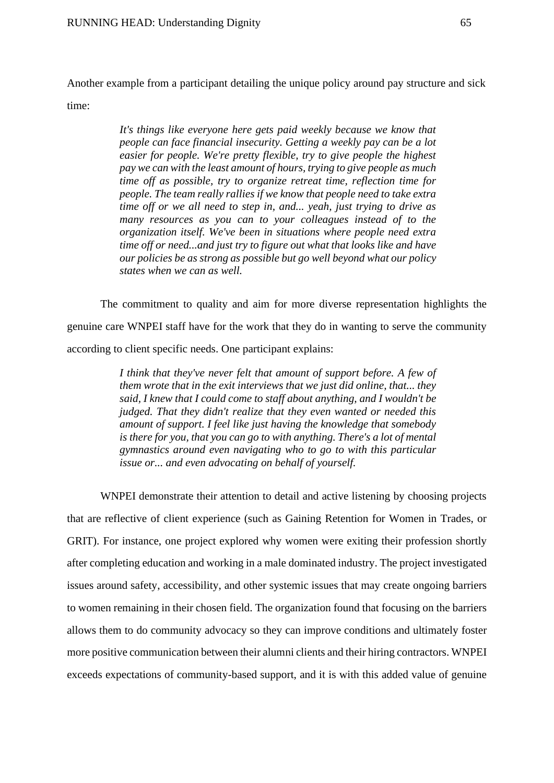Another example from a participant detailing the unique policy around pay structure and sick time:

> *It's things like everyone here gets paid weekly because we know that people can face financial insecurity. Getting a weekly pay can be a lot easier for people. We're pretty flexible, try to give people the highest pay we can with the least amount of hours, trying to give people as much time off as possible, try to organize retreat time, reflection time for people. The team really rallies if we know that people need to take extra time off or we all need to step in, and... yeah, just trying to drive as many resources as you can to your colleagues instead of to the organization itself. We've been in situations where people need extra time off or need...and just try to figure out what that looks like and have our policies be as strong as possible but go well beyond what our policy states when we can as well.*

The commitment to quality and aim for more diverse representation highlights the genuine care WNPEI staff have for the work that they do in wanting to serve the community according to client specific needs. One participant explains:

> *I think that they've never felt that amount of support before. A few of them wrote that in the exit interviews that we just did online, that... they said, I knew that I could come to staff about anything, and I wouldn't be judged. That they didn't realize that they even wanted or needed this amount of support. I feel like just having the knowledge that somebody is there for you, that you can go to with anything. There's a lot of mental gymnastics around even navigating who to go to with this particular issue or... and even advocating on behalf of yourself.*

WNPEI demonstrate their attention to detail and active listening by choosing projects that are reflective of client experience (such as Gaining Retention for Women in Trades, or GRIT). For instance, one project explored why women were exiting their profession shortly after completing education and working in a male dominated industry. The project investigated issues around safety, accessibility, and other systemic issues that may create ongoing barriers to women remaining in their chosen field. The organization found that focusing on the barriers allows them to do community advocacy so they can improve conditions and ultimately foster more positive communication between their alumni clients and their hiring contractors. WNPEI exceeds expectations of community-based support, and it is with this added value of genuine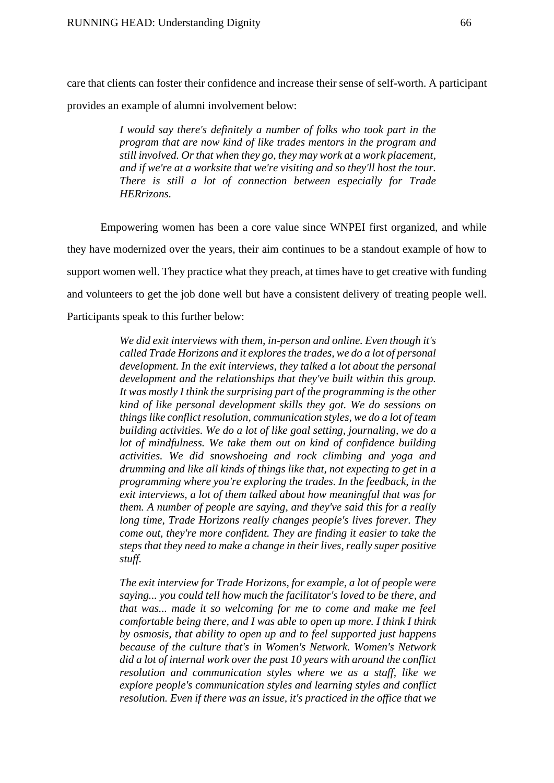care that clients can foster their confidence and increase their sense of self-worth. A participant provides an example of alumni involvement below:

> *I would say there's definitely a number of folks who took part in the program that are now kind of like trades mentors in the program and still involved. Or that when they go, they may work at a work placement, and if we're at a worksite that we're visiting and so they'll host the tour. There is still a lot of connection between especially for Trade HERrizons.*

Empowering women has been a core value since WNPEI first organized, and while they have modernized over the years, their aim continues to be a standout example of how to support women well. They practice what they preach, at times have to get creative with funding and volunteers to get the job done well but have a consistent delivery of treating people well. Participants speak to this further below:

> *We did exit interviews with them, in-person and online. Even though it's called Trade Horizons and it explores the trades, we do a lot of personal development. In the exit interviews, they talked a lot about the personal development and the relationships that they've built within this group. It was mostly I think the surprising part of the programming is the other kind of like personal development skills they got. We do sessions on things like conflict resolution, communication styles, we do a lot of team building activities. We do a lot of like goal setting, journaling, we do a lot of mindfulness. We take them out on kind of confidence building activities. We did snowshoeing and rock climbing and yoga and drumming and like all kinds of things like that, not expecting to get in a programming where you're exploring the trades. In the feedback, in the exit interviews, a lot of them talked about how meaningful that was for them. A number of people are saying, and they've said this for a really long time, Trade Horizons really changes people's lives forever. They come out, they're more confident. They are finding it easier to take the steps that they need to make a change in their lives, really super positive stuff.*

> *The exit interview for Trade Horizons, for example, a lot of people were saying... you could tell how much the facilitator's loved to be there, and that was... made it so welcoming for me to come and make me feel comfortable being there, and I was able to open up more. I think I think by osmosis, that ability to open up and to feel supported just happens because of the culture that's in Women's Network. Women's Network did a lot of internal work over the past 10 years with around the conflict resolution and communication styles where we as a staff, like we explore people's communication styles and learning styles and conflict resolution. Even if there was an issue, it's practiced in the office that we*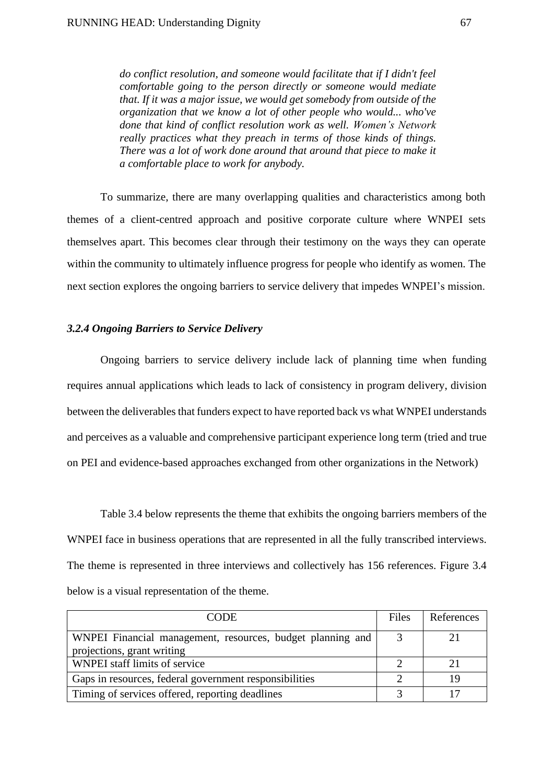*do conflict resolution, and someone would facilitate that if I didn't feel comfortable going to the person directly or someone would mediate that. If it was a major issue, we would get somebody from outside of the organization that we know a lot of other people who would... who've done that kind of conflict resolution work as well. Women's Network really practices what they preach in terms of those kinds of things. There was a lot of work done around that around that piece to make it a comfortable place to work for anybody.*

 To summarize, there are many overlapping qualities and characteristics among both themes of a client-centred approach and positive corporate culture where WNPEI sets themselves apart. This becomes clear through their testimony on the ways they can operate within the community to ultimately influence progress for people who identify as women. The next section explores the ongoing barriers to service delivery that impedes WNPEI's mission.

#### *3.2.4 Ongoing Barriers to Service Delivery*

Ongoing barriers to service delivery include lack of planning time when funding requires annual applications which leads to lack of consistency in program delivery, division between the deliverables that funders expect to have reported back vs what WNPEI understands and perceives as a valuable and comprehensive participant experience long term (tried and true on PEI and evidence-based approaches exchanged from other organizations in the Network)

Table 3.4 below represents the theme that exhibits the ongoing barriers members of the WNPEI face in business operations that are represented in all the fully transcribed interviews. The theme is represented in three interviews and collectively has 156 references. Figure 3.4 below is a visual representation of the theme.

| <b>CODE</b>                                                                              | Files | References |
|------------------------------------------------------------------------------------------|-------|------------|
| WNPEI Financial management, resources, budget planning and<br>projections, grant writing |       |            |
| WNPEI staff limits of service                                                            |       |            |
| Gaps in resources, federal government responsibilities                                   |       |            |
| Timing of services offered, reporting deadlines                                          |       |            |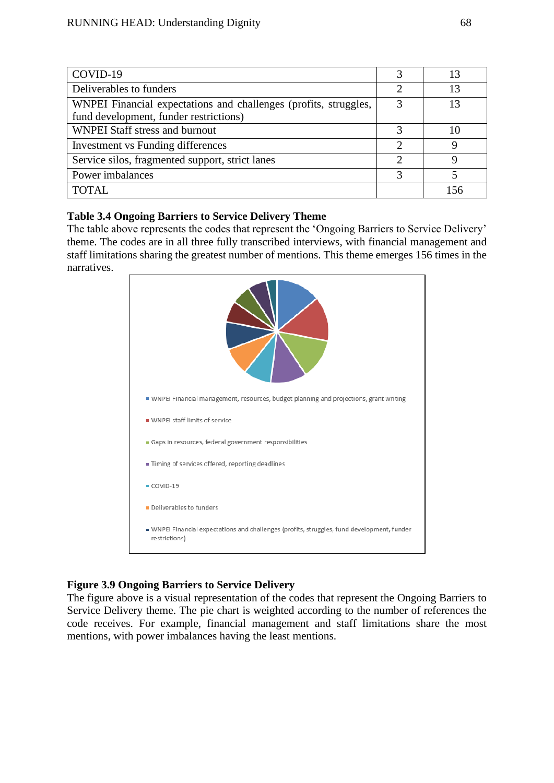| COVID-19                                                         |               |     |
|------------------------------------------------------------------|---------------|-----|
| Deliverables to funders                                          | ∍             | 13  |
| WNPEI Financial expectations and challenges (profits, struggles, |               |     |
| fund development, funder restrictions)                           |               |     |
| WNPEI Staff stress and burnout                                   |               |     |
| Investment vs Funding differences                                | $\mathcal{D}$ | Q   |
| Service silos, fragmented support, strict lanes                  | ◠             |     |
| Power imbalances                                                 | 2             |     |
| <b>TOTAL</b>                                                     |               | 156 |

## **Table 3.4 Ongoing Barriers to Service Delivery Theme**

The table above represents the codes that represent the 'Ongoing Barriers to Service Delivery' theme. The codes are in all three fully transcribed interviews, with financial management and staff limitations sharing the greatest number of mentions. This theme emerges 156 times in the narratives.



# **Figure 3.9 Ongoing Barriers to Service Delivery**

The figure above is a visual representation of the codes that represent the Ongoing Barriers to Service Delivery theme. The pie chart is weighted according to the number of references the code receives. For example, financial management and staff limitations share the most mentions, with power imbalances having the least mentions.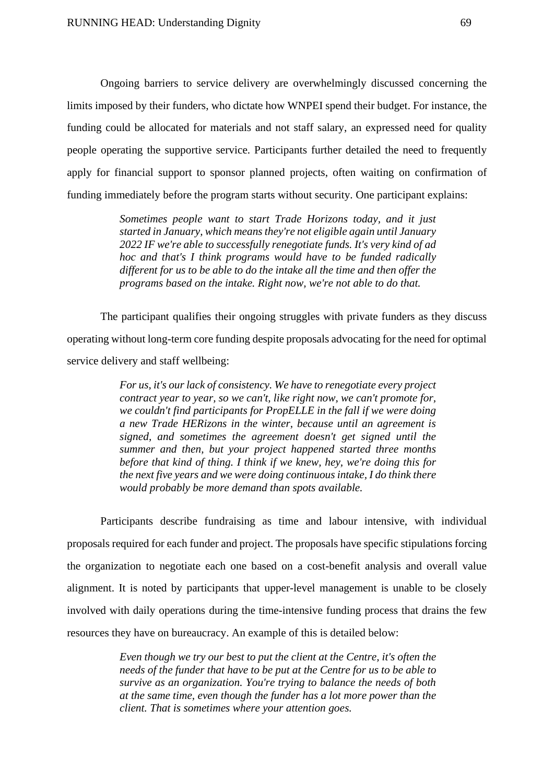Ongoing barriers to service delivery are overwhelmingly discussed concerning the limits imposed by their funders, who dictate how WNPEI spend their budget. For instance, the funding could be allocated for materials and not staff salary, an expressed need for quality people operating the supportive service. Participants further detailed the need to frequently apply for financial support to sponsor planned projects, often waiting on confirmation of funding immediately before the program starts without security. One participant explains:

> *Sometimes people want to start Trade Horizons today, and it just started in January, which means they're not eligible again until January 2022 IF we're able to successfully renegotiate funds. It's very kind of ad hoc and that's I think programs would have to be funded radically different for us to be able to do the intake all the time and then offer the programs based on the intake. Right now, we're not able to do that.*

The participant qualifies their ongoing struggles with private funders as they discuss operating without long-term core funding despite proposals advocating for the need for optimal service delivery and staff wellbeing:

> *For us, it's our lack of consistency. We have to renegotiate every project contract year to year, so we can't, like right now, we can't promote for, we couldn't find participants for PropELLE in the fall if we were doing a new Trade HERizons in the winter, because until an agreement is signed, and sometimes the agreement doesn't get signed until the summer and then, but your project happened started three months before that kind of thing. I think if we knew, hey, we're doing this for the next five years and we were doing continuous intake, I do think there would probably be more demand than spots available.*

Participants describe fundraising as time and labour intensive, with individual proposals required for each funder and project. The proposals have specific stipulations forcing the organization to negotiate each one based on a cost-benefit analysis and overall value alignment. It is noted by participants that upper-level management is unable to be closely involved with daily operations during the time-intensive funding process that drains the few resources they have on bureaucracy. An example of this is detailed below:

> *Even though we try our best to put the client at the Centre, it's often the needs of the funder that have to be put at the Centre for us to be able to survive as an organization. You're trying to balance the needs of both at the same time, even though the funder has a lot more power than the client. That is sometimes where your attention goes.*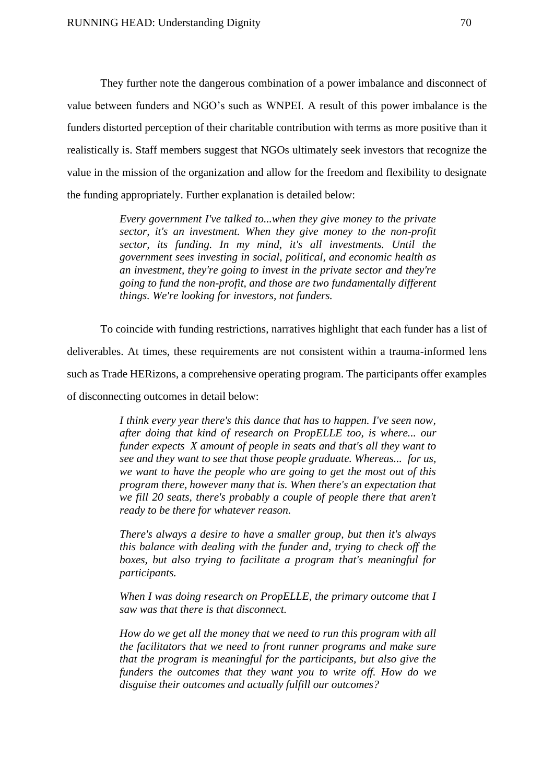They further note the dangerous combination of a power imbalance and disconnect of value between funders and NGO's such as WNPEI. A result of this power imbalance is the funders distorted perception of their charitable contribution with terms as more positive than it realistically is. Staff members suggest that NGOs ultimately seek investors that recognize the value in the mission of the organization and allow for the freedom and flexibility to designate the funding appropriately. Further explanation is detailed below:

> *Every government I've talked to...when they give money to the private sector, it's an investment. When they give money to the non-profit sector, its funding. In my mind, it's all investments. Until the government sees investing in social, political, and economic health as an investment, they're going to invest in the private sector and they're going to fund the non-profit, and those are two fundamentally different things. We're looking for investors, not funders.*

To coincide with funding restrictions, narratives highlight that each funder has a list of deliverables. At times, these requirements are not consistent within a trauma-informed lens such as Trade HERizons, a comprehensive operating program. The participants offer examples of disconnecting outcomes in detail below:

> *I think every year there's this dance that has to happen. I've seen now, after doing that kind of research on PropELLE too, is where... our funder expects X amount of people in seats and that's all they want to see and they want to see that those people graduate. Whereas... for us, we want to have the people who are going to get the most out of this program there, however many that is. When there's an expectation that we fill 20 seats, there's probably a couple of people there that aren't ready to be there for whatever reason.*

> *There's always a desire to have a smaller group, but then it's always this balance with dealing with the funder and, trying to check off the boxes, but also trying to facilitate a program that's meaningful for participants.*

> *When I was doing research on PropELLE, the primary outcome that I saw was that there is that disconnect.*

> *How do we get all the money that we need to run this program with all the facilitators that we need to front runner programs and make sure that the program is meaningful for the participants, but also give the funders the outcomes that they want you to write off. How do we disguise their outcomes and actually fulfill our outcomes?*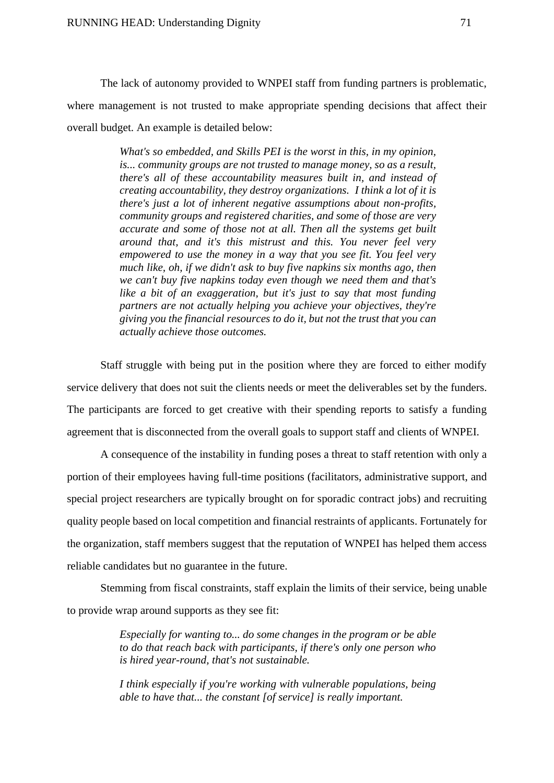The lack of autonomy provided to WNPEI staff from funding partners is problematic, where management is not trusted to make appropriate spending decisions that affect their overall budget. An example is detailed below:

> *What's so embedded, and Skills PEI is the worst in this, in my opinion, is... community groups are not trusted to manage money, so as a result, there's all of these accountability measures built in, and instead of creating accountability, they destroy organizations. I think a lot of it is there's just a lot of inherent negative assumptions about non-profits, community groups and registered charities, and some of those are very accurate and some of those not at all. Then all the systems get built around that, and it's this mistrust and this. You never feel very empowered to use the money in a way that you see fit. You feel very much like, oh, if we didn't ask to buy five napkins six months ago, then we can't buy five napkins today even though we need them and that's like a bit of an exaggeration, but it's just to say that most funding partners are not actually helping you achieve your objectives, they're giving you the financial resources to do it, but not the trust that you can actually achieve those outcomes.*

Staff struggle with being put in the position where they are forced to either modify service delivery that does not suit the clients needs or meet the deliverables set by the funders. The participants are forced to get creative with their spending reports to satisfy a funding agreement that is disconnected from the overall goals to support staff and clients of WNPEI.

A consequence of the instability in funding poses a threat to staff retention with only a portion of their employees having full-time positions (facilitators, administrative support, and special project researchers are typically brought on for sporadic contract jobs) and recruiting quality people based on local competition and financial restraints of applicants. Fortunately for the organization, staff members suggest that the reputation of WNPEI has helped them access reliable candidates but no guarantee in the future.

Stemming from fiscal constraints, staff explain the limits of their service, being unable to provide wrap around supports as they see fit:

> *Especially for wanting to... do some changes in the program or be able to do that reach back with participants, if there's only one person who is hired year-round, that's not sustainable.*

> *I think especially if you're working with vulnerable populations, being able to have that... the constant [of service] is really important.*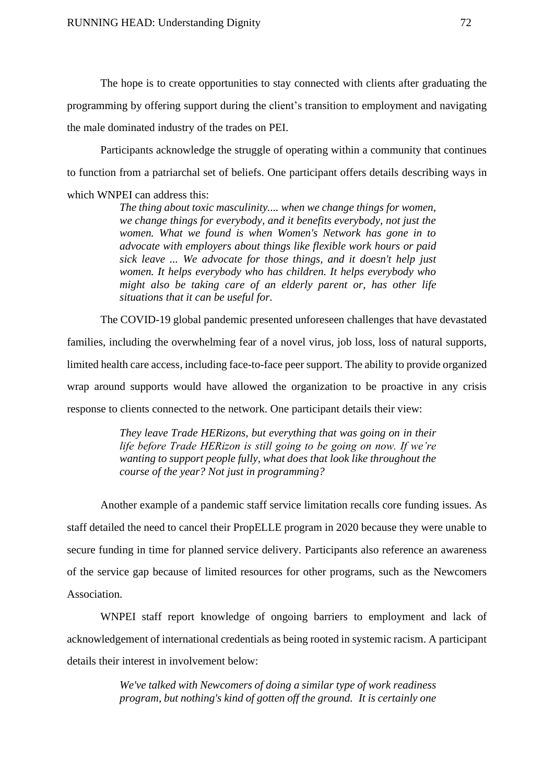The hope is to create opportunities to stay connected with clients after graduating the programming by offering support during the client's transition to employment and navigating the male dominated industry of the trades on PEI.

Participants acknowledge the struggle of operating within a community that continues to function from a patriarchal set of beliefs. One participant offers details describing ways in which WNPEI can address this:

> *The thing about toxic masculinity.... when we change things for women, we change things for everybody, and it benefits everybody, not just the women. What we found is when Women's Network has gone in to advocate with employers about things like flexible work hours or paid sick leave ... We advocate for those things, and it doesn't help just women. It helps everybody who has children. It helps everybody who might also be taking care of an elderly parent or, has other life situations that it can be useful for.*

The COVID-19 global pandemic presented unforeseen challenges that have devastated families, including the overwhelming fear of a novel virus, job loss, loss of natural supports, limited health care access, including face-to-face peer support. The ability to provide organized wrap around supports would have allowed the organization to be proactive in any crisis response to clients connected to the network. One participant details their view:

> *They leave Trade HERizons, but everything that was going on in their life before Trade HERizon is still going to be going on now. If we're wanting to support people fully, what does that look like throughout the course of the year? Not just in programming?*

Another example of a pandemic staff service limitation recalls core funding issues. As staff detailed the need to cancel their PropELLE program in 2020 because they were unable to secure funding in time for planned service delivery. Participants also reference an awareness of the service gap because of limited resources for other programs, such as the Newcomers Association.

WNPEI staff report knowledge of ongoing barriers to employment and lack of acknowledgement of international credentials as being rooted in systemic racism. A participant details their interest in involvement below:

> *We've talked with Newcomers of doing a similar type of work readiness program, but nothing's kind of gotten off the ground. It is certainly one*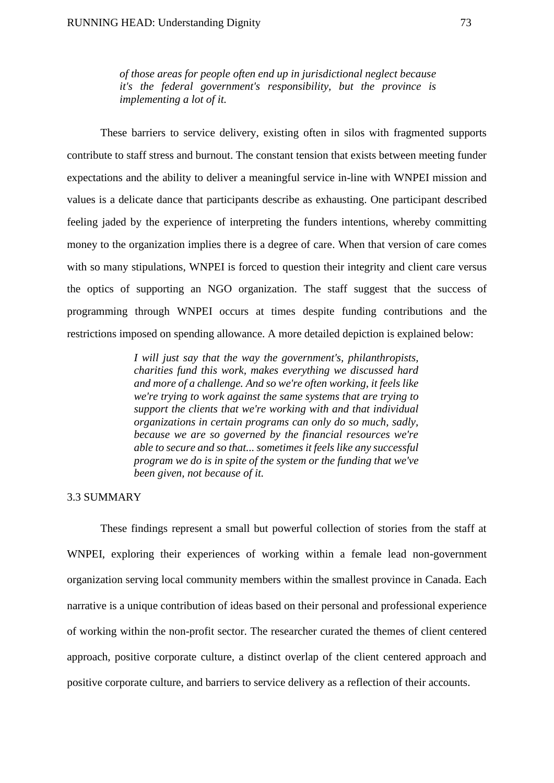*of those areas for people often end up in jurisdictional neglect because it's the federal government's responsibility, but the province is implementing a lot of it.*

These barriers to service delivery, existing often in silos with fragmented supports contribute to staff stress and burnout. The constant tension that exists between meeting funder expectations and the ability to deliver a meaningful service in-line with WNPEI mission and values is a delicate dance that participants describe as exhausting. One participant described feeling jaded by the experience of interpreting the funders intentions, whereby committing money to the organization implies there is a degree of care. When that version of care comes with so many stipulations, WNPEI is forced to question their integrity and client care versus the optics of supporting an NGO organization. The staff suggest that the success of programming through WNPEI occurs at times despite funding contributions and the restrictions imposed on spending allowance. A more detailed depiction is explained below:

> *I will just say that the way the government's, philanthropists, charities fund this work, makes everything we discussed hard and more of a challenge. And so we're often working, it feels like we're trying to work against the same systems that are trying to support the clients that we're working with and that individual organizations in certain programs can only do so much, sadly, because we are so governed by the financial resources we're able to secure and so that... sometimes it feels like any successful program we do is in spite of the system or the funding that we've been given, not because of it.*

## 3.3 SUMMARY

These findings represent a small but powerful collection of stories from the staff at WNPEI, exploring their experiences of working within a female lead non-government organization serving local community members within the smallest province in Canada. Each narrative is a unique contribution of ideas based on their personal and professional experience of working within the non-profit sector. The researcher curated the themes of client centered approach, positive corporate culture, a distinct overlap of the client centered approach and positive corporate culture, and barriers to service delivery as a reflection of their accounts.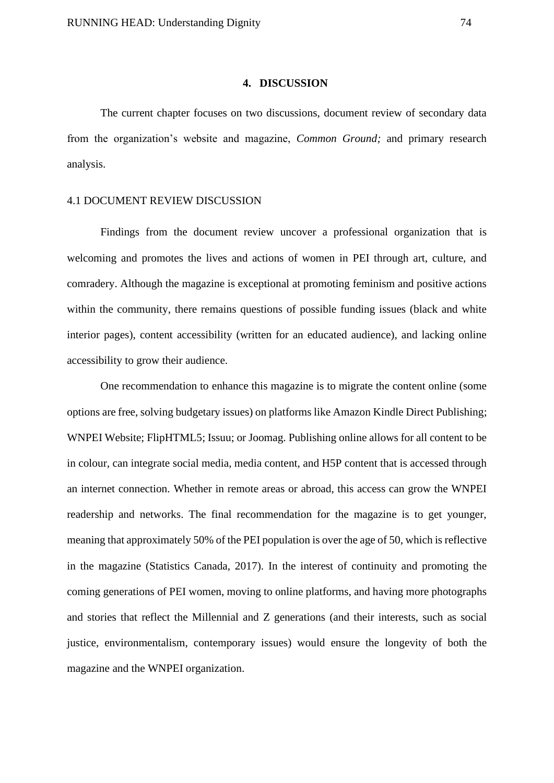### **4. DISCUSSION**

The current chapter focuses on two discussions, document review of secondary data from the organization's website and magazine, *Common Ground;* and primary research analysis.

## 4.1 DOCUMENT REVIEW DISCUSSION

Findings from the document review uncover a professional organization that is welcoming and promotes the lives and actions of women in PEI through art, culture, and comradery. Although the magazine is exceptional at promoting feminism and positive actions within the community, there remains questions of possible funding issues (black and white interior pages), content accessibility (written for an educated audience), and lacking online accessibility to grow their audience.

One recommendation to enhance this magazine is to migrate the content online (some options are free, solving budgetary issues) on platforms like Amazon Kindle Direct Publishing; WNPEI Website; FlipHTML5; Issuu; or Joomag. Publishing online allows for all content to be in colour, can integrate social media, media content, and H5P content that is accessed through an internet connection. Whether in remote areas or abroad, this access can grow the WNPEI readership and networks. The final recommendation for the magazine is to get younger, meaning that approximately 50% of the PEI population is over the age of 50, which is reflective in the magazine (Statistics Canada, 2017). In the interest of continuity and promoting the coming generations of PEI women, moving to online platforms, and having more photographs and stories that reflect the Millennial and Z generations (and their interests, such as social justice, environmentalism, contemporary issues) would ensure the longevity of both the magazine and the WNPEI organization.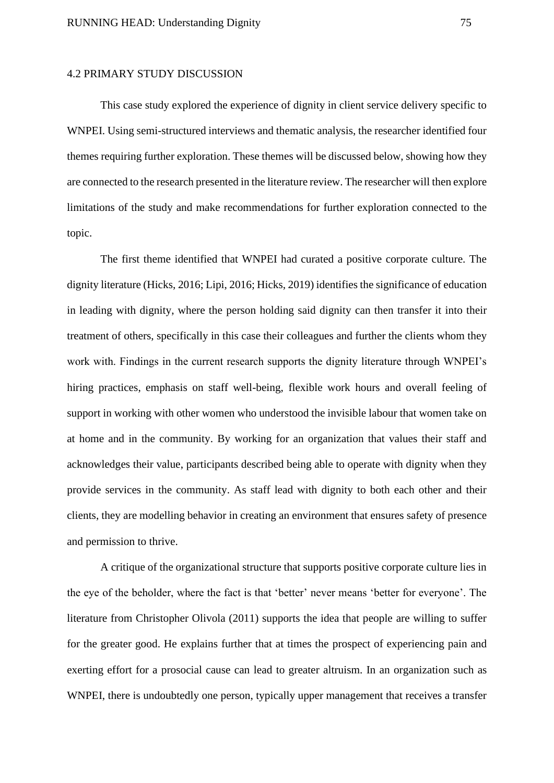## 4.2 PRIMARY STUDY DISCUSSION

This case study explored the experience of dignity in client service delivery specific to WNPEI. Using semi-structured interviews and thematic analysis, the researcher identified four themes requiring further exploration. These themes will be discussed below, showing how they are connected to the research presented in the literature review. The researcher will then explore limitations of the study and make recommendations for further exploration connected to the topic.

The first theme identified that WNPEI had curated a positive corporate culture. The dignity literature (Hicks, 2016; Lipi, 2016; Hicks, 2019) identifies the significance of education in leading with dignity, where the person holding said dignity can then transfer it into their treatment of others, specifically in this case their colleagues and further the clients whom they work with. Findings in the current research supports the dignity literature through WNPEI's hiring practices, emphasis on staff well-being, flexible work hours and overall feeling of support in working with other women who understood the invisible labour that women take on at home and in the community. By working for an organization that values their staff and acknowledges their value, participants described being able to operate with dignity when they provide services in the community. As staff lead with dignity to both each other and their clients, they are modelling behavior in creating an environment that ensures safety of presence and permission to thrive.

A critique of the organizational structure that supports positive corporate culture lies in the eye of the beholder, where the fact is that 'better' never means 'better for everyone'. The literature from Christopher Olivola (2011) supports the idea that people are willing to suffer for the greater good. He explains further that at times the prospect of experiencing pain and exerting effort for a prosocial cause can lead to greater altruism. In an organization such as WNPEI, there is undoubtedly one person, typically upper management that receives a transfer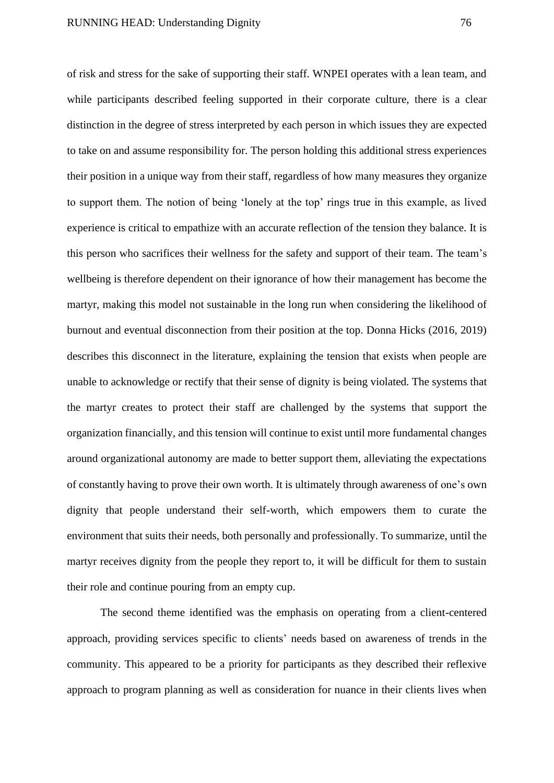of risk and stress for the sake of supporting their staff. WNPEI operates with a lean team, and while participants described feeling supported in their corporate culture, there is a clear distinction in the degree of stress interpreted by each person in which issues they are expected to take on and assume responsibility for. The person holding this additional stress experiences their position in a unique way from their staff, regardless of how many measures they organize to support them. The notion of being 'lonely at the top' rings true in this example, as lived experience is critical to empathize with an accurate reflection of the tension they balance. It is this person who sacrifices their wellness for the safety and support of their team. The team's wellbeing is therefore dependent on their ignorance of how their management has become the martyr, making this model not sustainable in the long run when considering the likelihood of burnout and eventual disconnection from their position at the top. Donna Hicks (2016, 2019) describes this disconnect in the literature, explaining the tension that exists when people are unable to acknowledge or rectify that their sense of dignity is being violated. The systems that the martyr creates to protect their staff are challenged by the systems that support the organization financially, and this tension will continue to exist until more fundamental changes around organizational autonomy are made to better support them, alleviating the expectations of constantly having to prove their own worth. It is ultimately through awareness of one's own dignity that people understand their self-worth, which empowers them to curate the environment that suits their needs, both personally and professionally. To summarize, until the martyr receives dignity from the people they report to, it will be difficult for them to sustain their role and continue pouring from an empty cup.

The second theme identified was the emphasis on operating from a client-centered approach, providing services specific to clients' needs based on awareness of trends in the community. This appeared to be a priority for participants as they described their reflexive approach to program planning as well as consideration for nuance in their clients lives when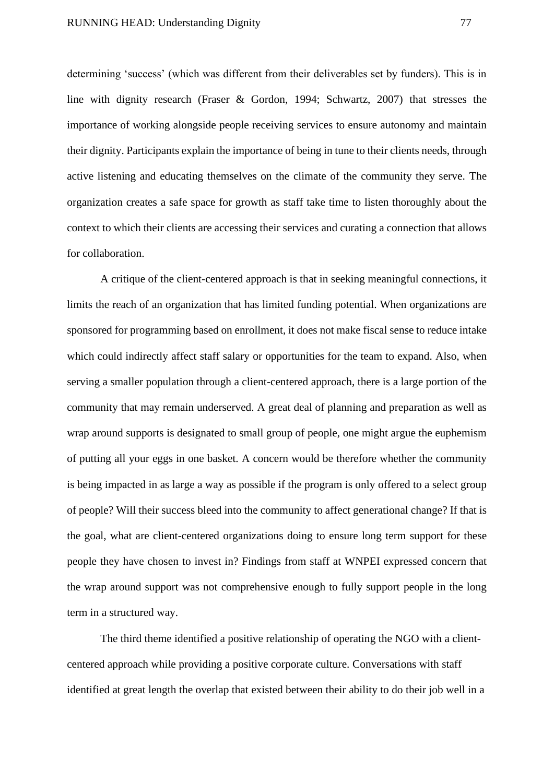determining 'success' (which was different from their deliverables set by funders). This is in line with dignity research (Fraser & Gordon, 1994; Schwartz, 2007) that stresses the importance of working alongside people receiving services to ensure autonomy and maintain their dignity. Participants explain the importance of being in tune to their clients needs, through active listening and educating themselves on the climate of the community they serve. The organization creates a safe space for growth as staff take time to listen thoroughly about the context to which their clients are accessing their services and curating a connection that allows for collaboration.

A critique of the client-centered approach is that in seeking meaningful connections, it limits the reach of an organization that has limited funding potential. When organizations are sponsored for programming based on enrollment, it does not make fiscal sense to reduce intake which could indirectly affect staff salary or opportunities for the team to expand. Also, when serving a smaller population through a client-centered approach, there is a large portion of the community that may remain underserved. A great deal of planning and preparation as well as wrap around supports is designated to small group of people, one might argue the euphemism of putting all your eggs in one basket. A concern would be therefore whether the community is being impacted in as large a way as possible if the program is only offered to a select group of people? Will their success bleed into the community to affect generational change? If that is the goal, what are client-centered organizations doing to ensure long term support for these people they have chosen to invest in? Findings from staff at WNPEI expressed concern that the wrap around support was not comprehensive enough to fully support people in the long term in a structured way.

The third theme identified a positive relationship of operating the NGO with a clientcentered approach while providing a positive corporate culture. Conversations with staff identified at great length the overlap that existed between their ability to do their job well in a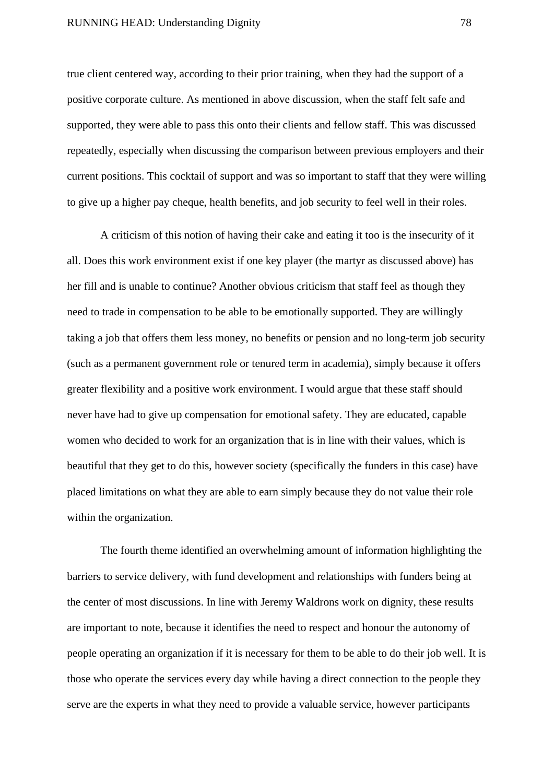true client centered way, according to their prior training, when they had the support of a positive corporate culture. As mentioned in above discussion, when the staff felt safe and supported, they were able to pass this onto their clients and fellow staff. This was discussed repeatedly, especially when discussing the comparison between previous employers and their current positions. This cocktail of support and was so important to staff that they were willing to give up a higher pay cheque, health benefits, and job security to feel well in their roles.

A criticism of this notion of having their cake and eating it too is the insecurity of it all. Does this work environment exist if one key player (the martyr as discussed above) has her fill and is unable to continue? Another obvious criticism that staff feel as though they need to trade in compensation to be able to be emotionally supported. They are willingly taking a job that offers them less money, no benefits or pension and no long-term job security (such as a permanent government role or tenured term in academia), simply because it offers greater flexibility and a positive work environment. I would argue that these staff should never have had to give up compensation for emotional safety. They are educated, capable women who decided to work for an organization that is in line with their values, which is beautiful that they get to do this, however society (specifically the funders in this case) have placed limitations on what they are able to earn simply because they do not value their role within the organization.

The fourth theme identified an overwhelming amount of information highlighting the barriers to service delivery, with fund development and relationships with funders being at the center of most discussions. In line with Jeremy Waldrons work on dignity, these results are important to note, because it identifies the need to respect and honour the autonomy of people operating an organization if it is necessary for them to be able to do their job well. It is those who operate the services every day while having a direct connection to the people they serve are the experts in what they need to provide a valuable service, however participants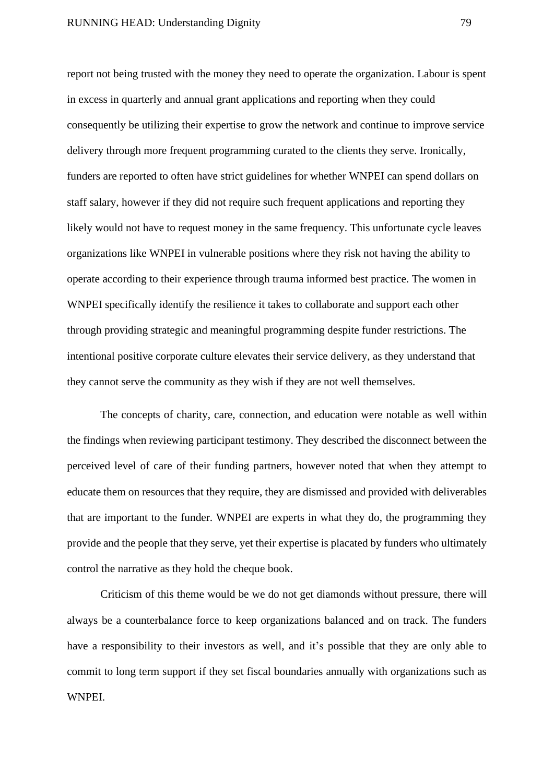report not being trusted with the money they need to operate the organization. Labour is spent in excess in quarterly and annual grant applications and reporting when they could consequently be utilizing their expertise to grow the network and continue to improve service delivery through more frequent programming curated to the clients they serve. Ironically, funders are reported to often have strict guidelines for whether WNPEI can spend dollars on staff salary, however if they did not require such frequent applications and reporting they likely would not have to request money in the same frequency. This unfortunate cycle leaves organizations like WNPEI in vulnerable positions where they risk not having the ability to operate according to their experience through trauma informed best practice. The women in WNPEI specifically identify the resilience it takes to collaborate and support each other through providing strategic and meaningful programming despite funder restrictions. The intentional positive corporate culture elevates their service delivery, as they understand that they cannot serve the community as they wish if they are not well themselves.

The concepts of charity, care, connection, and education were notable as well within the findings when reviewing participant testimony. They described the disconnect between the perceived level of care of their funding partners, however noted that when they attempt to educate them on resources that they require, they are dismissed and provided with deliverables that are important to the funder. WNPEI are experts in what they do, the programming they provide and the people that they serve, yet their expertise is placated by funders who ultimately control the narrative as they hold the cheque book.

Criticism of this theme would be we do not get diamonds without pressure, there will always be a counterbalance force to keep organizations balanced and on track. The funders have a responsibility to their investors as well, and it's possible that they are only able to commit to long term support if they set fiscal boundaries annually with organizations such as WNPEI.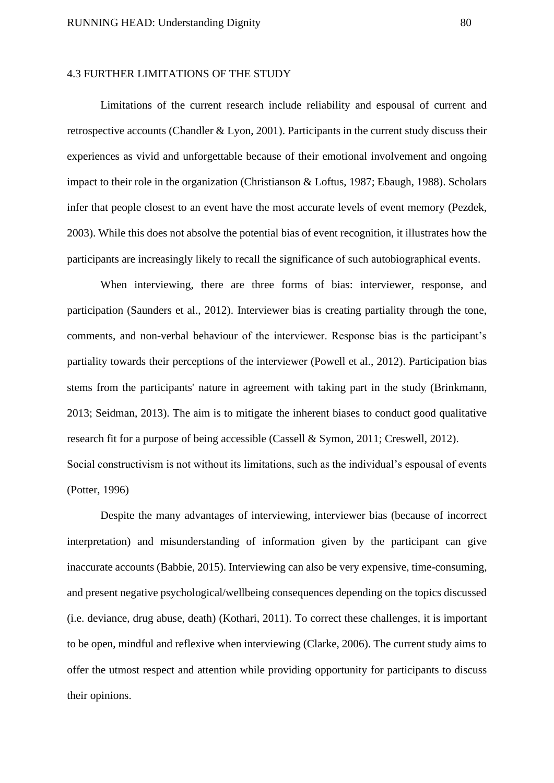## 4.3 FURTHER LIMITATIONS OF THE STUDY

Limitations of the current research include reliability and espousal of current and retrospective accounts (Chandler & Lyon, 2001). Participants in the current study discuss their experiences as vivid and unforgettable because of their emotional involvement and ongoing impact to their role in the organization (Christianson & Loftus, 1987; Ebaugh, 1988). Scholars infer that people closest to an event have the most accurate levels of event memory (Pezdek, 2003). While this does not absolve the potential bias of event recognition, it illustrates how the participants are increasingly likely to recall the significance of such autobiographical events.

When interviewing, there are three forms of bias: interviewer, response, and participation (Saunders et al., 2012). Interviewer bias is creating partiality through the tone, comments, and non-verbal behaviour of the interviewer. Response bias is the participant's partiality towards their perceptions of the interviewer (Powell et al., 2012). Participation bias stems from the participants' nature in agreement with taking part in the study (Brinkmann, 2013; Seidman, 2013). The aim is to mitigate the inherent biases to conduct good qualitative research fit for a purpose of being accessible (Cassell & Symon, 2011; Creswell, 2012). Social constructivism is not without its limitations, such as the individual's espousal of events (Potter, 1996)

Despite the many advantages of interviewing, interviewer bias (because of incorrect interpretation) and misunderstanding of information given by the participant can give inaccurate accounts (Babbie, 2015). Interviewing can also be very expensive, time-consuming, and present negative psychological/wellbeing consequences depending on the topics discussed (i.e. deviance, drug abuse, death) (Kothari, 2011). To correct these challenges, it is important to be open, mindful and reflexive when interviewing (Clarke, 2006). The current study aims to offer the utmost respect and attention while providing opportunity for participants to discuss their opinions.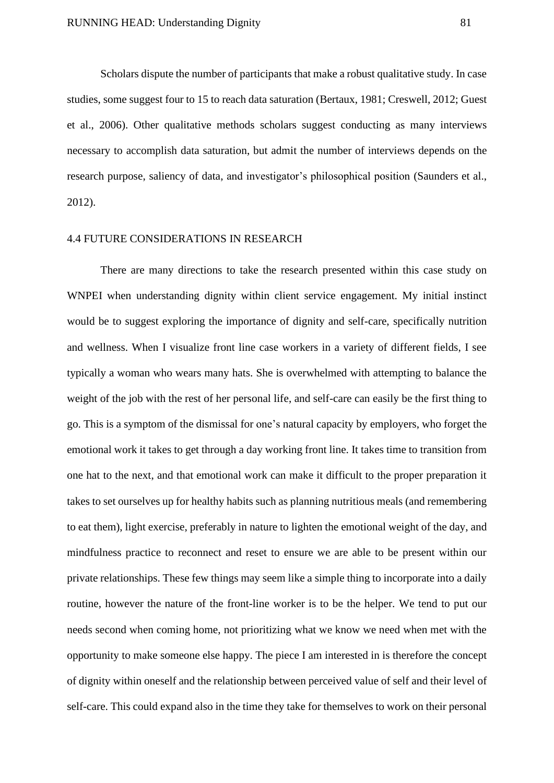Scholars dispute the number of participants that make a robust qualitative study. In case studies, some suggest four to 15 to reach data saturation (Bertaux, 1981; Creswell, 2012; Guest et al., 2006). Other qualitative methods scholars suggest conducting as many interviews necessary to accomplish data saturation, but admit the number of interviews depends on the research purpose, saliency of data, and investigator's philosophical position (Saunders et al., 2012).

## 4.4 FUTURE CONSIDERATIONS IN RESEARCH

There are many directions to take the research presented within this case study on WNPEI when understanding dignity within client service engagement. My initial instinct would be to suggest exploring the importance of dignity and self-care, specifically nutrition and wellness. When I visualize front line case workers in a variety of different fields, I see typically a woman who wears many hats. She is overwhelmed with attempting to balance the weight of the job with the rest of her personal life, and self-care can easily be the first thing to go. This is a symptom of the dismissal for one's natural capacity by employers, who forget the emotional work it takes to get through a day working front line. It takes time to transition from one hat to the next, and that emotional work can make it difficult to the proper preparation it takes to set ourselves up for healthy habits such as planning nutritious meals (and remembering to eat them), light exercise, preferably in nature to lighten the emotional weight of the day, and mindfulness practice to reconnect and reset to ensure we are able to be present within our private relationships. These few things may seem like a simple thing to incorporate into a daily routine, however the nature of the front-line worker is to be the helper. We tend to put our needs second when coming home, not prioritizing what we know we need when met with the opportunity to make someone else happy. The piece I am interested in is therefore the concept of dignity within oneself and the relationship between perceived value of self and their level of self-care. This could expand also in the time they take for themselves to work on their personal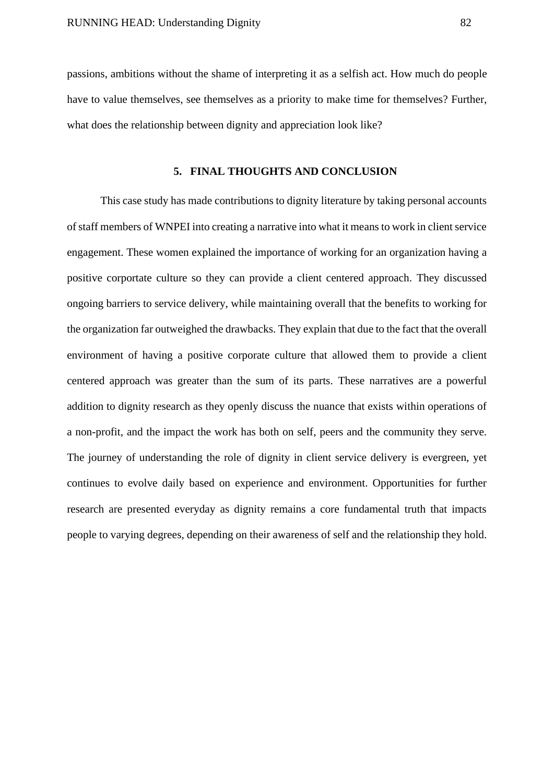passions, ambitions without the shame of interpreting it as a selfish act. How much do people have to value themselves, see themselves as a priority to make time for themselves? Further, what does the relationship between dignity and appreciation look like?

## **5. FINAL THOUGHTS AND CONCLUSION**

This case study has made contributions to dignity literature by taking personal accounts of staff members of WNPEI into creating a narrative into what it means to work in client service engagement. These women explained the importance of working for an organization having a positive corportate culture so they can provide a client centered approach. They discussed ongoing barriers to service delivery, while maintaining overall that the benefits to working for the organization far outweighed the drawbacks. They explain that due to the fact that the overall environment of having a positive corporate culture that allowed them to provide a client centered approach was greater than the sum of its parts. These narratives are a powerful addition to dignity research as they openly discuss the nuance that exists within operations of a non-profit, and the impact the work has both on self, peers and the community they serve. The journey of understanding the role of dignity in client service delivery is evergreen, yet continues to evolve daily based on experience and environment. Opportunities for further research are presented everyday as dignity remains a core fundamental truth that impacts people to varying degrees, depending on their awareness of self and the relationship they hold.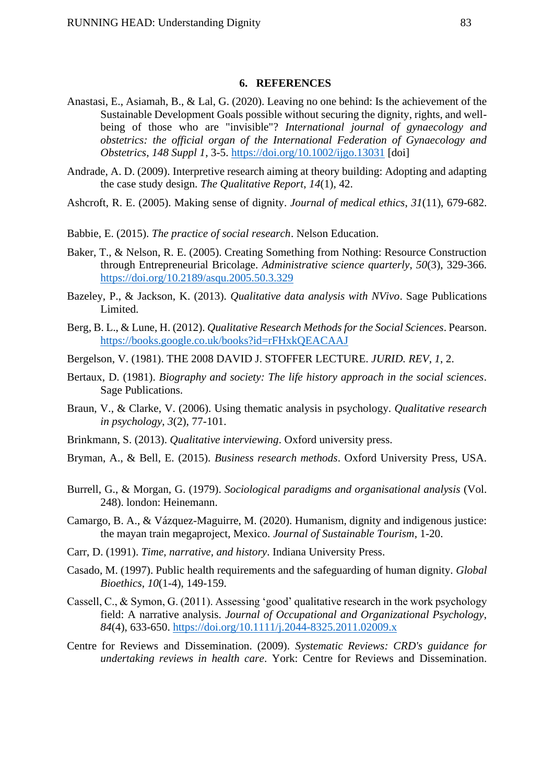## **6. REFERENCES**

- Anastasi, E., Asiamah, B., & Lal, G. (2020). Leaving no one behind: Is the achievement of the Sustainable Development Goals possible without securing the dignity, rights, and wellbeing of those who are "invisible"? *International journal of gynaecology and obstetrics: the official organ of the International Federation of Gynaecology and Obstetrics*, *148 Suppl 1*, 3-5.<https://doi.org/10.1002/ijgo.13031> [doi]
- Andrade, A. D. (2009). Interpretive research aiming at theory building: Adopting and adapting the case study design. *The Qualitative Report*, *14*(1), 42.
- Ashcroft, R. E. (2005). Making sense of dignity. *Journal of medical ethics*, *31*(11), 679-682.
- Babbie, E. (2015). *The practice of social research*. Nelson Education.
- Baker, T., & Nelson, R. E. (2005). Creating Something from Nothing: Resource Construction through Entrepreneurial Bricolage. *Administrative science quarterly*, *50*(3), 329-366. <https://doi.org/10.2189/asqu.2005.50.3.329>
- Bazeley, P., & Jackson, K. (2013). *Qualitative data analysis with NVivo*. Sage Publications Limited.
- Berg, B. L., & Lune, H. (2012). *Qualitative Research Methods for the Social Sciences*. Pearson. <https://books.google.co.uk/books?id=rFHxkQEACAAJ>
- Bergelson, V. (1981). THE 2008 DAVID J. STOFFER LECTURE. *JURID. REV*, *1*, 2.
- Bertaux, D. (1981). *Biography and society: The life history approach in the social sciences*. Sage Publications.
- Braun, V., & Clarke, V. (2006). Using thematic analysis in psychology. *Qualitative research in psychology*, *3*(2), 77-101.
- Brinkmann, S. (2013). *Qualitative interviewing*. Oxford university press.
- Bryman, A., & Bell, E. (2015). *Business research methods*. Oxford University Press, USA.
- Burrell, G., & Morgan, G. (1979). *Sociological paradigms and organisational analysis* (Vol. 248). london: Heinemann.
- Camargo, B. A., & Vázquez-Maguirre, M. (2020). Humanism, dignity and indigenous justice: the mayan train megaproject, Mexico. *Journal of Sustainable Tourism*, 1-20.
- Carr, D. (1991). *Time, narrative, and history*. Indiana University Press.
- Casado, M. (1997). Public health requirements and the safeguarding of human dignity. *Global Bioethics*, *10*(1-4), 149-159.
- Cassell, C., & Symon, G. (2011). Assessing 'good' qualitative research in the work psychology field: A narrative analysis. *Journal of Occupational and Organizational Psychology*, *84*(4), 633-650.<https://doi.org/10.1111/j.2044-8325.2011.02009.x>
- Centre for Reviews and Dissemination. (2009). *Systematic Reviews: CRD's guidance for undertaking reviews in health care*. York: Centre for Reviews and Dissemination.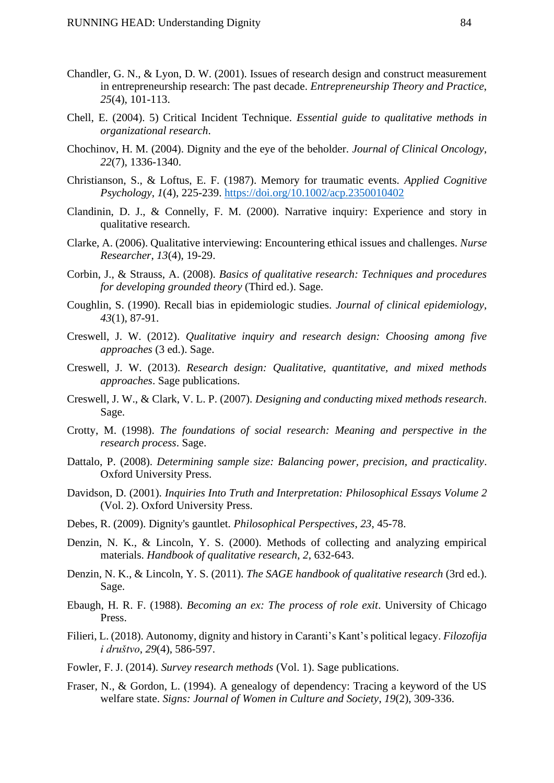- Chandler, G. N., & Lyon, D. W. (2001). Issues of research design and construct measurement in entrepreneurship research: The past decade. *Entrepreneurship Theory and Practice*, *25*(4), 101-113.
- Chell, E. (2004). 5) Critical Incident Technique. *Essential guide to qualitative methods in organizational research*.
- Chochinov, H. M. (2004). Dignity and the eye of the beholder. *Journal of Clinical Oncology*, *22*(7), 1336-1340.
- Christianson, S., & Loftus, E. F. (1987). Memory for traumatic events. *Applied Cognitive Psychology*, *1*(4), 225-239.<https://doi.org/10.1002/acp.2350010402>
- Clandinin, D. J., & Connelly, F. M. (2000). Narrative inquiry: Experience and story in qualitative research.
- Clarke, A. (2006). Qualitative interviewing: Encountering ethical issues and challenges. *Nurse Researcher*, *13*(4), 19-29.
- Corbin, J., & Strauss, A. (2008). *Basics of qualitative research: Techniques and procedures for developing grounded theory* (Third ed.). Sage.
- Coughlin, S. (1990). Recall bias in epidemiologic studies. *Journal of clinical epidemiology*, *43*(1), 87-91.
- Creswell, J. W. (2012). *Qualitative inquiry and research design: Choosing among five approaches* (3 ed.). Sage.
- Creswell, J. W. (2013). *Research design: Qualitative, quantitative, and mixed methods approaches*. Sage publications.
- Creswell, J. W., & Clark, V. L. P. (2007). *Designing and conducting mixed methods research*. Sage.
- Crotty, M. (1998). *The foundations of social research: Meaning and perspective in the research process*. Sage.
- Dattalo, P. (2008). *Determining sample size: Balancing power, precision, and practicality*. Oxford University Press.
- Davidson, D. (2001). *Inquiries Into Truth and Interpretation: Philosophical Essays Volume 2* (Vol. 2). Oxford University Press.
- Debes, R. (2009). Dignity's gauntlet. *Philosophical Perspectives*, *23*, 45-78.
- Denzin, N. K., & Lincoln, Y. S. (2000). Methods of collecting and analyzing empirical materials. *Handbook of qualitative research*, *2*, 632-643.
- Denzin, N. K., & Lincoln, Y. S. (2011). *The SAGE handbook of qualitative research* (3rd ed.). Sage.
- Ebaugh, H. R. F. (1988). *Becoming an ex: The process of role exit*. University of Chicago Press.
- Filieri, L. (2018). Autonomy, dignity and history in Caranti's Kant's political legacy. *Filozofija i društvo*, *29*(4), 586-597.
- Fowler, F. J. (2014). *Survey research methods* (Vol. 1). Sage publications.
- Fraser, N., & Gordon, L. (1994). A genealogy of dependency: Tracing a keyword of the US welfare state. *Signs: Journal of Women in Culture and Society*, *19*(2), 309-336.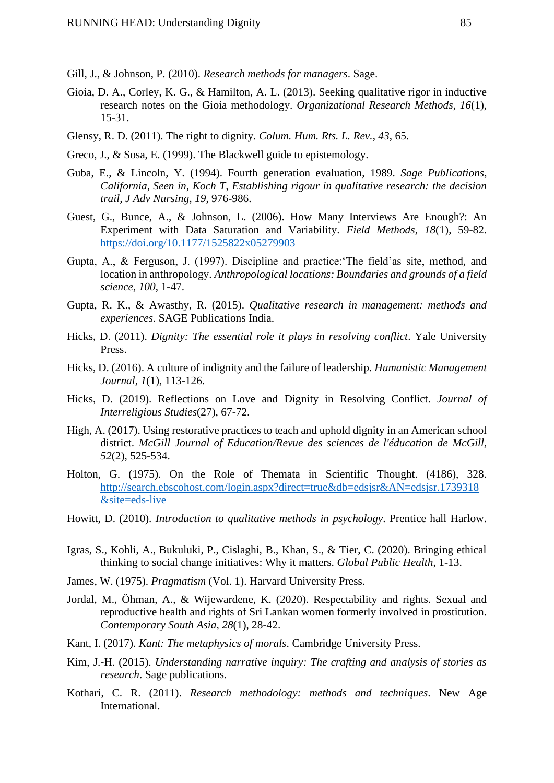Gill, J., & Johnson, P. (2010). *Research methods for managers*. Sage.

- Gioia, D. A., Corley, K. G., & Hamilton, A. L. (2013). Seeking qualitative rigor in inductive research notes on the Gioia methodology. *Organizational Research Methods*, *16*(1), 15-31.
- Glensy, R. D. (2011). The right to dignity. *Colum. Hum. Rts. L. Rev.*, *43*, 65.
- Greco, J., & Sosa, E. (1999). The Blackwell guide to epistemology.
- Guba, E., & Lincoln, Y. (1994). Fourth generation evaluation, 1989. *Sage Publications, California, Seen in, Koch T, Establishing rigour in qualitative research: the decision trail, J Adv Nursing*, *19*, 976-986.
- Guest, G., Bunce, A., & Johnson, L. (2006). How Many Interviews Are Enough?: An Experiment with Data Saturation and Variability. *Field Methods*, *18*(1), 59-82. <https://doi.org/10.1177/1525822x05279903>
- Gupta, A., & Ferguson, J. (1997). Discipline and practice:'The field'as site, method, and location in anthropology. *Anthropological locations: Boundaries and grounds of a field science*, *100*, 1-47.
- Gupta, R. K., & Awasthy, R. (2015). *Qualitative research in management: methods and experiences*. SAGE Publications India.
- Hicks, D. (2011). *Dignity: The essential role it plays in resolving conflict*. Yale University Press.
- Hicks, D. (2016). A culture of indignity and the failure of leadership. *Humanistic Management Journal*, *1*(1), 113-126.
- Hicks, D. (2019). Reflections on Love and Dignity in Resolving Conflict. *Journal of Interreligious Studies*(27), 67-72.
- High, A. (2017). Using restorative practices to teach and uphold dignity in an American school district. *McGill Journal of Education/Revue des sciences de l'éducation de McGill*, *52*(2), 525-534.
- Holton, G. (1975). On the Role of Themata in Scientific Thought. (4186), 328. [http://search.ebscohost.com/login.aspx?direct=true&db=edsjsr&AN=edsjsr.1739318](http://search.ebscohost.com/login.aspx?direct=true&db=edsjsr&AN=edsjsr.1739318&site=eds-live) [&site=eds-live](http://search.ebscohost.com/login.aspx?direct=true&db=edsjsr&AN=edsjsr.1739318&site=eds-live)
- Howitt, D. (2010). *Introduction to qualitative methods in psychology*. Prentice hall Harlow.
- Igras, S., Kohli, A., Bukuluki, P., Cislaghi, B., Khan, S., & Tier, C. (2020). Bringing ethical thinking to social change initiatives: Why it matters. *Global Public Health*, 1-13.
- James, W. (1975). *Pragmatism* (Vol. 1). Harvard University Press.
- Jordal, M., Öhman, A., & Wijewardene, K. (2020). Respectability and rights. Sexual and reproductive health and rights of Sri Lankan women formerly involved in prostitution. *Contemporary South Asia*, *28*(1), 28-42.
- Kant, I. (2017). *Kant: The metaphysics of morals*. Cambridge University Press.
- Kim, J.-H. (2015). *Understanding narrative inquiry: The crafting and analysis of stories as research*. Sage publications.
- Kothari, C. R. (2011). *Research methodology: methods and techniques*. New Age International.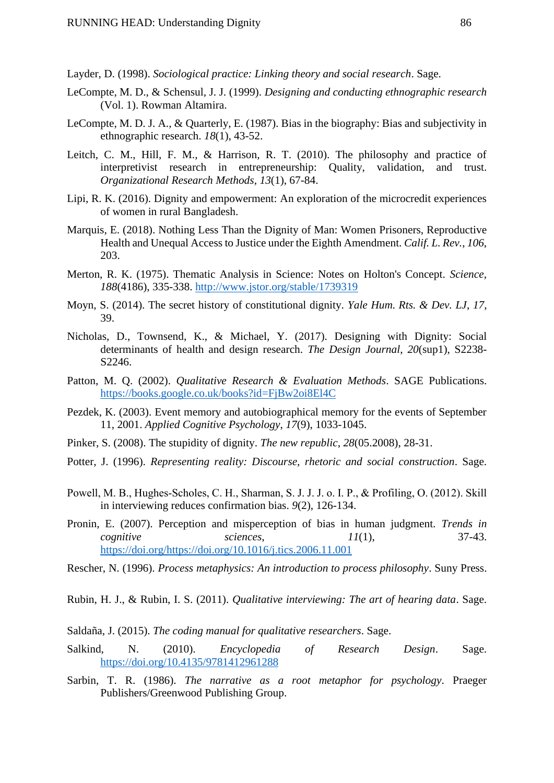Layder, D. (1998). *Sociological practice: Linking theory and social research*. Sage.

- LeCompte, M. D., & Schensul, J. J. (1999). *Designing and conducting ethnographic research* (Vol. 1). Rowman Altamira.
- LeCompte, M. D. J. A., & Quarterly, E. (1987). Bias in the biography: Bias and subjectivity in ethnographic research. *18*(1), 43-52.
- Leitch, C. M., Hill, F. M., & Harrison, R. T. (2010). The philosophy and practice of interpretivist research in entrepreneurship: Quality, validation, and trust. *Organizational Research Methods*, *13*(1), 67-84.
- Lipi, R. K. (2016). Dignity and empowerment: An exploration of the microcredit experiences of women in rural Bangladesh.
- Marquis, E. (2018). Nothing Less Than the Dignity of Man: Women Prisoners, Reproductive Health and Unequal Access to Justice under the Eighth Amendment. *Calif. L. Rev.*, *106*, 203.
- Merton, R. K. (1975). Thematic Analysis in Science: Notes on Holton's Concept. *Science*, *188*(4186), 335-338.<http://www.jstor.org/stable/1739319>
- Moyn, S. (2014). The secret history of constitutional dignity. *Yale Hum. Rts. & Dev. LJ*, *17*, 39.
- Nicholas, D., Townsend, K., & Michael, Y. (2017). Designing with Dignity: Social determinants of health and design research. *The Design Journal*, *20*(sup1), S2238- S2246.
- Patton, M. Q. (2002). *Qualitative Research & Evaluation Methods*. SAGE Publications. <https://books.google.co.uk/books?id=FjBw2oi8El4C>
- Pezdek, K. (2003). Event memory and autobiographical memory for the events of September 11, 2001. *Applied Cognitive Psychology*, *17*(9), 1033-1045.
- Pinker, S. (2008). The stupidity of dignity. *The new republic*, *28*(05.2008), 28-31.
- Potter, J. (1996). *Representing reality: Discourse, rhetoric and social construction*. Sage.
- Powell, M. B., Hughes‐Scholes, C. H., Sharman, S. J. J. J. o. I. P., & Profiling, O. (2012). Skill in interviewing reduces confirmation bias. *9*(2), 126-134.
- Pronin, E. (2007). Perception and misperception of bias in human judgment. *Trends in cognitive sciences*, *11*(1), 37-43. [https://doi.org/https://doi.org/10.1016/j.tics.2006.11.001](https://doi.org/https:/doi.org/10.1016/j.tics.2006.11.001)
- Rescher, N. (1996). *Process metaphysics: An introduction to process philosophy*. Suny Press.
- Rubin, H. J., & Rubin, I. S. (2011). *Qualitative interviewing: The art of hearing data*. Sage.
- Saldaña, J. (2015). *The coding manual for qualitative researchers*. Sage.
- Salkind, N. (2010). *Encyclopedia of Research Design*. Sage. <https://doi.org/10.4135/9781412961288>
- Sarbin, T. R. (1986). *The narrative as a root metaphor for psychology*. Praeger Publishers/Greenwood Publishing Group.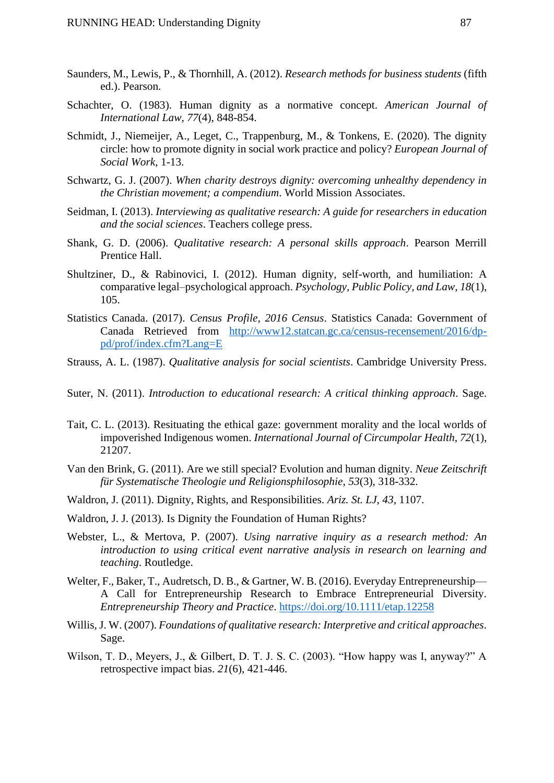- Saunders, M., Lewis, P., & Thornhill, A. (2012). *Research methods for business students* (fifth ed.). Pearson.
- Schachter, O. (1983). Human dignity as a normative concept. *American Journal of International Law*, *77*(4), 848-854.
- Schmidt, J., Niemeijer, A., Leget, C., Trappenburg, M., & Tonkens, E. (2020). The dignity circle: how to promote dignity in social work practice and policy? *European Journal of Social Work*, 1-13.
- Schwartz, G. J. (2007). *When charity destroys dignity: overcoming unhealthy dependency in the Christian movement; a compendium*. World Mission Associates.
- Seidman, I. (2013). *Interviewing as qualitative research: A guide for researchers in education and the social sciences*. Teachers college press.
- Shank, G. D. (2006). *Qualitative research: A personal skills approach*. Pearson Merrill Prentice Hall.
- Shultziner, D., & Rabinovici, I. (2012). Human dignity, self-worth, and humiliation: A comparative legal–psychological approach. *Psychology, Public Policy, and Law*, *18*(1), 105.
- Statistics Canada. (2017). *Census Profile, 2016 Census*. Statistics Canada: Government of Canada Retrieved from [http://www12.statcan.gc.ca/census-recensement/2016/dp](http://www12.statcan.gc.ca/census-recensement/2016/dp-pd/prof/index.cfm?Lang=E)[pd/prof/index.cfm?Lang=E](http://www12.statcan.gc.ca/census-recensement/2016/dp-pd/prof/index.cfm?Lang=E)
- Strauss, A. L. (1987). *Qualitative analysis for social scientists*. Cambridge University Press.
- Suter, N. (2011). *Introduction to educational research: A critical thinking approach*. Sage.
- Tait, C. L. (2013). Resituating the ethical gaze: government morality and the local worlds of impoverished Indigenous women. *International Journal of Circumpolar Health*, *72*(1), 21207.
- Van den Brink, G. (2011). Are we still special? Evolution and human dignity. *Neue Zeitschrift für Systematische Theologie und Religionsphilosophie*, *53*(3), 318-332.
- Waldron, J. (2011). Dignity, Rights, and Responsibilities. *Ariz. St. LJ*, *43*, 1107.
- Waldron, J. J. (2013). Is Dignity the Foundation of Human Rights?
- Webster, L., & Mertova, P. (2007). *Using narrative inquiry as a research method: An introduction to using critical event narrative analysis in research on learning and teaching*. Routledge.
- Welter, F., Baker, T., Audretsch, D. B., & Gartner, W. B. (2016). Everyday Entrepreneurship— A Call for Entrepreneurship Research to Embrace Entrepreneurial Diversity. *Entrepreneurship Theory and Practice*.<https://doi.org/10.1111/etap.12258>
- Willis, J. W. (2007). *Foundations of qualitative research: Interpretive and critical approaches*. Sage.
- Wilson, T. D., Meyers, J., & Gilbert, D. T. J. S. C. (2003). "How happy was I, anyway?" A retrospective impact bias. *21*(6), 421-446.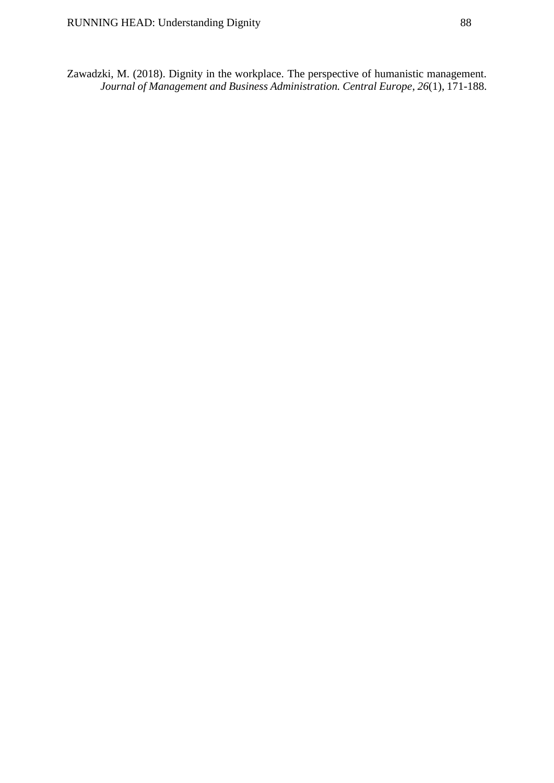Zawadzki, M. (2018). Dignity in the workplace. The perspective of humanistic management. *Journal of Management and Business Administration. Central Europe*, *26*(1), 171-188.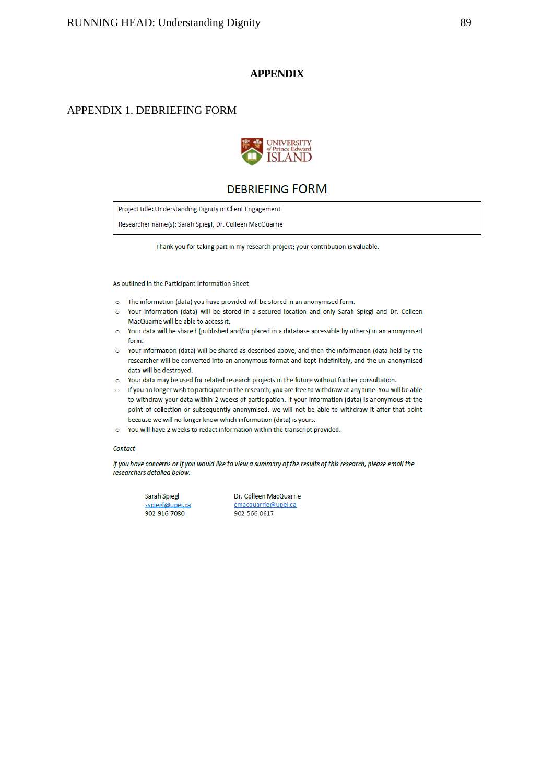### **APPENDIX**

## APPENDIX 1. DEBRIEFING FORM



## **DEBRIEFING FORM**

Project title: Understanding Dignity in Client Engagement

Researcher name(s): Sarah Spiegl, Dr. Colleen MacQuarrie

Thank you for taking part in my research project; your contribution is valuable.

As outlined in the Participant Information Sheet

- o The information (data) you have provided will be stored in an anonymised form.
- Your information (data) will be stored in a secured location and only Sarah Spiegl and Dr. Colleen  $\circ$ MacQuarrie will be able to access it.
- o Your data will be shared (published and/or placed in a database accessible by others) in an anonymised form.
- o Your information (data) will be shared as described above, and then the information (data held by the researcher will be converted into an anonymous format and kept indefinitely, and the un-anonymised data will be destroyed.
- o Your data may be used for related research projects in the future without further consultation.
- o If you no longer wish to participate in the research, you are free to withdraw at any time. You will be able to withdraw your data within 2 weeks of participation. If your information (data) is anonymous at the point of collection or subsequently anonymised, we will not be able to withdraw it after that point because we will no longer know which information (data) is yours.
- o You will have 2 weeks to redact information within the transcript provided.

### Contact

If you have concerns or if you would like to view a summary of the results of this research, please email the researchers detailed below.

| Sarah Spiegl    |
|-----------------|
| sspiegl@upei.ca |
| 902-916-7080    |

Dr. Colleen MacQuarrie cmacquarrie@upei.ca 902-566-0617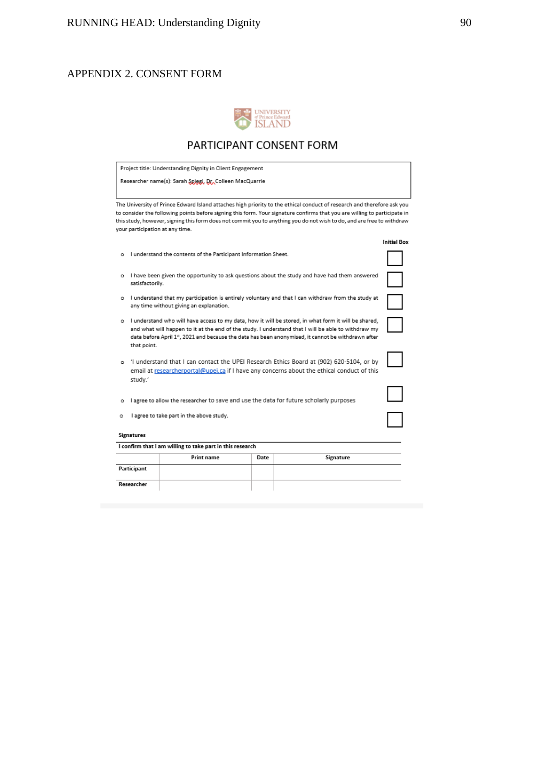## APPENDIX 2. CONSENT FORM

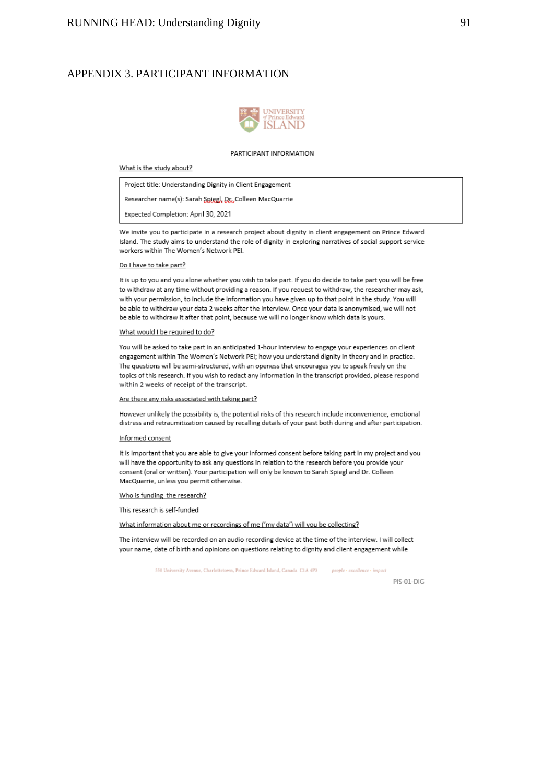## APPENDIX 3. PARTICIPANT INFORMATION



#### PARTICIPANT INFORMATION

### What is the study about?

Project title: Understanding Dignity in Client Engagement Researcher name(s): Sarah Spiegl, Dr., Colleen MacQuarrie Expected Completion: April 30, 2021

We invite you to participate in a research project about dignity in client engagement on Prince Edward Island. The study aims to understand the role of dignity in exploring narratives of social support service workers within The Women's Network PEI.

#### Do I have to take part?

It is up to you and you alone whether you wish to take part. If you do decide to take part you will be free to withdraw at any time without providing a reason. If you request to withdraw, the researcher may ask, with your permission, to include the information you have given up to that point in the study. You will be able to withdraw your data 2 weeks after the interview. Once your data is anonymised, we will not be able to withdraw it after that point, because we will no longer know which data is yours.

#### What would I be required to do?

You will be asked to take part in an anticipated 1-hour interview to engage your experiences on client engagement within The Women's Network PEI; how you understand dignity in theory and in practice. The questions will be semi-structured, with an openess that encourages you to speak freely on the topics of this research. If you wish to redact any information in the transcript provided, please respond within 2 weeks of receipt of the transcript.

#### Are there any risks associated with taking part?

However unlikely the possibility is, the potential risks of this research include inconvenience, emotional distress and retraumitization caused by recalling details of your past both during and after participation.

#### Informed consent

It is important that you are able to give your informed consent before taking part in my project and you will have the opportunity to ask any questions in relation to the research before you provide your consent (oral or written). Your participation will only be known to Sarah Spiegl and Dr. Colleen MacQuarrie, unless you permit otherwise.

Who is funding the research?

This research is self-funded

What information about me or recordings of me ('my data') will you be collecting?

The interview will be recorded on an audio recording device at the time of the interview. I will collect your name, date of birth and opinions on questions relating to dignity and client engagement while

> 550 University Avenue, Charlottetown, Prince Edward Island, Canada, C1A 4P3 people - excellence - impact

> > PIS-01-DIG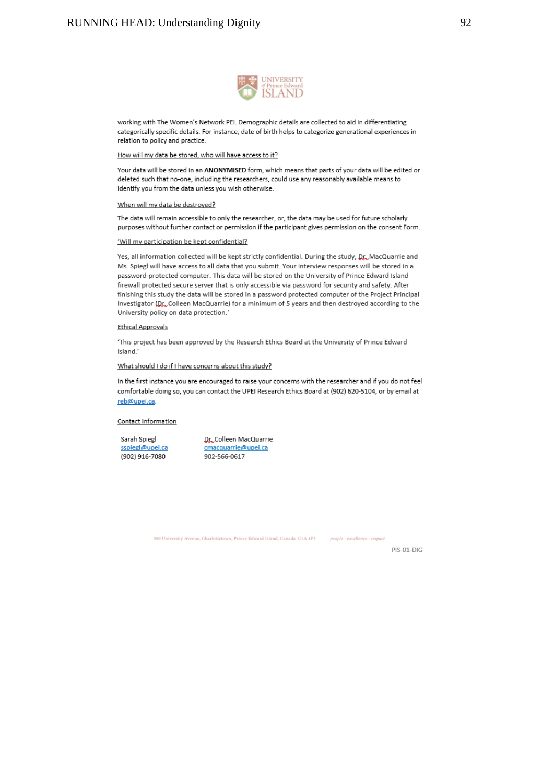

working with The Women's Network PEI. Demographic details are collected to aid in differentiating categorically specific details. For instance, date of birth helps to categorize generational experiences in relation to policy and practice.

How will my data be stored, who will have access to it?

Your data will be stored in an ANONYMISED form, which means that parts of your data will be edited or deleted such that no-one, including the researchers, could use any reasonably available means to identify you from the data unless you wish otherwise.

### When will my data be destroyed?

The data will remain accessible to only the researcher, or, the data may be used for future scholarly purposes without further contact or permission if the participant gives permission on the consent Form.

#### 'Will my participation be kept confidential?

Yes, all information collected will be kept strictly confidential. During the study, Dr., MacQuarrie and Ms. Spiegl will have access to all data that you submit. Your interview responses will be stored in a password-protected computer. This data will be stored on the University of Prince Edward Island firewall protected secure server that is only accessible via password for security and safety. After finishing this study the data will be stored in a password protected computer of the Project Principal Investigator (Dr. Colleen MacQuarrie) for a minimum of 5 years and then destroyed according to the University policy on data protection.'

#### **Ethical Approvals**

'This project has been approved by the Research Ethics Board at the University of Prince Edward Island.'

What should I do if I have concerns about this study?

In the first instance you are encouraged to raise your concerns with the researcher and if you do not feel comfortable doing so, you can contact the UPEI Research Ethics Board at (902) 620-5104, or by email at reb@upei.ca.

#### Contact Information

Sarah Spiegl sspiegl@upei.ca (902) 916-7080

Dr., Colleen MacQuarrie cmacquarrie@upei.ca 902-566-0617

550 University Avenue, Charlottetown, Prince Edward Island, Canada C1A 4P3 people - excellence - impact

PIS-01-DIG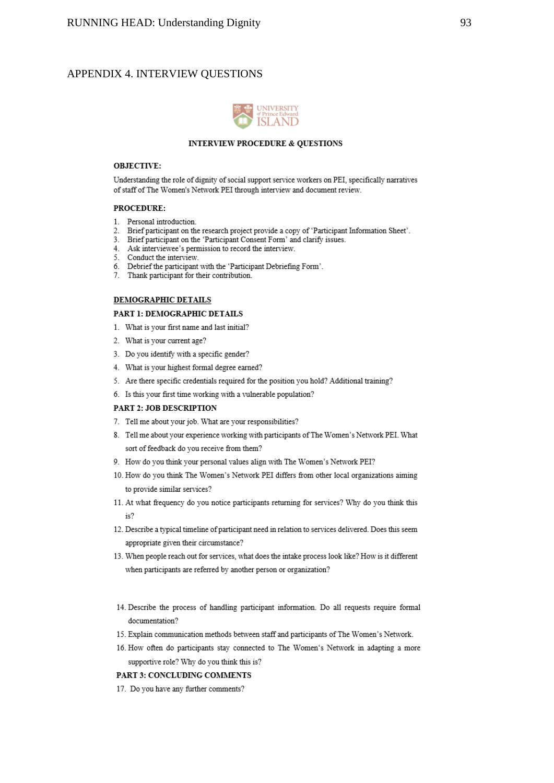## APPENDIX 4. INTERVIEW QUESTIONS



### **INTERVIEW PROCEDURE & QUESTIONS**

### **OBJECTIVE:**

Understanding the role of dignity of social support service workers on PEI, specifically narratives of staff of The Women's Network PEI through interview and document review.

### **PROCEDURE:**

- 1. Personal introduction.
- 2. Brief participant on the research project provide a copy of 'Participant Information Sheet'.<br>3. Brief participant on the 'Participant Consent Form' and clarify issues.
- 
- 4. Ask interviewee's permission to record the interview.
- 5. Conduct the interview.
- 6. Debrief the participant with the 'Participant Debriefing Form'.<br>7. Thank participant for their contribution.
- 

### DEMOGRAPHIC DETAILS

### PART 1: DEMOGRAPHIC DETAILS

- 1. What is your first name and last initial?
- 2. What is your current age?
- 3. Do you identify with a specific gender?
- 4. What is your highest formal degree earned?
- 5. Are there specific credentials required for the position you hold? Additional training?
- 6. Is this your first time working with a vulnerable population?

### PART 2: JOB DESCRIPTION

- 7. Tell me about your job. What are your responsibilities?
- 8. Tell me about your experience working with participants of The Women's Network PEI. What sort of feedback do you receive from them?
- 9. How do you think your personal values align with The Women's Network PEI?
- 10. How do you think The Women's Network PEI differs from other local organizations aiming to provide similar services?
- 11. At what frequency do you notice participants returning for services? Why do you think this is?
- 12. Describe a typical timeline of participant need in relation to services delivered. Does this seem appropriate given their circumstance?
- 13. When people reach out for services, what does the intake process look like? How is it different when participants are referred by another person or organization?
- 14. Describe the process of handling participant information. Do all requests require formal documentation?
- 15. Explain communication methods between staff and participants of The Women's Network.
- 16. How often do participants stay connected to The Women's Network in adapting a more supportive role? Why do you think this is?

### PART 3: CONCLUDING COMMENTS

17. Do you have any further comments?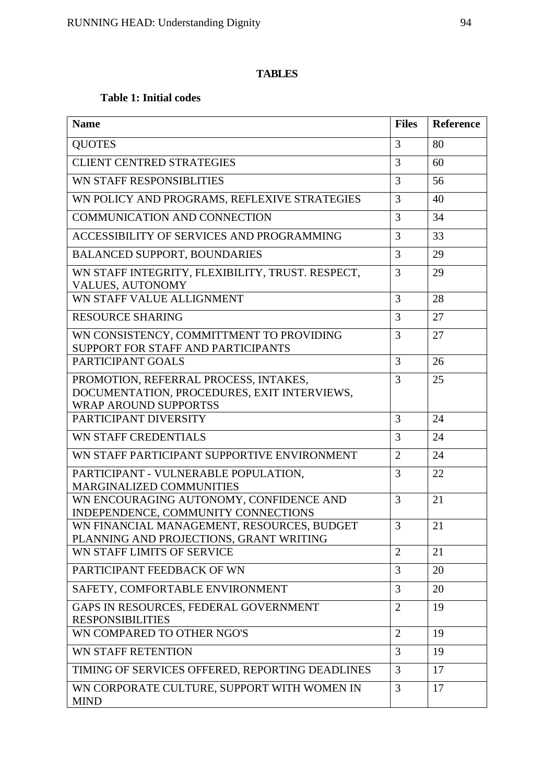# **TABLES**

# **Table 1: Initial codes**

| <b>Name</b>                                                                                                          | <b>Files</b>   | Reference |
|----------------------------------------------------------------------------------------------------------------------|----------------|-----------|
| <b>QUOTES</b>                                                                                                        | 3              | 80        |
| <b>CLIENT CENTRED STRATEGIES</b>                                                                                     | 3              | 60        |
| WN STAFF RESPONSIBLITIES                                                                                             | 3              | 56        |
| WN POLICY AND PROGRAMS, REFLEXIVE STRATEGIES                                                                         | 3              | 40        |
| <b>COMMUNICATION AND CONNECTION</b>                                                                                  | 3              | 34        |
| ACCESSIBILITY OF SERVICES AND PROGRAMMING                                                                            | 3              | 33        |
| <b>BALANCED SUPPORT, BOUNDARIES</b>                                                                                  | 3              | 29        |
| WN STAFF INTEGRITY, FLEXIBILITY, TRUST. RESPECT,<br>VALUES, AUTONOMY                                                 | 3              | 29        |
| WN STAFF VALUE ALLIGNMENT                                                                                            | 3              | 28        |
| <b>RESOURCE SHARING</b>                                                                                              | 3              | 27        |
| WN CONSISTENCY, COMMITTMENT TO PROVIDING<br>SUPPORT FOR STAFF AND PARTICIPANTS                                       | 3              | 27        |
| PARTICIPANT GOALS                                                                                                    | $\overline{3}$ | 26        |
| PROMOTION, REFERRAL PROCESS, INTAKES,<br>DOCUMENTATION, PROCEDURES, EXIT INTERVIEWS,<br><b>WRAP AROUND SUPPORTSS</b> | 3              | 25        |
| PARTICIPANT DIVERSITY                                                                                                | 3              | 24        |
| WN STAFF CREDENTIALS                                                                                                 | 3              | 24        |
| WN STAFF PARTICIPANT SUPPORTIVE ENVIRONMENT                                                                          | $\overline{2}$ | 24        |
| PARTICIPANT - VULNERABLE POPULATION,<br>MARGINALIZED COMMUNITIES                                                     | 3              | 22        |
| WN ENCOURAGING AUTONOMY, CONFIDENCE AND<br>INDEPENDENCE, COMMUNITY CONNECTIONS                                       | 3              | 21        |
| WN FINANCIAL MANAGEMENT, RESOURCES, BUDGET<br>PLANNING AND PROJECTIONS, GRANT WRITING                                | 3              | 21        |
| WN STAFF LIMITS OF SERVICE                                                                                           | $\overline{2}$ | 21        |
| PARTICIPANT FEEDBACK OF WN                                                                                           | $\overline{3}$ | 20        |
| SAFETY, COMFORTABLE ENVIRONMENT                                                                                      | 3              | 20        |
| GAPS IN RESOURCES, FEDERAL GOVERNMENT<br><b>RESPONSIBILITIES</b>                                                     | $\overline{2}$ | 19        |
| WN COMPARED TO OTHER NGO'S                                                                                           | $\overline{2}$ | 19        |
| WN STAFF RETENTION                                                                                                   | 3              | 19        |
| TIMING OF SERVICES OFFERED, REPORTING DEADLINES                                                                      | 3              | 17        |
| WN CORPORATE CULTURE, SUPPORT WITH WOMEN IN<br><b>MIND</b>                                                           | 3              | 17        |